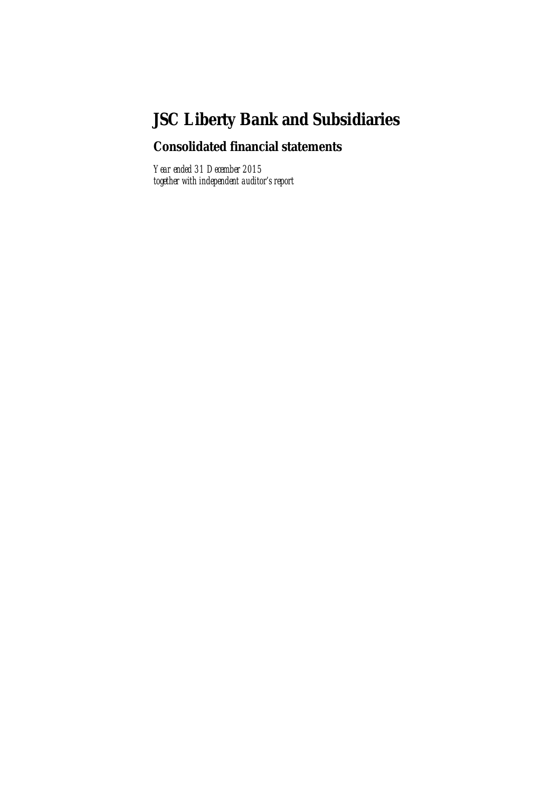# **JSC Liberty Bank and Subsidiaries**

**Consolidated financial statements**

*Year ended 31 December 2015 together with independent auditor's report*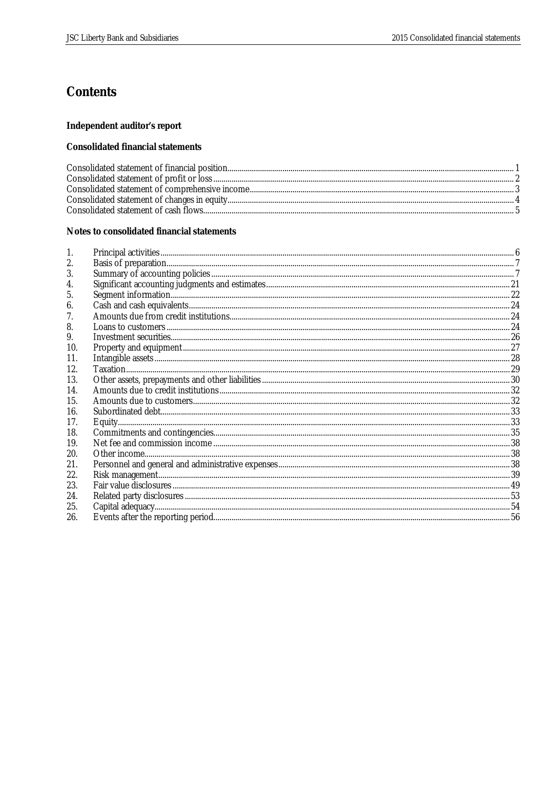## Contents

Independent auditor's report

## Consolidated financial statements

#### Notes to consolidated financial statements

| 2.  |  |
|-----|--|
| 3.  |  |
| 4.  |  |
| 5.  |  |
| 6.  |  |
|     |  |
| 8.  |  |
| 9.  |  |
| 10. |  |
| 11. |  |
| 12. |  |
| 13. |  |
| 14. |  |
| 15. |  |
| 16. |  |
| 17. |  |
| 18. |  |
| 19. |  |
| 20. |  |
| 21. |  |
| 22. |  |
| 23. |  |
| 24. |  |
| 25. |  |
| 26. |  |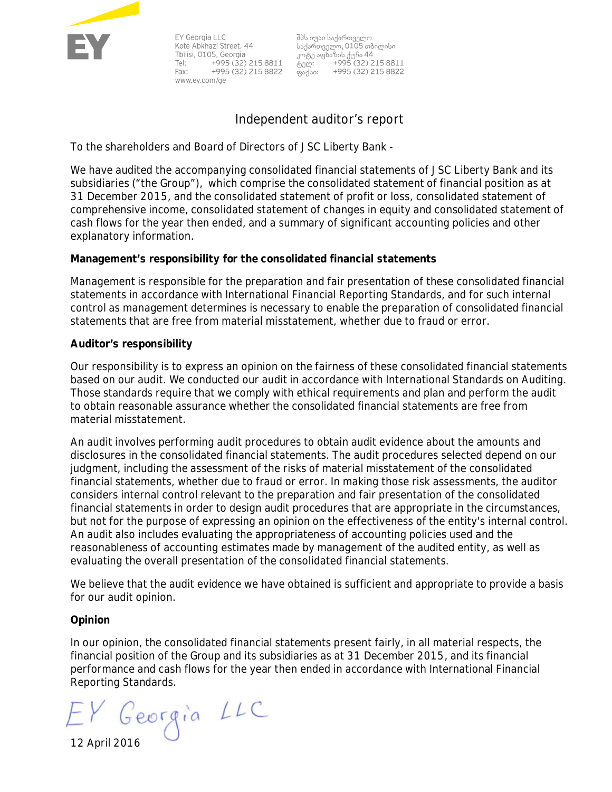

EY Georgia LLC მპს იუაი საქართველო<br>Kote Abkhazi Street, 44 საქართველო, 0105 თბილისი<br>Tbilisi, 0105, Georgia კოტე აფხაზის ქუჩა 44<br>Tel: +995 (32) 215 8811 ტელ: +995 (32) 215 8811<br>Fax: +995 (32) 215 8822 ფაქსი: +995 (32) 215 EY Georgia LLC www.ey.com/ge

შპს იუაი საქართველო<br>საქართველო, 0105 თბილისი

## Independent auditor's report

To the shareholders and Board of Directors of JSC Liberty Bank -

We have audited the accompanying consolidated financial statements of JSC Liberty Bank and its subsidiaries ("the Group"), which comprise the consolidated statement of financial position as at 31 December 2015, and the consolidated statement of profit or loss, consolidated statement of comprehensive income, consolidated statement of changes in equity and consolidated statement of cash flows for the year then ended, and a summary of significant accounting policies and other explanatory information.

## *Management's responsibility for the consolidated financial statements*

Management is responsible for the preparation and fair presentation of these consolidated financial statements in accordance with International Financial Reporting Standards, and for such internal control as management determines is necessary to enable the preparation of consolidated financial statements that are free from material misstatement, whether due to fraud or error.

## *Auditor's responsibility*

Our responsibility is to express an opinion on the fairness of these consolidated financial statements based on our audit. We conducted our audit in accordance with International Standards on Auditing. Those standards require that we comply with ethical requirements and plan and perform the audit to obtain reasonable assurance whether the consolidated financial statements are free from material misstatement.

An audit involves performing audit procedures to obtain audit evidence about the amounts and disclosures in the consolidated financial statements. The audit procedures selected depend on our judgment, including the assessment of the risks of material misstatement of the consolidated financial statements, whether due to fraud or error. In making those risk assessments, the auditor considers internal control relevant to the preparation and fair presentation of the consolidated financial statements in order to design audit procedures that are appropriate in the circumstances, but not for the purpose of expressing an opinion on the effectiveness of the entity's internal control. An audit also includes evaluating the appropriateness of accounting policies used and the reasonableness of accounting estimates made by management of the audited entity, as well as evaluating the overall presentation of the consolidated financial statements.

We believe that the audit evidence we have obtained is sufficient and appropriate to provide a basis for our audit opinion.

## *Opinion*

In our opinion, the consolidated financial statements present fairly, in all material respects, the financial position of the Group and its subsidiaries as at 31 December 2015, and its financial performance and cash flows for the year then ended in accordance with International Financial Reporting Standards.

EY Georgia LLC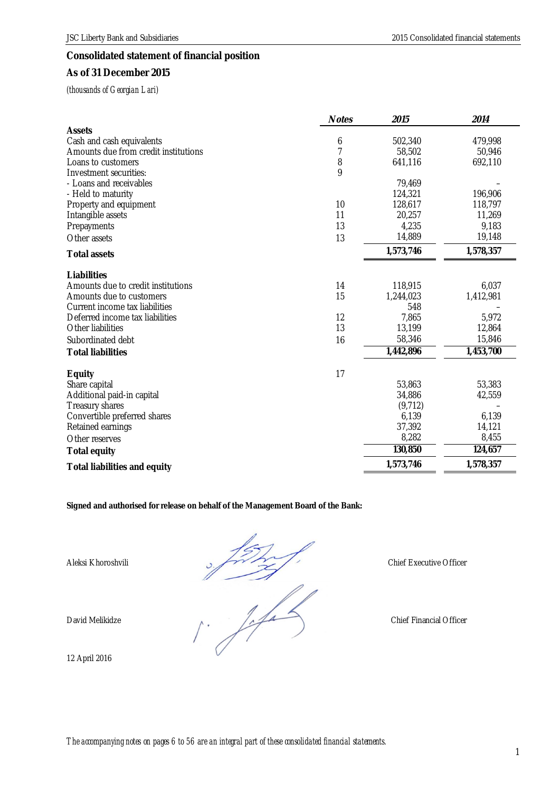## **Consolidated statement of financial position**

## **As of 31 December 2015**

*(thousands of Georgian Lari)*

| Assets<br>Cash and cash equivalents<br>6  | 502,340<br>58,502 | 479,998   |
|-------------------------------------------|-------------------|-----------|
|                                           |                   |           |
|                                           |                   |           |
| 7<br>Amounts due from credit institutions |                   | 50,946    |
| 8<br>Loans to customers                   | 641,116           | 692,110   |
| 9<br>Investment securities:               |                   |           |
| - Loans and receivables                   | 79,469            |           |
| - Held to maturity                        | 124,321           | 196,906   |
| 10<br>Property and equipment              | 128,617           | 118,797   |
| 11<br>Intangible assets                   | 20,257            | 11,269    |
| 13<br>Prepayments                         | 4,235             | 9,183     |
| Other assets<br>13                        | 14,889            | 19,148    |
| Total assets                              | 1,573,746         | 1,578,357 |
| Liabilities                               |                   |           |
| Amounts due to credit institutions<br>14  | 118,915           | 6,037     |
| 15<br>Amounts due to customers            | 1,244,023         | 1,412,981 |
| Current income tax liabilities            | 548               |           |
| Deferred income tax liabilities<br>12     | 7,865             | 5,972     |
| 13<br>Other liabilities                   | 13,199            | 12,864    |
| Subordinated debt<br>16                   | 58,346            | 15,846    |
| <b>Total liabilities</b>                  | 1,442,896         | 1,453,700 |
| 17<br>Equity                              |                   |           |
| Share capital                             | 53,863            | 53,383    |
| Additional paid-in capital                | 34,886            | 42,559    |
| Treasury shares                           | (9, 712)          |           |
| Convertible preferred shares              | 6,139             | 6,139     |
| Retained earnings                         | 37,392            | 14,121    |
| Other reserves                            | 8,282             | 8,455     |
| Total equity                              | 130,850           | 124,657   |
| Total liabilities and equity              | 1,573,746         | 1,578,357 |

**Signed and authorised for release on behalf of the Management Board of the Bank:**

Aleksi Khoroshvili Chief Executive Officer

12 April 2016

David Melikidze **Chief Financial Officer** Chief Financial Officer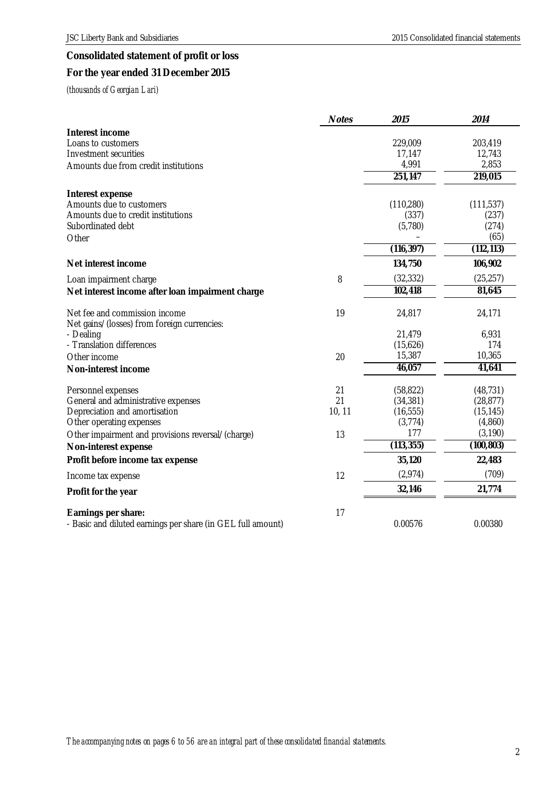## **Consolidated statement of profit or loss**

## **For the year ended 31 December 2015**

|                                                                              | <b>Notes</b> | 2015                   | 2014       |
|------------------------------------------------------------------------------|--------------|------------------------|------------|
| Interest income                                                              |              |                        |            |
| Loans to customers                                                           |              | 229,009                | 203,419    |
| Investment securities                                                        |              | 17,147                 | 12,743     |
| Amounts due from credit institutions                                         |              | 4,991                  | 2,853      |
|                                                                              |              | 251,147                | 219,015    |
| Interest expense                                                             |              |                        |            |
| Amounts due to customers                                                     |              | (110, 280)             | (111, 537) |
| Amounts due to credit institutions                                           |              | (337)                  | (237)      |
| Subordinated debt                                                            |              | (5,780)                | (274)      |
| Other                                                                        |              |                        | (65)       |
|                                                                              |              | (116, 397)             | (112, 113) |
| Net interest income                                                          |              | 134,750                | 106,902    |
| Loan impairment charge                                                       | 8            | (32, 332)              | (25, 257)  |
| Net interest income after loan impairment charge                             |              | 102,418                | 81,645     |
| Net fee and commission income<br>Net gains/(losses) from foreign currencies: | 19           | 24,817                 | 24,171     |
| - Dealing                                                                    |              | 21,479                 | 6,931      |
| - Translation differences                                                    |              | (15,626)               | 174        |
| Other income                                                                 | 20           | 15,387                 | 10,365     |
| Non-interest income                                                          |              | 46,057                 | 41,641     |
| Personnel expenses                                                           | 21           | (58, 822)              | (48, 731)  |
| General and administrative expenses                                          | 21           | (34, 381)              | (28, 877)  |
| Depreciation and amortisation                                                | 10, 11       | (16, 555)              | (15, 145)  |
| Other operating expenses                                                     |              | (3,774)                | (4,860)    |
| Other impairment and provisions reversal/(charge)                            | 13           | 177                    | (3, 190)   |
| Non-interest expense                                                         |              | $(1\overline{13,355})$ | (100, 803) |
| Profit before income tax expense                                             |              | 35,120                 | 22,483     |
| Income tax expense                                                           | 12           | (2,974)                | (709)      |
| Profit for the year                                                          |              | 32,146                 | 21,774     |
| Earnings per share:                                                          | 17           |                        |            |
| - Basic and diluted earnings per share (in GEL full amount)                  |              | 0.00576                | 0.00380    |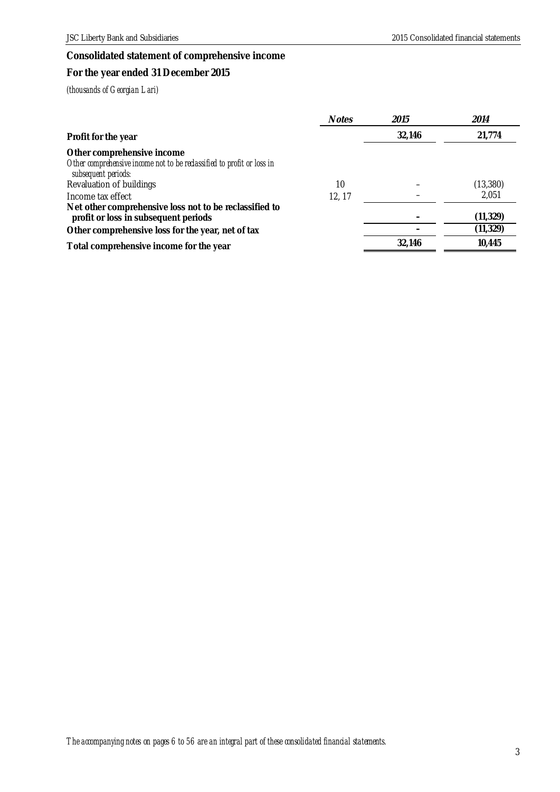## **Consolidated statement of comprehensive income**

## **For the year ended 31 December 2015**

|                                                                                                                             | <b>Notes</b> | 2015   | 2014               |
|-----------------------------------------------------------------------------------------------------------------------------|--------------|--------|--------------------|
| Profit for the year                                                                                                         |              | 32,146 | 21,774             |
| Other comprehensive income<br>Other comprehensive income not to be reclassified to profit or loss in<br>subsequent periods: |              |        |                    |
| Revaluation of buildings<br>Income tax effect                                                                               | 10<br>12, 17 |        | (13, 380)<br>2,051 |
| Net other comprehensive loss not to be reclassified to<br>profit or loss in subsequent periods                              |              |        | (11, 329)          |
| Other comprehensive loss for the year, net of tax                                                                           |              |        | (11, 329)          |
| Total comprehensive income for the year                                                                                     |              | 32,146 | 10,445             |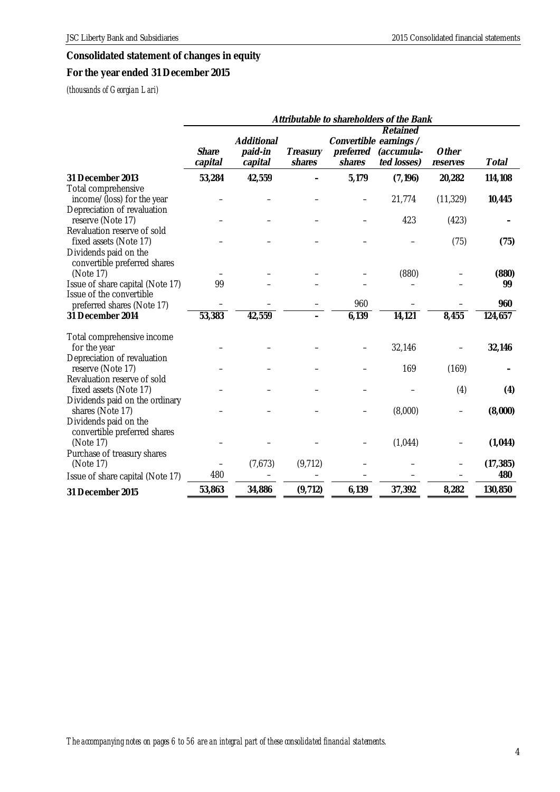## **Consolidated statement of changes in equity**

## **For the year ended 31 December 2015**

|                                                              | Attributable to shareholders of the Bank |            |          |           |                        |           |           |
|--------------------------------------------------------------|------------------------------------------|------------|----------|-----------|------------------------|-----------|-----------|
|                                                              |                                          |            |          |           | Retained               |           |           |
|                                                              |                                          | Additional |          |           | Convertible earnings / |           |           |
|                                                              | Share                                    | paid-in    | Treasury | preferred | (accumula-             | Other     |           |
|                                                              | capital                                  | capital    | shares   | shares    | ted losses)            | reserves  | Total     |
| 31 December 2013<br>Total comprehensive                      | 53,284                                   | 42,559     |          | 5,179     | (7, 196)               | 20,282    | 114,108   |
| income/(loss) for the year                                   |                                          |            |          |           | 21,774                 | (11, 329) | 10,445    |
| Depreciation of revaluation<br>reserve (Note 17)             |                                          |            |          |           | 423                    | (423)     |           |
| Revaluation reserve of sold<br>fixed assets (Note 17)        |                                          |            |          |           |                        | (75)      | (75)      |
| Dividends paid on the<br>convertible preferred shares        |                                          |            |          |           |                        |           |           |
| (Note 17)                                                    |                                          |            |          |           | (880)                  |           | (880)     |
| Issue of share capital (Note 17)<br>Issue of the convertible | 99                                       |            |          |           |                        |           | 99        |
| preferred shares (Note 17)                                   |                                          |            |          | 960       |                        |           | 960       |
| 31 December 2014                                             | 53,383                                   | 42,559     |          | 6,139     | 14,121                 | 8,455     | 124,657   |
| Total comprehensive income                                   |                                          |            |          |           |                        |           |           |
| for the year                                                 |                                          |            |          |           | 32,146                 |           | 32,146    |
| Depreciation of revaluation                                  |                                          |            |          |           |                        |           |           |
| reserve (Note 17)<br>Revaluation reserve of sold             |                                          |            |          |           | 169                    | (169)     |           |
| fixed assets (Note 17)                                       |                                          |            |          |           |                        | (4)       | (4)       |
| Dividends paid on the ordinary<br>shares (Note 17)           |                                          |            |          |           | (8,000)                |           | (8,000)   |
| Dividends paid on the<br>convertible preferred shares        |                                          |            |          |           |                        |           |           |
| (Note 17)<br>Purchase of treasury shares                     |                                          |            |          |           | (1,044)                |           | (1,044)   |
| (Note 17)                                                    |                                          | (7,673)    | (9, 712) |           |                        |           | (17, 385) |
| Issue of share capital (Note 17)                             | 480                                      |            |          |           |                        |           | 480       |
| 31 December 2015                                             | 53,863                                   | 34,886     | (9, 712) | 6,139     | 37,392                 | 8,282     | 130,850   |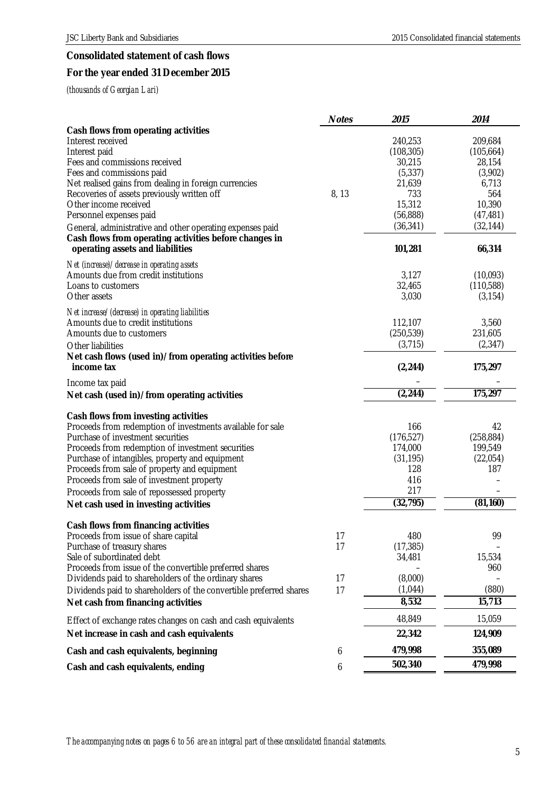## **Consolidated statement of cash flows**

## **For the year ended 31 December 2015**

|                                                                                                                     | <b>Notes</b> | 2015                  | 2014                  |
|---------------------------------------------------------------------------------------------------------------------|--------------|-----------------------|-----------------------|
| Cash flows from operating activities                                                                                |              |                       |                       |
| Interest received                                                                                                   |              | 240,253               | 209,684               |
| Interest paid                                                                                                       |              | (108, 305)            | (105, 664)            |
| Fees and commissions received                                                                                       |              | 30,215                | 28,154                |
| Fees and commissions paid                                                                                           |              | (5, 337)              | (3,902)               |
| Net realised gains from dealing in foreign currencies                                                               |              | 21,639                | 6,713                 |
| Recoveries of assets previously written off                                                                         | 8, 13        | 733                   | 564                   |
| Other income received                                                                                               |              | 15,312<br>(56, 888)   | 10,390<br>(47, 481)   |
| Personnel expenses paid                                                                                             |              | (36, 341)             | (32, 144)             |
| General, administrative and other operating expenses paid<br>Cash flows from operating activities before changes in |              |                       |                       |
| operating assets and liabilities                                                                                    |              | 101,281               | 66,314                |
|                                                                                                                     |              |                       |                       |
| Net (increase)/decrease in operating assets                                                                         |              |                       |                       |
| Amounts due from credit institutions                                                                                |              | 3,127                 | (10,093)              |
| Loans to customers                                                                                                  |              | 32,465                | (110, 588)            |
| Other assets                                                                                                        |              | 3,030                 | (3, 154)              |
| Net increase/(decrease) in operating liabilities                                                                    |              |                       |                       |
| Amounts due to credit institutions                                                                                  |              | 112,107               | 3,560                 |
| Amounts due to customers                                                                                            |              | (250, 539)            | 231,605               |
| Other liabilities                                                                                                   |              | (3, 715)              | (2, 347)              |
| Net cash flows (used in)/from operating activities before                                                           |              |                       |                       |
| income tax                                                                                                          |              | (2, 244)              | 175,297               |
| Income tax paid                                                                                                     |              |                       |                       |
| Net cash (used in)/from operating activities                                                                        |              | (2, 244)              | 175,297               |
|                                                                                                                     |              |                       |                       |
| Cash flows from investing activities                                                                                |              |                       |                       |
| Proceeds from redemption of investments available for sale<br>Purchase of investment securities                     |              | 166                   | 42                    |
| Proceeds from redemption of investment securities                                                                   |              | (176, 527)<br>174,000 | (258, 884)<br>199,549 |
| Purchase of intangibles, property and equipment                                                                     |              | (31, 195)             | (22,054)              |
| Proceeds from sale of property and equipment                                                                        |              | 128                   | 187                   |
| Proceeds from sale of investment property                                                                           |              | 416                   |                       |
| Proceeds from sale of repossessed property                                                                          |              | 217                   |                       |
| Net cash used in investing activities                                                                               |              | (32, 795)             | (81, 160)             |
|                                                                                                                     |              |                       |                       |
| Cash flows from financing activities                                                                                |              |                       |                       |
| Proceeds from issue of share capital                                                                                | 17           | 480                   | 99                    |
| Purchase of treasury shares                                                                                         | 17           | (17, 385)             |                       |
| Sale of subordinated debt                                                                                           |              | 34,481                | 15,534                |
| Proceeds from issue of the convertible preferred shares                                                             |              |                       | 960                   |
| Dividends paid to shareholders of the ordinary shares                                                               | 17           | (8,000)               |                       |
| Dividends paid to shareholders of the convertible preferred shares                                                  | 17           | (1,044)               | (880)                 |
| Net cash from financing activities                                                                                  |              | 8,532                 | 15,713                |
| Effect of exchange rates changes on cash and cash equivalents                                                       |              | 48,849                | 15,059                |
| Net increase in cash and cash equivalents                                                                           |              | 22,342                | 124,909               |
| Cash and cash equivalents, beginning                                                                                | 6            | 479,998               | 355,089               |
| Cash and cash equivalents, ending                                                                                   | 6            | 502,340               | 479,998               |
|                                                                                                                     |              |                       |                       |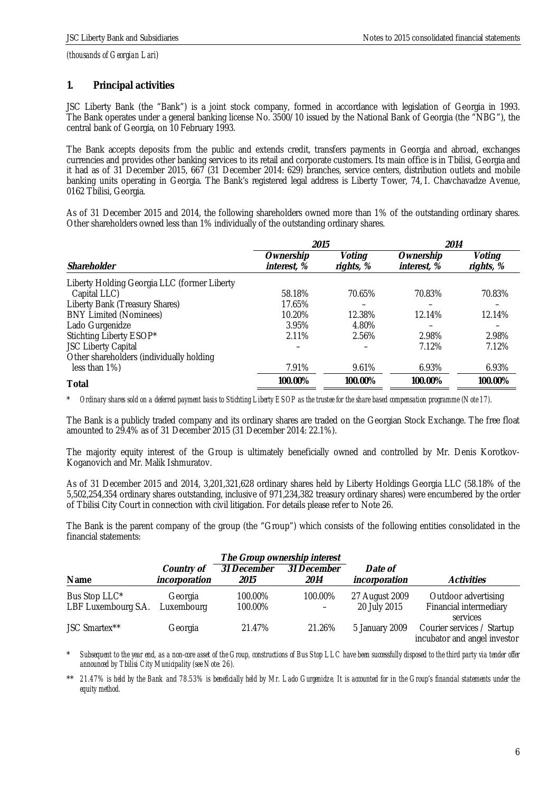## <span id="page-8-0"></span>**1. Principal activities**

JSC Liberty Bank (the "Bank") is a joint stock company, formed in accordance with legislation of Georgia in 1993. The Bank operates under a general banking license No. 3500/10 issued by the National Bank of Georgia (the "NBG"), the central bank of Georgia, on 10 February 1993.

The Bank accepts deposits from the public and extends credit, transfers payments in Georgia and abroad, exchanges currencies and provides other banking services to its retail and corporate customers. Its main office is in Tbilisi, Georgia and it had as of 31 December 2015, 667 (31 December 2014: 629) branches, service centers, distribution outlets and mobile banking units operating in Georgia. The Bank's registered legal address is Liberty Tower, 74, I. Chavchavadze Avenue, 0162 Tbilisi, Georgia.

As of 31 December 2015 and 2014, the following shareholders owned more than 1% of the outstanding ordinary shares. Other shareholders owned less than 1% individually of the outstanding ordinary shares.

|                                             |             | 2015      |             | 2014      |  |
|---------------------------------------------|-------------|-----------|-------------|-----------|--|
|                                             | Ownership   | Voting    | Ownership   | Voting    |  |
| Shareholder                                 | interest, % | rights, % | interest, % | rights, % |  |
| Liberty Holding Georgia LLC (former Liberty |             |           |             |           |  |
| Capital LLC)                                | 58.18%      | 70.65%    | 70.83%      | 70.83%    |  |
| Liberty Bank (Treasury Shares)              | 17.65%      |           |             |           |  |
| <b>BNY Limited (Nominees)</b>               | 10.20%      | 12.38%    | 12.14%      | 12.14%    |  |
| Lado Gurgenidze                             | 3.95%       | 4.80%     |             |           |  |
| Stichting Liberty ESOP*                     | 2.11%       | 2.56%     | 2.98%       | 2.98%     |  |
| JSC Liberty Capital                         |             |           | 7.12%       | 7.12%     |  |
| Other shareholders (individually holding    |             |           |             |           |  |
| less than 1%)                               | 7.91%       | 9.61%     | 6.93%       | 6.93%     |  |
| Total                                       | 100.00%     | 100.00%   | 100.00%     | 100.00%   |  |

\* *Ordinary shares sold on a deferred payment basis to Stichting Liberty ESOP as the trustee for the share based compensation programme (Note 17).*

The Bank is a publicly traded company and its ordinary shares are traded on the Georgian Stock Exchange. The free float amounted to 29.4% as of 31 December 2015 (31 December 2014: 22.1%).

The majority equity interest of the Group is ultimately beneficially owned and controlled by Mr. Denis Korotkov-Koganovich and Mr. Malik Ishmuratov.

As of 31 December 2015 and 2014, 3,201,321,628 ordinary shares held by Liberty Holdings Georgia LLC (58.18% of the 5,502,254,354 ordinary shares outstanding, inclusive of 971,234,382 treasury ordinary shares) were encumbered by the order of Tbilisi City Court in connection with civil litigation. For details please refer to Note 26.

The Bank is the parent company of the group (the "Group") which consists of the following entities consolidated in the financial statements:

|                                      |                             |                     | The Group ownership interest        |                                |                                                            |
|--------------------------------------|-----------------------------|---------------------|-------------------------------------|--------------------------------|------------------------------------------------------------|
| Name                                 | Country of<br>incorporation | 31 December<br>2015 | 31 December<br>2014                 | Date of<br>incorporation       | Activities                                                 |
| Bus Stop LLC*<br>LBF Luxembourg S.A. | Georgia<br>Luxembourg       | 100.00%<br>100.00%  | 100.00%<br>$\overline{\phantom{m}}$ | 27 August 2009<br>20 July 2015 | Outdoor advertising<br>Financial intermediary<br>services  |
| JSC Smartex**                        | Georgia                     | 21.47%              | 21.26%                              | 5 January 2009                 | Courier services / Startup<br>incubator and angel investor |

\* *Subsequent to the year end, as a non-core asset of the Group, constructions of Bus Stop LLC have been successfully disposed to the third party via tender offer announced by Tbilisi City Municipality (see Note: 26).*

\*\* *21.47% is held by the Bank and 78.53% is beneficially held by Mr. Lado Gurgenidze. It is accounted for in the Group's financial statements under the equity method.*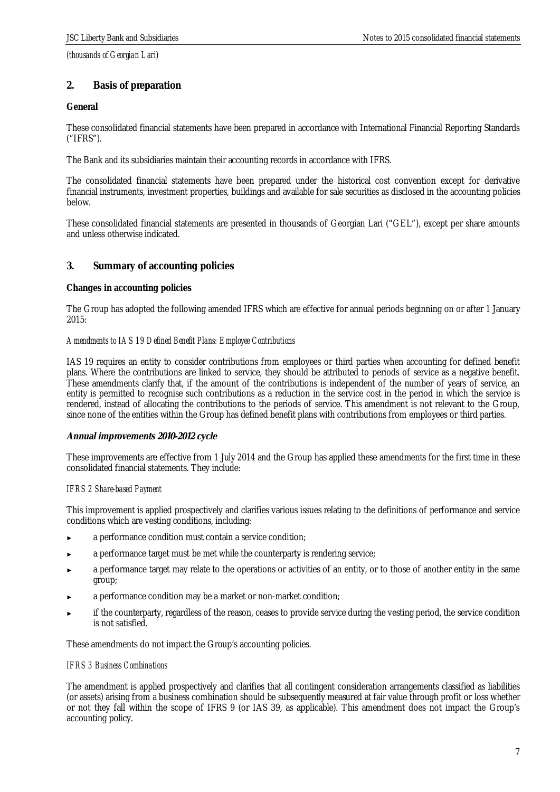## <span id="page-9-0"></span>**2. Basis of preparation**

**General**

These consolidated financial statements have been prepared in accordance with International Financial Reporting Standards ("IFRS").

The Bank and its subsidiaries maintain their accounting records in accordance with IFRS.

The consolidated financial statements have been prepared under the historical cost convention except for derivative financial instruments, investment properties, buildings and available for sale securities as disclosed in the accounting policies below.

These consolidated financial statements are presented in thousands of Georgian Lari ("GEL"), except per share amounts and unless otherwise indicated.

## <span id="page-9-1"></span>**3. Summary of accounting policies**

**Changes in accounting policies**

The Group has adopted the following amended IFRS which are effective for annual periods beginning on or after 1 January 2015:

#### *Amendments to IAS 19 Defined Benefit Plans: Employee Contributions*

IAS 19 requires an entity to consider contributions from employees or third parties when accounting for defined benefit plans. Where the contributions are linked to service, they should be attributed to periods of service as a negative benefit. These amendments clarify that, if the amount of the contributions is independent of the number of years of service, an entity is permitted to recognise such contributions as a reduction in the service cost in the period in which the service is rendered, instead of allocating the contributions to the periods of service. This amendment is not relevant to the Group, since none of the entities within the Group has defined benefit plans with contributions from employees or third parties.

## **Annual improvements 2010-2012 cycle**

These improvements are effective from 1 July 2014 and the Group has applied these amendments for the first time in these consolidated financial statements. They include:

#### *IFRS 2 Share-based Payment*

This improvement is applied prospectively and clarifies various issues relating to the definitions of performance and service conditions which are vesting conditions, including:

- ► a performance condition must contain a service condition;
- a performance target must be met while the counterparty is rendering service;
- ► a performance target may relate to the operations or activities of an entity, or to those of another entity in the same group;
- ► a performance condition may be a market or non-market condition;
- ► if the counterparty, regardless of the reason, ceases to provide service during the vesting period, the service condition is not satisfied.

These amendments do not impact the Group's accounting policies.

#### *IFRS 3 Business Combinations*

The amendment is applied prospectively and clarifies that all contingent consideration arrangements classified as liabilities (or assets) arising from a business combination should be subsequently measured at fair value through profit or loss whether or not they fall within the scope of IFRS 9 (or IAS 39, as applicable). This amendment does not impact the Group's accounting policy.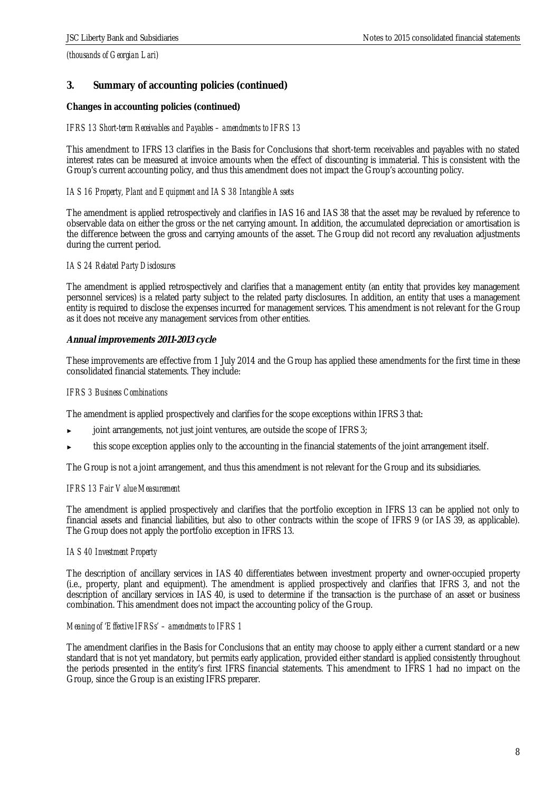## **3. Summary of accounting policies (continued)**

**Changes in accounting policies (continued)**

#### *IFRS 13 Short-term Receivables and Payables – amendments to IFRS 13*

This amendment to IFRS 13 clarifies in the Basis for Conclusions that short-term receivables and payables with no stated interest rates can be measured at invoice amounts when the effect of discounting is immaterial. This is consistent with the Group's current accounting policy, and thus this amendment does not impact the Group's accounting policy.

#### *IAS 16 Property, Plant and Equipment and IAS 38 Intangible Assets*

The amendment is applied retrospectively and clarifies in IAS 16 and IAS 38 that the asset may be revalued by reference to observable data on either the gross or the net carrying amount. In addition, the accumulated depreciation or amortisation is the difference between the gross and carrying amounts of the asset. The Group did not record any revaluation adjustments during the current period.

#### *IAS 24 Related Party Disclosures*

The amendment is applied retrospectively and clarifies that a management entity (an entity that provides key management personnel services) is a related party subject to the related party disclosures. In addition, an entity that uses a management entity is required to disclose the expenses incurred for management services. This amendment is not relevant for the Group as it does not receive any management services from other entities.

#### **Annual improvements 2011-2013 cycle**

These improvements are effective from 1 July 2014 and the Group has applied these amendments for the first time in these consolidated financial statements. They include:

#### *IFRS 3 Business Combinations*

The amendment is applied prospectively and clarifies for the scope exceptions within IFRS 3 that:

- ioint arrangements, not just joint ventures, are outside the scope of IFRS  $3$ ;
- this scope exception applies only to the accounting in the financial statements of the joint arrangement itself.

The Group is not a joint arrangement, and thus this amendment is not relevant for the Group and its subsidiaries.

## *IFRS 13 Fair Value Measurement*

The amendment is applied prospectively and clarifies that the portfolio exception in IFRS 13 can be applied not only to financial assets and financial liabilities, but also to other contracts within the scope of IFRS 9 (or IAS 39, as applicable). The Group does not apply the portfolio exception in IFRS 13.

#### *IAS 40 Investment Property*

The description of ancillary services in IAS 40 differentiates between investment property and owner-occupied property (i.e., property, plant and equipment). The amendment is applied prospectively and clarifies that IFRS 3, and not the description of ancillary services in IAS 40, is used to determine if the transaction is the purchase of an asset or business combination. This amendment does not impact the accounting policy of the Group.

#### *Meaning of 'Effective IFRSs' – amendments to IFRS 1*

The amendment clarifies in the Basis for Conclusions that an entity may choose to apply either a current standard or a new standard that is not yet mandatory, but permits early application, provided either standard is applied consistently throughout the periods presented in the entity's first IFRS financial statements. This amendment to IFRS 1 had no impact on the Group, since the Group is an existing IFRS preparer.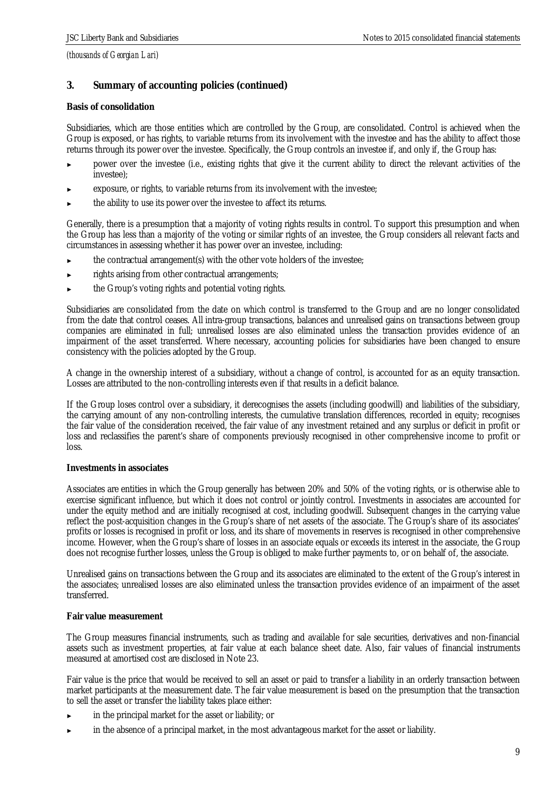## **3. Summary of accounting policies (continued)**

### **Basis of consolidation**

Subsidiaries, which are those entities which are controlled by the Group, are consolidated. Control is achieved when the Group is exposed, or has rights, to variable returns from its involvement with the investee and has the ability to affect those returns through its power over the investee. Specifically, the Group controls an investee if, and only if, the Group has:

- power over the investee (i.e., existing rights that give it the current ability to direct the relevant activities of the investee);
- exposure, or rights, to variable returns from its involvement with the investee;
- the ability to use its power over the investee to affect its returns.

Generally, there is a presumption that a majority of voting rights results in control. To support this presumption and when the Group has less than a majority of the voting or similar rights of an investee, the Group considers all relevant facts and circumstances in assessing whether it has power over an investee, including:

- ► the contractual arrangement(s) with the other vote holders of the investee;
- ► rights arising from other contractual arrangements;
- ► the Group's voting rights and potential voting rights.

Subsidiaries are consolidated from the date on which control is transferred to the Group and are no longer consolidated from the date that control ceases. All intra-group transactions, balances and unrealised gains on transactions between group companies are eliminated in full; unrealised losses are also eliminated unless the transaction provides evidence of an impairment of the asset transferred. Where necessary, accounting policies for subsidiaries have been changed to ensure consistency with the policies adopted by the Group.

A change in the ownership interest of a subsidiary, without a change of control, is accounted for as an equity transaction. Losses are attributed to the non-controlling interests even if that results in a deficit balance.

If the Group loses control over a subsidiary, it derecognises the assets (including goodwill) and liabilities of the subsidiary, the carrying amount of any non-controlling interests, the cumulative translation differences, recorded in equity; recognises the fair value of the consideration received, the fair value of any investment retained and any surplus or deficit in profit or loss and reclassifies the parent's share of components previously recognised in other comprehensive income to profit or loss.

#### **Investments in associates**

Associates are entities in which the Group generally has between 20% and 50% of the voting rights, or is otherwise able to exercise significant influence, but which it does not control or jointly control. Investments in associates are accounted for under the equity method and are initially recognised at cost, including goodwill. Subsequent changes in the carrying value reflect the post-acquisition changes in the Group's share of net assets of the associate. The Group's share of its associates' profits or losses is recognised in profit or loss, and its share of movements in reserves is recognised in other comprehensive income. However, when the Group's share of losses in an associate equals or exceeds its interest in the associate, the Group does not recognise further losses, unless the Group is obliged to make further payments to, or on behalf of, the associate.

Unrealised gains on transactions between the Group and its associates are eliminated to the extent of the Group's interest in the associates; unrealised losses are also eliminated unless the transaction provides evidence of an impairment of the asset transferred.

#### **Fair value measurement**

The Group measures financial instruments, such as trading and available for sale securities, derivatives and non-financial assets such as investment properties, at fair value at each balance sheet date. Also, fair values of financial instruments measured at amortised cost are disclosed in Note 23.

Fair value is the price that would be received to sell an asset or paid to transfer a liability in an orderly transaction between market participants at the measurement date. The fair value measurement is based on the presumption that the transaction to sell the asset or transfer the liability takes place either:

- in the principal market for the asset or liability; or
- in the absence of a principal market, in the most advantageous market for the asset or liability.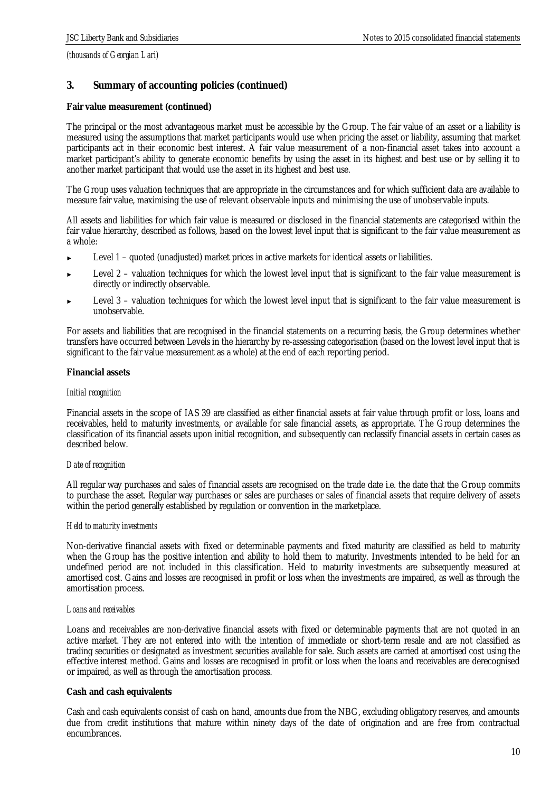## **3. Summary of accounting policies (continued)**

#### **Fair value measurement (continued)**

The principal or the most advantageous market must be accessible by the Group. The fair value of an asset or a liability is measured using the assumptions that market participants would use when pricing the asset or liability, assuming that market participants act in their economic best interest. A fair value measurement of a non-financial asset takes into account a market participant's ability to generate economic benefits by using the asset in its highest and best use or by selling it to another market participant that would use the asset in its highest and best use.

The Group uses valuation techniques that are appropriate in the circumstances and for which sufficient data are available to measure fair value, maximising the use of relevant observable inputs and minimising the use of unobservable inputs.

All assets and liabilities for which fair value is measured or disclosed in the financial statements are categorised within the fair value hierarchy, described as follows, based on the lowest level input that is significant to the fair value measurement as a whole:

- Level 1 quoted (unadjusted) market prices in active markets for identical assets or liabilities.
- ► Level 2 valuation techniques for which the lowest level input that is significant to the fair value measurement is directly or indirectly observable.
- ► Level 3 valuation techniques for which the lowest level input that is significant to the fair value measurement is unobservable.

For assets and liabilities that are recognised in the financial statements on a recurring basis, the Group determines whether transfers have occurred between Levels in the hierarchy by re-assessing categorisation (based on the lowest level input that is significant to the fair value measurement as a whole) at the end of each reporting period.

#### **Financial assets**

#### *Initial recognition*

Financial assets in the scope of IAS 39 are classified as either financial assets at fair value through profit or loss, loans and receivables, held to maturity investments, or available for sale financial assets, as appropriate. The Group determines the classification of its financial assets upon initial recognition, and subsequently can reclassify financial assets in certain cases as described below.

#### *Date of recognition*

All regular way purchases and sales of financial assets are recognised on the trade date i.e. the date that the Group commits to purchase the asset. Regular way purchases or sales are purchases or sales of financial assets that require delivery of assets within the period generally established by regulation or convention in the marketplace.

#### *Held to maturity investments*

Non-derivative financial assets with fixed or determinable payments and fixed maturity are classified as held to maturity when the Group has the positive intention and ability to hold them to maturity. Investments intended to be held for an undefined period are not included in this classification. Held to maturity investments are subsequently measured at amortised cost. Gains and losses are recognised in profit or loss when the investments are impaired, as well as through the amortisation process.

#### *Loans and receivables*

Loans and receivables are non-derivative financial assets with fixed or determinable payments that are not quoted in an active market. They are not entered into with the intention of immediate or short-term resale and are not classified as trading securities or designated as investment securities available for sale. Such assets are carried at amortised cost using the effective interest method. Gains and losses are recognised in profit or loss when the loans and receivables are derecognised or impaired, as well as through the amortisation process.

#### **Cash and cash equivalents**

Cash and cash equivalents consist of cash on hand, amounts due from the NBG, excluding obligatory reserves, and amounts due from credit institutions that mature within ninety days of the date of origination and are free from contractual encumbrances.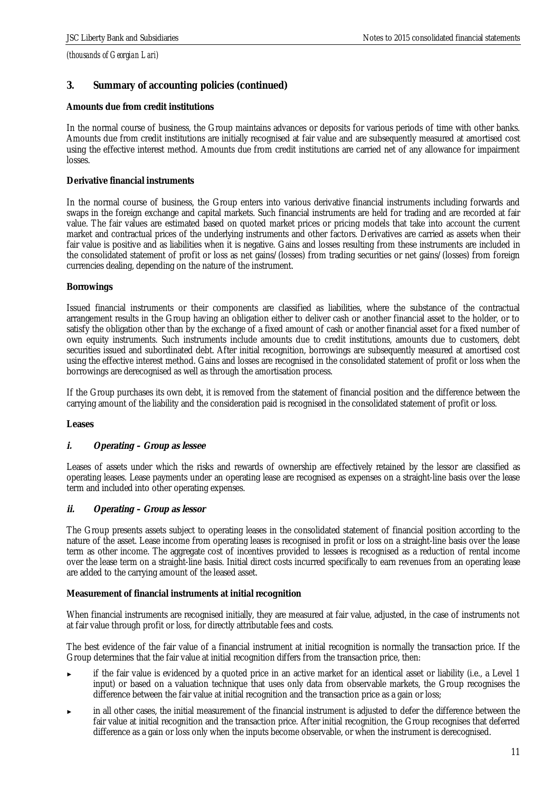## **3. Summary of accounting policies (continued)**

#### **Amounts due from credit institutions**

In the normal course of business, the Group maintains advances or deposits for various periods of time with other banks. Amounts due from credit institutions are initially recognised at fair value and are subsequently measured at amortised cost using the effective interest method. Amounts due from credit institutions are carried net of any allowance for impairment losses.

#### **Derivative financial instruments**

In the normal course of business, the Group enters into various derivative financial instruments including forwards and swaps in the foreign exchange and capital markets. Such financial instruments are held for trading and are recorded at fair value. The fair values are estimated based on quoted market prices or pricing models that take into account the current market and contractual prices of the underlying instruments and other factors. Derivatives are carried as assets when their fair value is positive and as liabilities when it is negative. Gains and losses resulting from these instruments are included in the consolidated statement of profit or loss as net gains/(losses) from trading securities or net gains/(losses) from foreign currencies dealing, depending on the nature of the instrument.

#### **Borrowings**

Issued financial instruments or their components are classified as liabilities, where the substance of the contractual arrangement results in the Group having an obligation either to deliver cash or another financial asset to the holder, or to satisfy the obligation other than by the exchange of a fixed amount of cash or another financial asset for a fixed number of own equity instruments. Such instruments include amounts due to credit institutions, amounts due to customers, debt securities issued and subordinated debt. After initial recognition, borrowings are subsequently measured at amortised cost using the effective interest method. Gains and losses are recognised in the consolidated statement of profit or loss when the borrowings are derecognised as well as through the amortisation process.

If the Group purchases its own debt, it is removed from the statement of financial position and the difference between the carrying amount of the liability and the consideration paid is recognised in the consolidated statement of profit or loss.

**Leases**

## **i. Operating – Group as lessee**

Leases of assets under which the risks and rewards of ownership are effectively retained by the lessor are classified as operating leases. Lease payments under an operating lease are recognised as expenses on a straight-line basis over the lease term and included into other operating expenses.

#### **ii. Operating – Group as lessor**

The Group presents assets subject to operating leases in the consolidated statement of financial position according to the nature of the asset. Lease income from operating leases is recognised in profit or loss on a straight-line basis over the lease term as other income. The aggregate cost of incentives provided to lessees is recognised as a reduction of rental income over the lease term on a straight-line basis. Initial direct costs incurred specifically to earn revenues from an operating lease are added to the carrying amount of the leased asset.

#### **Measurement of financial instruments at initial recognition**

When financial instruments are recognised initially, they are measured at fair value, adjusted, in the case of instruments not at fair value through profit or loss, for directly attributable fees and costs.

The best evidence of the fair value of a financial instrument at initial recognition is normally the transaction price. If the Group determines that the fair value at initial recognition differs from the transaction price, then:

- if the fair value is evidenced by a quoted price in an active market for an identical asset or liability (i.e., a Level 1 input) or based on a valuation technique that uses only data from observable markets, the Group recognises the difference between the fair value at initial recognition and the transaction price as a gain or loss;
- in all other cases, the initial measurement of the financial instrument is adjusted to defer the difference between the fair value at initial recognition and the transaction price. After initial recognition, the Group recognises that deferred difference as a gain or loss only when the inputs become observable, or when the instrument is derecognised.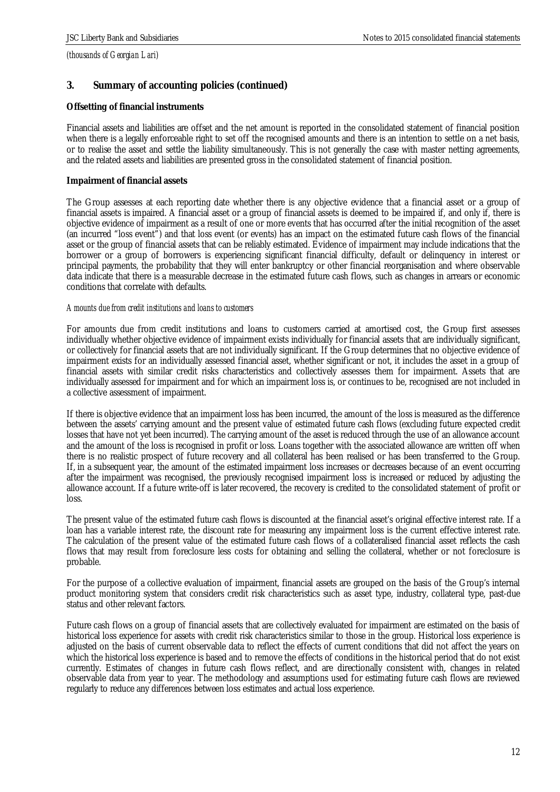## **3. Summary of accounting policies (continued)**

#### **Offsetting of financial instruments**

Financial assets and liabilities are offset and the net amount is reported in the consolidated statement of financial position when there is a legally enforceable right to set off the recognised amounts and there is an intention to settle on a net basis, or to realise the asset and settle the liability simultaneously. This is not generally the case with master netting agreements, and the related assets and liabilities are presented gross in the consolidated statement of financial position.

#### **Impairment of financial assets**

The Group assesses at each reporting date whether there is any objective evidence that a financial asset or a group of financial assets is impaired. A financial asset or a group of financial assets is deemed to be impaired if, and only if, there is objective evidence of impairment as a result of one or more events that has occurred after the initial recognition of the asset (an incurred "loss event") and that loss event (or events) has an impact on the estimated future cash flows of the financial asset or the group of financial assets that can be reliably estimated. Evidence of impairment may include indications that the borrower or a group of borrowers is experiencing significant financial difficulty, default or delinquency in interest or principal payments, the probability that they will enter bankruptcy or other financial reorganisation and where observable data indicate that there is a measurable decrease in the estimated future cash flows, such as changes in arrears or economic conditions that correlate with defaults.

#### *Amounts due from credit institutions and loans to customers*

For amounts due from credit institutions and loans to customers carried at amortised cost, the Group first assesses individually whether objective evidence of impairment exists individually for financial assets that are individually significant, or collectively for financial assets that are not individually significant. If the Group determines that no objective evidence of impairment exists for an individually assessed financial asset, whether significant or not, it includes the asset in a group of financial assets with similar credit risks characteristics and collectively assesses them for impairment. Assets that are individually assessed for impairment and for which an impairment loss is, or continues to be, recognised are not included in a collective assessment of impairment.

If there is objective evidence that an impairment loss has been incurred, the amount of the loss is measured as the difference between the assets' carrying amount and the present value of estimated future cash flows (excluding future expected credit losses that have not yet been incurred). The carrying amount of the asset is reduced through the use of an allowance account and the amount of the loss is recognised in profit or loss. Loans together with the associated allowance are written off when there is no realistic prospect of future recovery and all collateral has been realised or has been transferred to the Group. If, in a subsequent year, the amount of the estimated impairment loss increases or decreases because of an event occurring after the impairment was recognised, the previously recognised impairment loss is increased or reduced by adjusting the allowance account. If a future write-off is later recovered, the recovery is credited to the consolidated statement of profit or loss.

The present value of the estimated future cash flows is discounted at the financial asset's original effective interest rate. If a loan has a variable interest rate, the discount rate for measuring any impairment loss is the current effective interest rate. The calculation of the present value of the estimated future cash flows of a collateralised financial asset reflects the cash flows that may result from foreclosure less costs for obtaining and selling the collateral, whether or not foreclosure is probable.

For the purpose of a collective evaluation of impairment, financial assets are grouped on the basis of the Group's internal product monitoring system that considers credit risk characteristics such as asset type, industry, collateral type, past-due status and other relevant factors.

Future cash flows on a group of financial assets that are collectively evaluated for impairment are estimated on the basis of historical loss experience for assets with credit risk characteristics similar to those in the group. Historical loss experience is adjusted on the basis of current observable data to reflect the effects of current conditions that did not affect the years on which the historical loss experience is based and to remove the effects of conditions in the historical period that do not exist currently. Estimates of changes in future cash flows reflect, and are directionally consistent with, changes in related observable data from year to year. The methodology and assumptions used for estimating future cash flows are reviewed regularly to reduce any differences between loss estimates and actual loss experience.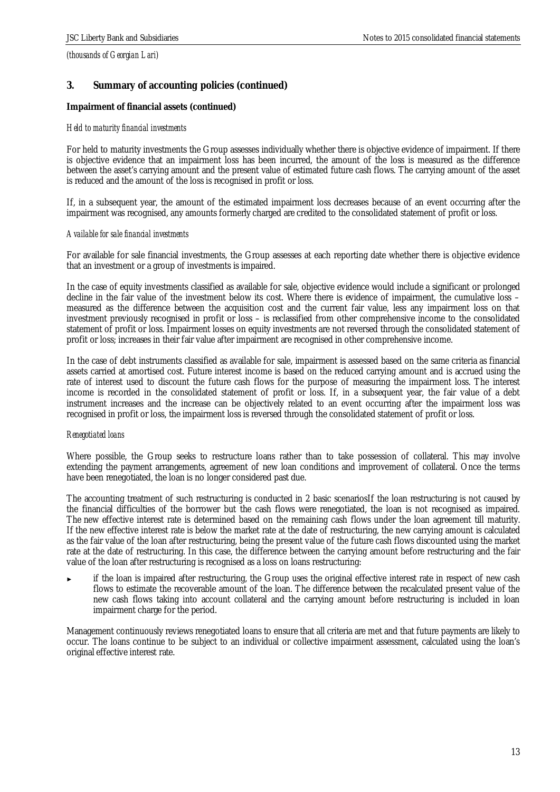## **3. Summary of accounting policies (continued)**

**Impairment of financial assets (continued)**

#### *Held to maturity financial investments*

For held to maturity investments the Group assesses individually whether there is objective evidence of impairment. If there is objective evidence that an impairment loss has been incurred, the amount of the loss is measured as the difference between the asset's carrying amount and the present value of estimated future cash flows. The carrying amount of the asset is reduced and the amount of the loss is recognised in profit or loss.

If, in a subsequent year, the amount of the estimated impairment loss decreases because of an event occurring after the impairment was recognised, any amounts formerly charged are credited to the consolidated statement of profit or loss.

#### *Available for sale financial investments*

For available for sale financial investments, the Group assesses at each reporting date whether there is objective evidence that an investment or a group of investments is impaired.

In the case of equity investments classified as available for sale, objective evidence would include a significant or prolonged decline in the fair value of the investment below its cost. Where there is evidence of impairment, the cumulative loss – measured as the difference between the acquisition cost and the current fair value, less any impairment loss on that investment previously recognised in profit or loss – is reclassified from other comprehensive income to the consolidated statement of profit or loss. Impairment losses on equity investments are not reversed through the consolidated statement of profit or loss; increases in their fair value after impairment are recognised in other comprehensive income.

In the case of debt instruments classified as available for sale, impairment is assessed based on the same criteria as financial assets carried at amortised cost. Future interest income is based on the reduced carrying amount and is accrued using the rate of interest used to discount the future cash flows for the purpose of measuring the impairment loss. The interest income is recorded in the consolidated statement of profit or loss. If, in a subsequent year, the fair value of a debt instrument increases and the increase can be objectively related to an event occurring after the impairment loss was recognised in profit or loss, the impairment loss is reversed through the consolidated statement of profit or loss.

#### *Renegotiated loans*

Where possible, the Group seeks to restructure loans rather than to take possession of collateral. This may involve extending the payment arrangements, agreement of new loan conditions and improvement of collateral. Once the terms have been renegotiated, the loan is no longer considered past due.

The accounting treatment of such restructuring is conducted in 2 basic scenariosIf the loan restructuring is not caused by the financial difficulties of the borrower but the cash flows were renegotiated, the loan is not recognised as impaired. The new effective interest rate is determined based on the remaining cash flows under the loan agreement till maturity. If the new effective interest rate is below the market rate at the date of restructuring, the new carrying amount is calculated as the fair value of the loan after restructuring, being the present value of the future cash flows discounted using the market rate at the date of restructuring. In this case, the difference between the carrying amount before restructuring and the fair value of the loan after restructuring is recognised as a loss on loans restructuring:

if the loan is impaired after restructuring, the Group uses the original effective interest rate in respect of new cash flows to estimate the recoverable amount of the loan. The difference between the recalculated present value of the new cash flows taking into account collateral and the carrying amount before restructuring is included in loan impairment charge for the period.

Management continuously reviews renegotiated loans to ensure that all criteria are met and that future payments are likely to occur. The loans continue to be subject to an individual or collective impairment assessment, calculated using the loan's original effective interest rate.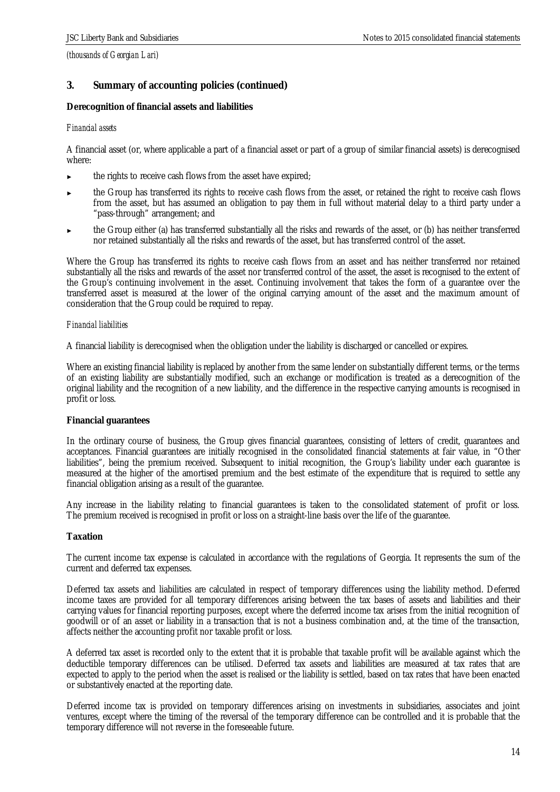## **3. Summary of accounting policies (continued)**

**Derecognition of financial assets and liabilities**

#### *Financial assets*

A financial asset (or, where applicable a part of a financial asset or part of a group of similar financial assets) is derecognised where:

- the rights to receive cash flows from the asset have expired;
- the Group has transferred its rights to receive cash flows from the asset, or retained the right to receive cash flows from the asset, but has assumed an obligation to pay them in full without material delay to a third party under a "pass-through" arrangement; and
- the Group either (a) has transferred substantially all the risks and rewards of the asset, or (b) has neither transferred nor retained substantially all the risks and rewards of the asset, but has transferred control of the asset.

Where the Group has transferred its rights to receive cash flows from an asset and has neither transferred nor retained substantially all the risks and rewards of the asset nor transferred control of the asset, the asset is recognised to the extent of the Group's continuing involvement in the asset. Continuing involvement that takes the form of a guarantee over the transferred asset is measured at the lower of the original carrying amount of the asset and the maximum amount of consideration that the Group could be required to repay.

#### *Financial liabilities*

A financial liability is derecognised when the obligation under the liability is discharged or cancelled or expires.

Where an existing financial liability is replaced by another from the same lender on substantially different terms, or the terms of an existing liability are substantially modified, such an exchange or modification is treated as a derecognition of the original liability and the recognition of a new liability, and the difference in the respective carrying amounts is recognised in profit or loss.

#### **Financial guarantees**

In the ordinary course of business, the Group gives financial guarantees, consisting of letters of credit, guarantees and acceptances. Financial guarantees are initially recognised in the consolidated financial statements at fair value, in "Other liabilities", being the premium received. Subsequent to initial recognition, the Group's liability under each guarantee is measured at the higher of the amortised premium and the best estimate of the expenditure that is required to settle any financial obligation arising as a result of the guarantee.

Any increase in the liability relating to financial guarantees is taken to the consolidated statement of profit or loss. The premium received is recognised in profit or loss on a straight-line basis over the life of the guarantee.

#### **Taxation**

The current income tax expense is calculated in accordance with the regulations of Georgia. It represents the sum of the current and deferred tax expenses.

Deferred tax assets and liabilities are calculated in respect of temporary differences using the liability method. Deferred income taxes are provided for all temporary differences arising between the tax bases of assets and liabilities and their carrying values for financial reporting purposes, except where the deferred income tax arises from the initial recognition of goodwill or of an asset or liability in a transaction that is not a business combination and, at the time of the transaction, affects neither the accounting profit nor taxable profit or loss.

A deferred tax asset is recorded only to the extent that it is probable that taxable profit will be available against which the deductible temporary differences can be utilised. Deferred tax assets and liabilities are measured at tax rates that are expected to apply to the period when the asset is realised or the liability is settled, based on tax rates that have been enacted or substantively enacted at the reporting date.

Deferred income tax is provided on temporary differences arising on investments in subsidiaries, associates and joint ventures, except where the timing of the reversal of the temporary difference can be controlled and it is probable that the temporary difference will not reverse in the foreseeable future.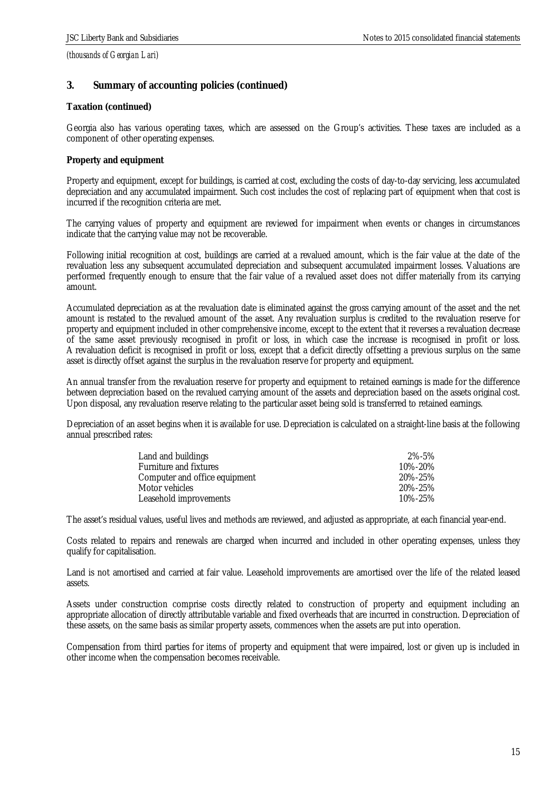## **3. Summary of accounting policies (continued)**

#### **Taxation (continued)**

Georgia also has various operating taxes, which are assessed on the Group's activities. These taxes are included as a component of other operating expenses.

## **Property and equipment**

Property and equipment, except for buildings, is carried at cost, excluding the costs of day-to-day servicing, less accumulated depreciation and any accumulated impairment. Such cost includes the cost of replacing part of equipment when that cost is incurred if the recognition criteria are met.

The carrying values of property and equipment are reviewed for impairment when events or changes in circumstances indicate that the carrying value may not be recoverable.

Following initial recognition at cost, buildings are carried at a revalued amount, which is the fair value at the date of the revaluation less any subsequent accumulated depreciation and subsequent accumulated impairment losses. Valuations are performed frequently enough to ensure that the fair value of a revalued asset does not differ materially from its carrying amount.

Accumulated depreciation as at the revaluation date is eliminated against the gross carrying amount of the asset and the net amount is restated to the revalued amount of the asset. Any revaluation surplus is credited to the revaluation reserve for property and equipment included in other comprehensive income, except to the extent that it reverses a revaluation decrease of the same asset previously recognised in profit or loss, in which case the increase is recognised in profit or loss. A revaluation deficit is recognised in profit or loss, except that a deficit directly offsetting a previous surplus on the same asset is directly offset against the surplus in the revaluation reserve for property and equipment.

An annual transfer from the revaluation reserve for property and equipment to retained earnings is made for the difference between depreciation based on the revalued carrying amount of the assets and depreciation based on the assets original cost. Upon disposal, any revaluation reserve relating to the particular asset being sold is transferred to retained earnings.

Depreciation of an asset begins when it is available for use. Depreciation is calculated on a straight-line basis at the following annual prescribed rates:

| Land and buildings            | 2%-5%   |
|-------------------------------|---------|
| Furniture and fixtures        | 10%-20% |
| Computer and office equipment | 20%-25% |
| Motor vehicles                | 20%-25% |
| Leasehold improvements        | 10%-25% |

The asset's residual values, useful lives and methods are reviewed, and adjusted as appropriate, at each financial year-end.

Costs related to repairs and renewals are charged when incurred and included in other operating expenses, unless they qualify for capitalisation.

Land is not amortised and carried at fair value. Leasehold improvements are amortised over the life of the related leased assets.

Assets under construction comprise costs directly related to construction of property and equipment including an appropriate allocation of directly attributable variable and fixed overheads that are incurred in construction. Depreciation of these assets, on the same basis as similar property assets, commences when the assets are put into operation.

Compensation from third parties for items of property and equipment that were impaired, lost or given up is included in other income when the compensation becomes receivable.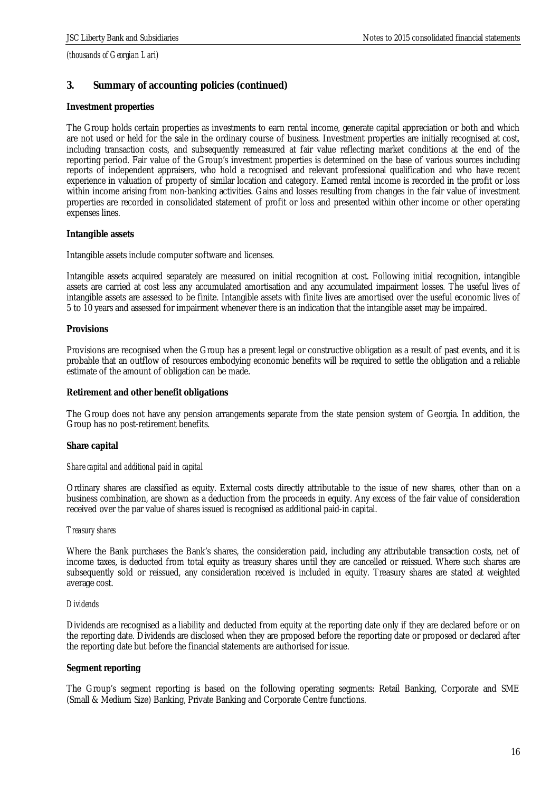## **3. Summary of accounting policies (continued)**

#### **Investment properties**

The Group holds certain properties as investments to earn rental income, generate capital appreciation or both and which are not used or held for the sale in the ordinary course of business. Investment properties are initially recognised at cost, including transaction costs, and subsequently remeasured at fair value reflecting market conditions at the end of the reporting period. Fair value of the Group's investment properties is determined on the base of various sources including reports of independent appraisers, who hold a recognised and relevant professional qualification and who have recent experience in valuation of property of similar location and category. Earned rental income is recorded in the profit or loss within income arising from non-banking activities. Gains and losses resulting from changes in the fair value of investment properties are recorded in consolidated statement of profit or loss and presented within other income or other operating expenses lines.

#### **Intangible assets**

Intangible assets include computer software and licenses.

Intangible assets acquired separately are measured on initial recognition at cost. Following initial recognition, intangible assets are carried at cost less any accumulated amortisation and any accumulated impairment losses. The useful lives of intangible assets are assessed to be finite. Intangible assets with finite lives are amortised over the useful economic lives of 5 to 10 years and assessed for impairment whenever there is an indication that the intangible asset may be impaired.

#### **Provisions**

Provisions are recognised when the Group has a present legal or constructive obligation as a result of past events, and it is probable that an outflow of resources embodying economic benefits will be required to settle the obligation and a reliable estimate of the amount of obligation can be made.

#### **Retirement and other benefit obligations**

The Group does not have any pension arrangements separate from the state pension system of Georgia. In addition, the Group has no post-retirement benefits.

#### **Share capital**

#### *Share capital and additional paid in capital*

Ordinary shares are classified as equity. External costs directly attributable to the issue of new shares, other than on a business combination, are shown as a deduction from the proceeds in equity. Any excess of the fair value of consideration received over the par value of shares issued is recognised as additional paid-in capital.

#### *Treasury shares*

Where the Bank purchases the Bank's shares, the consideration paid, including any attributable transaction costs, net of income taxes, is deducted from total equity as treasury shares until they are cancelled or reissued. Where such shares are subsequently sold or reissued, any consideration received is included in equity. Treasury shares are stated at weighted average cost.

#### *Dividends*

Dividends are recognised as a liability and deducted from equity at the reporting date only if they are declared before or on the reporting date. Dividends are disclosed when they are proposed before the reporting date or proposed or declared after the reporting date but before the financial statements are authorised for issue.

#### **Segment reporting**

The Group's segment reporting is based on the following operating segments: Retail Banking, Corporate and SME (Small & Medium Size) Banking, Private Banking and Corporate Centre functions.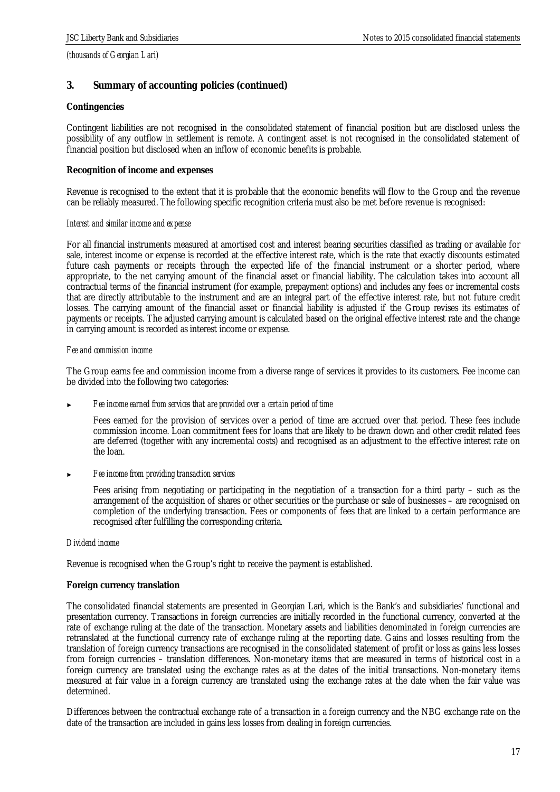## **3. Summary of accounting policies (continued)**

#### **Contingencies**

Contingent liabilities are not recognised in the consolidated statement of financial position but are disclosed unless the possibility of any outflow in settlement is remote. A contingent asset is not recognised in the consolidated statement of financial position but disclosed when an inflow of economic benefits is probable.

#### **Recognition of income and expenses**

Revenue is recognised to the extent that it is probable that the economic benefits will flow to the Group and the revenue can be reliably measured. The following specific recognition criteria must also be met before revenue is recognised:

#### *Interest and similar income and expense*

For all financial instruments measured at amortised cost and interest bearing securities classified as trading or available for sale, interest income or expense is recorded at the effective interest rate, which is the rate that exactly discounts estimated future cash payments or receipts through the expected life of the financial instrument or a shorter period, where appropriate, to the net carrying amount of the financial asset or financial liability. The calculation takes into account all contractual terms of the financial instrument (for example, prepayment options) and includes any fees or incremental costs that are directly attributable to the instrument and are an integral part of the effective interest rate, but not future credit losses. The carrying amount of the financial asset or financial liability is adjusted if the Group revises its estimates of payments or receipts. The adjusted carrying amount is calculated based on the original effective interest rate and the change in carrying amount is recorded as interest income or expense.

#### *Fee and commission income*

The Group earns fee and commission income from a diverse range of services it provides to its customers. Fee income can be divided into the following two categories:

#### ► *Fee income earned from services that are provided over a certain period of time*

Fees earned for the provision of services over a period of time are accrued over that period. These fees include commission income. Loan commitment fees for loans that are likely to be drawn down and other credit related fees are deferred (together with any incremental costs) and recognised as an adjustment to the effective interest rate on the loan.

#### ► *Fee income from providing transaction services*

Fees arising from negotiating or participating in the negotiation of a transaction for a third party – such as the arrangement of the acquisition of shares or other securities or the purchase or sale of businesses – are recognised on completion of the underlying transaction. Fees or components of fees that are linked to a certain performance are recognised after fulfilling the corresponding criteria.

#### *Dividend income*

Revenue is recognised when the Group's right to receive the payment is established.

#### **Foreign currency translation**

The consolidated financial statements are presented in Georgian Lari, which is the Bank's and subsidiaries' functional and presentation currency. Transactions in foreign currencies are initially recorded in the functional currency, converted at the rate of exchange ruling at the date of the transaction. Monetary assets and liabilities denominated in foreign currencies are retranslated at the functional currency rate of exchange ruling at the reporting date. Gains and losses resulting from the translation of foreign currency transactions are recognised in the consolidated statement of profit or loss as gains less losses from foreign currencies – translation differences. Non-monetary items that are measured in terms of historical cost in a foreign currency are translated using the exchange rates as at the dates of the initial transactions. Non-monetary items measured at fair value in a foreign currency are translated using the exchange rates at the date when the fair value was determined.

Differences between the contractual exchange rate of a transaction in a foreign currency and the NBG exchange rate on the date of the transaction are included in gains less losses from dealing in foreign currencies.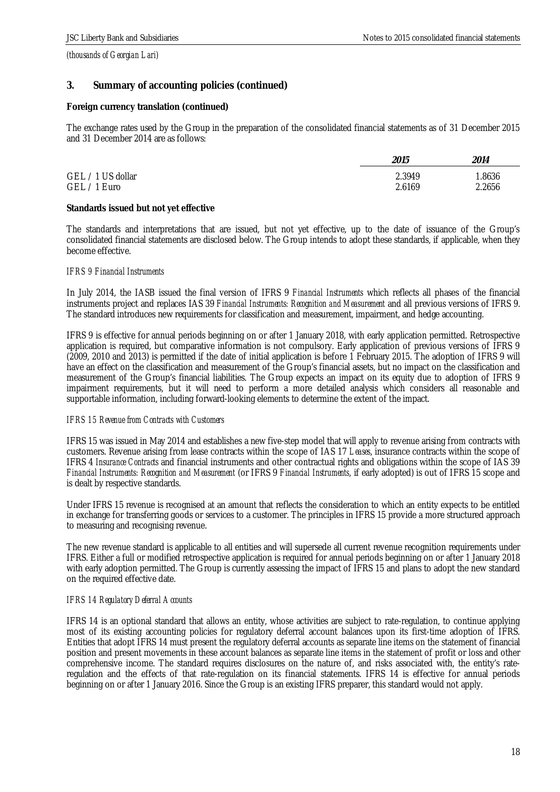## **3. Summary of accounting policies (continued)**

#### **Foreign currency translation (continued)**

The exchange rates used by the Group in the preparation of the consolidated financial statements as of 31 December 2015 and 31 December 2014 are as follows:

|                   | 2015   | 2014   |
|-------------------|--------|--------|
| GEL / 1 US dollar | 2.3949 | 1.8636 |
| GEL / 1 Euro      | 2.6169 | 2.2656 |

#### **Standards issued but not yet effective**

The standards and interpretations that are issued, but not yet effective, up to the date of issuance of the Group's consolidated financial statements are disclosed below. The Group intends to adopt these standards, if applicable, when they become effective.

#### *IFRS 9 Financial Instruments*

In July 2014, the IASB issued the final version of IFRS 9 *Financial Instruments* which reflects all phases of the financial instruments project and replaces IAS 39 *Financial Instruments: Recognition and Measurement* and all previous versions of IFRS 9. The standard introduces new requirements for classification and measurement, impairment, and hedge accounting.

IFRS 9 is effective for annual periods beginning on or after 1 January 2018, with early application permitted. Retrospective application is required, but comparative information is not compulsory. Early application of previous versions of IFRS 9 (2009, 2010 and 2013) is permitted if the date of initial application is before 1 February 2015. The adoption of IFRS 9 will have an effect on the classification and measurement of the Group's financial assets, but no impact on the classification and measurement of the Group's financial liabilities. The Group expects an impact on its equity due to adoption of IFRS 9 impairment requirements, but it will need to perform a more detailed analysis which considers all reasonable and supportable information, including forward-looking elements to determine the extent of the impact.

#### *IFRS 15 Revenue from Contracts with Customers*

IFRS 15 was issued in May 2014 and establishes a new five-step model that will apply to revenue arising from contracts with customers. Revenue arising from lease contracts within the scope of IAS 17 *Leases*, insurance contracts within the scope of IFRS 4 *Insurance Contracts* and financial instruments and other contractual rights and obligations within the scope of IAS 39 *Financial Instruments: Recognition and Measurement* (or IFRS 9 *Financial Instruments*, if early adopted) is out of IFRS 15 scope and is dealt by respective standards.

Under IFRS 15 revenue is recognised at an amount that reflects the consideration to which an entity expects to be entitled in exchange for transferring goods or services to a customer. The principles in IFRS 15 provide a more structured approach to measuring and recognising revenue.

The new revenue standard is applicable to all entities and will supersede all current revenue recognition requirements under IFRS. Either a full or modified retrospective application is required for annual periods beginning on or after 1 January 2018 with early adoption permitted. The Group is currently assessing the impact of IFRS 15 and plans to adopt the new standard on the required effective date.

#### *IFRS 14 Regulatory Deferral Accounts*

IFRS 14 is an optional standard that allows an entity, whose activities are subject to rate-regulation, to continue applying most of its existing accounting policies for regulatory deferral account balances upon its first-time adoption of IFRS. Entities that adopt IFRS 14 must present the regulatory deferral accounts as separate line items on the statement of financial position and present movements in these account balances as separate line items in the statement of profit or loss and other comprehensive income. The standard requires disclosures on the nature of, and risks associated with, the entity's rateregulation and the effects of that rate-regulation on its financial statements. IFRS 14 is effective for annual periods beginning on or after 1 January 2016. Since the Group is an existing IFRS preparer, this standard would not apply.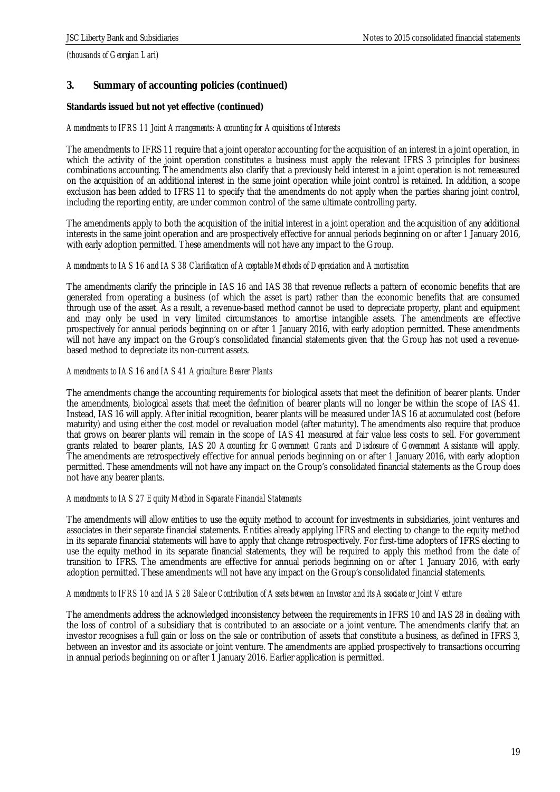## **3. Summary of accounting policies (continued)**

**Standards issued but not yet effective (continued)**

## *Amendments to IFRS 11 Joint Arrangements: Accounting for Acquisitions of Interests*

The amendments to IFRS 11 require that a joint operator accounting for the acquisition of an interest in a joint operation, in which the activity of the joint operation constitutes a business must apply the relevant IFRS 3 principles for business combinations accounting. The amendments also clarify that a previously held interest in a joint operation is not remeasured on the acquisition of an additional interest in the same joint operation while joint control is retained. In addition, a scope exclusion has been added to IFRS 11 to specify that the amendments do not apply when the parties sharing joint control, including the reporting entity, are under common control of the same ultimate controlling party.

The amendments apply to both the acquisition of the initial interest in a joint operation and the acquisition of any additional interests in the same joint operation and are prospectively effective for annual periods beginning on or after 1 January 2016, with early adoption permitted. These amendments will not have any impact to the Group.

#### *Amendments to IAS 16 and IAS 38 Clarification of Acceptable Methods of Depreciation and Amortisation*

The amendments clarify the principle in IAS 16 and IAS 38 that revenue reflects a pattern of economic benefits that are generated from operating a business (of which the asset is part) rather than the economic benefits that are consumed through use of the asset. As a result, a revenue-based method cannot be used to depreciate property, plant and equipment and may only be used in very limited circumstances to amortise intangible assets. The amendments are effective prospectively for annual periods beginning on or after 1 January 2016, with early adoption permitted. These amendments will not have any impact on the Group's consolidated financial statements given that the Group has not used a revenuebased method to depreciate its non-current assets.

#### *Amendments to IAS 16 and IAS 41 Agriculture: Bearer Plants*

The amendments change the accounting requirements for biological assets that meet the definition of bearer plants. Under the amendments, biological assets that meet the definition of bearer plants will no longer be within the scope of IAS 41. Instead, IAS 16 will apply. After initial recognition, bearer plants will be measured under IAS 16 at accumulated cost (before maturity) and using either the cost model or revaluation model (after maturity). The amendments also require that produce that grows on bearer plants will remain in the scope of IAS 41 measured at fair value less costs to sell. For government grants related to bearer plants, IAS 20 *Accounting for Government Grants and Disclosure of Government Assistance* will apply. The amendments are retrospectively effective for annual periods beginning on or after 1 January 2016, with early adoption permitted. These amendments will not have any impact on the Group's consolidated financial statements as the Group does not have any bearer plants.

#### *Amendments to IAS 27 Equity Method in Separate Financial Statements*

The amendments will allow entities to use the equity method to account for investments in subsidiaries, joint ventures and associates in their separate financial statements. Entities already applying IFRS and electing to change to the equity method in its separate financial statements will have to apply that change retrospectively. For first-time adopters of IFRS electing to use the equity method in its separate financial statements, they will be required to apply this method from the date of transition to IFRS. The amendments are effective for annual periods beginning on or after 1 January 2016, with early adoption permitted. These amendments will not have any impact on the Group's consolidated financial statements.

#### *Amendments to IFRS 10 and IAS 28 Sale or Contribution of Assets between an Investor and its Associate or Joint Venture*

The amendments address the acknowledged inconsistency between the requirements in IFRS 10 and IAS 28 in dealing with the loss of control of a subsidiary that is contributed to an associate or a joint venture. The amendments clarify that an investor recognises a full gain or loss on the sale or contribution of assets that constitute a business, as defined in IFRS 3, between an investor and its associate or joint venture. The amendments are applied prospectively to transactions occurring in annual periods beginning on or after 1 January 2016. Earlier application is permitted.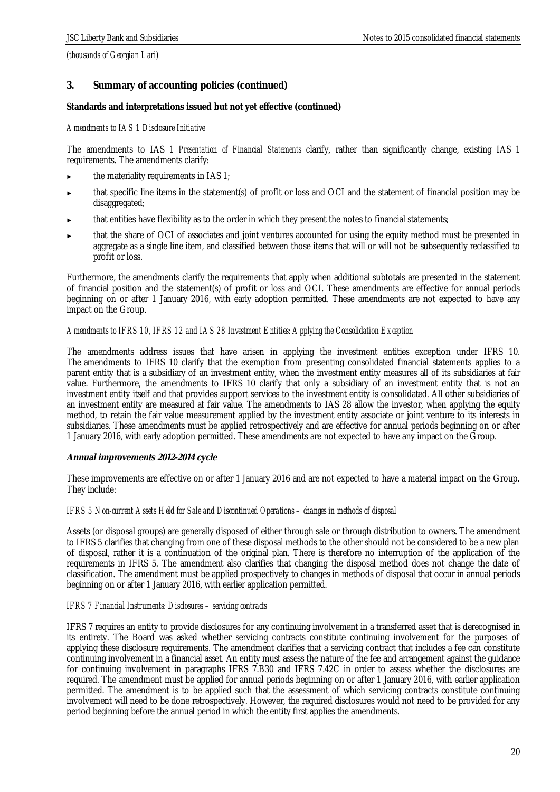## **3. Summary of accounting policies (continued)**

**Standards and interpretations issued but not yet effective (continued)**

#### *Amendments to IAS 1 Disclosure Initiative*

The amendments to IAS 1 *Presentation of Financial Statements* clarify, rather than significantly change, existing IAS 1 requirements. The amendments clarify:

- the materiality requirements in IAS  $1$ ;
- that specific line items in the statement(s) of profit or loss and OCI and the statement of financial position may be disaggregated;
- that entities have flexibility as to the order in which they present the notes to financial statements;
- that the share of OCI of associates and joint ventures accounted for using the equity method must be presented in aggregate as a single line item, and classified between those items that will or will not be subsequently reclassified to profit or loss.

Furthermore, the amendments clarify the requirements that apply when additional subtotals are presented in the statement of financial position and the statement(s) of profit or loss and OCI. These amendments are effective for annual periods beginning on or after 1 January 2016, with early adoption permitted. These amendments are not expected to have any impact on the Group.

#### *Amendments to IFRS 10, IFRS 12 and IAS 28 Investment Entities: Applying the Consolidation Exception*

The amendments address issues that have arisen in applying the investment entities exception under IFRS 10. The amendments to IFRS 10 clarify that the exemption from presenting consolidated financial statements applies to a parent entity that is a subsidiary of an investment entity, when the investment entity measures all of its subsidiaries at fair value. Furthermore, the amendments to IFRS 10 clarify that only a subsidiary of an investment entity that is not an investment entity itself and that provides support services to the investment entity is consolidated. All other subsidiaries of an investment entity are measured at fair value. The amendments to IAS 28 allow the investor, when applying the equity method, to retain the fair value measurement applied by the investment entity associate or joint venture to its interests in subsidiaries. These amendments must be applied retrospectively and are effective for annual periods beginning on or after 1 January 2016, with early adoption permitted. These amendments are not expected to have any impact on the Group.

#### **Annual improvements 2012-2014 cycle**

These improvements are effective on or after 1 January 2016 and are not expected to have a material impact on the Group. They include:

#### *IFRS 5 Non-current Assets Held for Sale and Discontinued Operations – changes in methods of disposal*

Assets (or disposal groups) are generally disposed of either through sale or through distribution to owners. The amendment to IFRS 5 clarifies that changing from one of these disposal methods to the other should not be considered to be a new plan of disposal, rather it is a continuation of the original plan. There is therefore no interruption of the application of the requirements in IFRS 5. The amendment also clarifies that changing the disposal method does not change the date of classification. The amendment must be applied prospectively to changes in methods of disposal that occur in annual periods beginning on or after 1 January 2016, with earlier application permitted.

#### *IFRS 7 Financial Instruments: Disclosures – servicing contracts*

IFRS 7 requires an entity to provide disclosures for any continuing involvement in a transferred asset that is derecognised in its entirety. The Board was asked whether servicing contracts constitute continuing involvement for the purposes of applying these disclosure requirements. The amendment clarifies that a servicing contract that includes a fee can constitute continuing involvement in a financial asset. An entity must assess the nature of the fee and arrangement against the guidance for continuing involvement in paragraphs IFRS 7.B30 and IFRS 7.42C in order to assess whether the disclosures are required. The amendment must be applied for annual periods beginning on or after 1 January 2016, with earlier application permitted. The amendment is to be applied such that the assessment of which servicing contracts constitute continuing involvement will need to be done retrospectively. However, the required disclosures would not need to be provided for any period beginning before the annual period in which the entity first applies the amendments.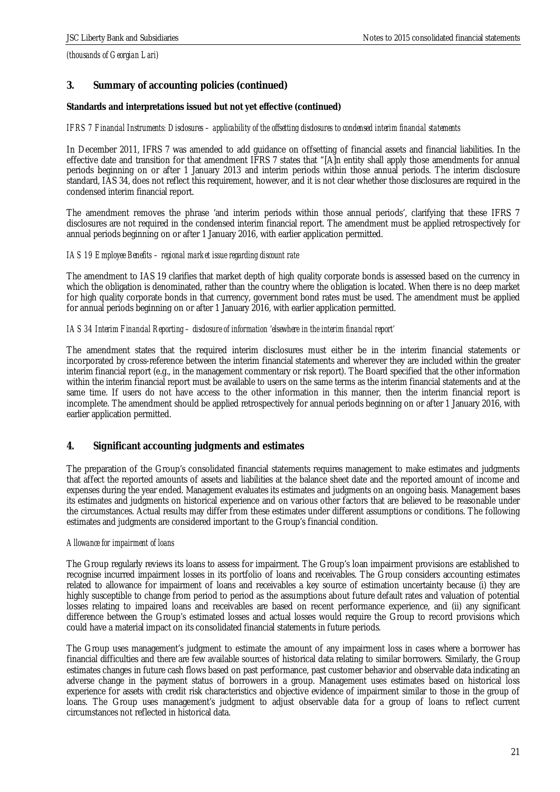## **3. Summary of accounting policies (continued)**

**Standards and interpretations issued but not yet effective (continued)**

### *IFRS 7 Financial Instruments: Disclosures – applicability of the offsetting disclosures to condensed interim financial statements*

In December 2011, IFRS 7 was amended to add guidance on offsetting of financial assets and financial liabilities. In the effective date and transition for that amendment IFRS 7 states that "[A]n entity shall apply those amendments for annual periods beginning on or after 1 January 2013 and interim periods within those annual periods. The interim disclosure standard, IAS 34, does not reflect this requirement, however, and it is not clear whether those disclosures are required in the condensed interim financial report.

The amendment removes the phrase 'and interim periods within those annual periods', clarifying that these IFRS 7 disclosures are not required in the condensed interim financial report. The amendment must be applied retrospectively for annual periods beginning on or after 1 January 2016, with earlier application permitted.

#### *IAS 19 Employee Benefits – regional market issue regarding discount rate*

The amendment to IAS 19 clarifies that market depth of high quality corporate bonds is assessed based on the currency in which the obligation is denominated, rather than the country where the obligation is located. When there is no deep market for high quality corporate bonds in that currency, government bond rates must be used. The amendment must be applied for annual periods beginning on or after 1 January 2016, with earlier application permitted.

#### *IAS 34 Interim Financial Reporting – disclosure of information 'elsewhere in the interim financial report'*

The amendment states that the required interim disclosures must either be in the interim financial statements or incorporated by cross-reference between the interim financial statements and wherever they are included within the greater interim financial report (e.g., in the management commentary or risk report). The Board specified that the other information within the interim financial report must be available to users on the same terms as the interim financial statements and at the same time. If users do not have access to the other information in this manner, then the interim financial report is incomplete. The amendment should be applied retrospectively for annual periods beginning on or after 1 January 2016, with earlier application permitted.

## <span id="page-23-0"></span>**4. Significant accounting judgments and estimates**

The preparation of the Group's consolidated financial statements requires management to make estimates and judgments that affect the reported amounts of assets and liabilities at the balance sheet date and the reported amount of income and expenses during the year ended. Management evaluates its estimates and judgments on an ongoing basis. Management bases its estimates and judgments on historical experience and on various other factors that are believed to be reasonable under the circumstances. Actual results may differ from these estimates under different assumptions or conditions. The following estimates and judgments are considered important to the Group's financial condition.

#### *Allowance for impairment of loans*

The Group regularly reviews its loans to assess for impairment. The Group's loan impairment provisions are established to recognise incurred impairment losses in its portfolio of loans and receivables. The Group considers accounting estimates related to allowance for impairment of loans and receivables a key source of estimation uncertainty because (i) they are highly susceptible to change from period to period as the assumptions about future default rates and valuation of potential losses relating to impaired loans and receivables are based on recent performance experience, and (ii) any significant difference between the Group's estimated losses and actual losses would require the Group to record provisions which could have a material impact on its consolidated financial statements in future periods.

The Group uses management's judgment to estimate the amount of any impairment loss in cases where a borrower has financial difficulties and there are few available sources of historical data relating to similar borrowers. Similarly, the Group estimates changes in future cash flows based on past performance, past customer behavior and observable data indicating an adverse change in the payment status of borrowers in a group. Management uses estimates based on historical loss experience for assets with credit risk characteristics and objective evidence of impairment similar to those in the group of loans. The Group uses management's judgment to adjust observable data for a group of loans to reflect current circumstances not reflected in historical data.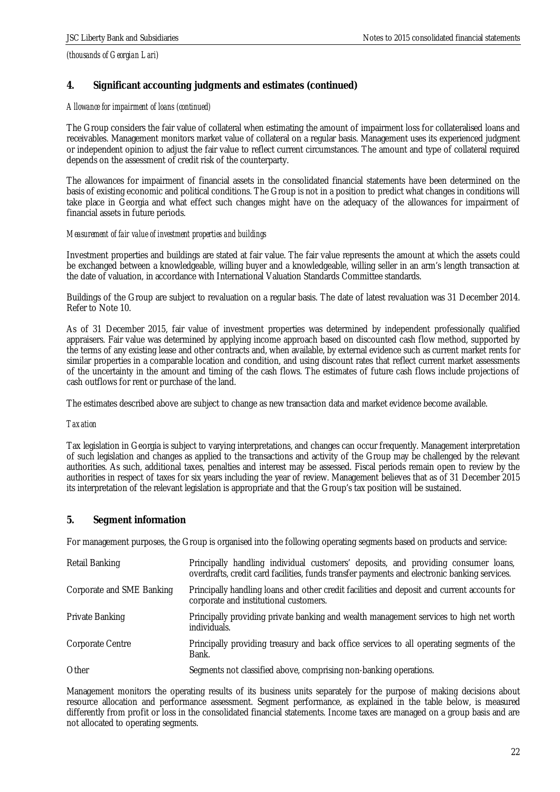## **4. Significant accounting judgments and estimates (continued)**

#### *Allowance for impairment of loans (continued)*

The Group considers the fair value of collateral when estimating the amount of impairment loss for collateralised loans and receivables. Management monitors market value of collateral on a regular basis. Management uses its experienced judgment or independent opinion to adjust the fair value to reflect current circumstances. The amount and type of collateral required depends on the assessment of credit risk of the counterparty.

The allowances for impairment of financial assets in the consolidated financial statements have been determined on the basis of existing economic and political conditions. The Group is not in a position to predict what changes in conditions will take place in Georgia and what effect such changes might have on the adequacy of the allowances for impairment of financial assets in future periods.

#### *Measurement of fair value of investment properties and buildings*

Investment properties and buildings are stated at fair value. The fair value represents the amount at which the assets could be exchanged between a knowledgeable, willing buyer and a knowledgeable, willing seller in an arm's length transaction at the date of valuation, in accordance with International Valuation Standards Committee standards.

Buildings of the Group are subject to revaluation on a regular basis. The date of latest revaluation was 31 December 2014. Refer to Note 10.

As of 31 December 2015, fair value of investment properties was determined by independent professionally qualified appraisers. Fair value was determined by applying income approach based on discounted cash flow method, supported by the terms of any existing lease and other contracts and, when available, by external evidence such as current market rents for similar properties in a comparable location and condition, and using discount rates that reflect current market assessments of the uncertainty in the amount and timing of the cash flows. The estimates of future cash flows include projections of cash outflows for rent or purchase of the land.

The estimates described above are subject to change as new transaction data and market evidence become available.

#### *Taxation*

Tax legislation in Georgia is subject to varying interpretations, and changes can occur frequently. Management interpretation of such legislation and changes as applied to the transactions and activity of the Group may be challenged by the relevant authorities. As such, additional taxes, penalties and interest may be assessed. Fiscal periods remain open to review by the authorities in respect of taxes for six years including the year of review. Management believes that as of 31 December 2015 its interpretation of the relevant legislation is appropriate and that the Group's tax position will be sustained.

## <span id="page-24-0"></span>**5. Segment information**

For management purposes, the Group is organised into the following operating segments based on products and service:

| Retail Banking            | Principally handling individual customers' deposits, and providing consumer loans,<br>overdrafts, credit card facilities, funds transfer payments and electronic banking services. |
|---------------------------|------------------------------------------------------------------------------------------------------------------------------------------------------------------------------------|
| Corporate and SME Banking | Principally handling loans and other credit facilities and deposit and current accounts for<br>corporate and institutional customers.                                              |
| Private Banking           | Principally providing private banking and wealth management services to high net worth<br>individuals.                                                                             |
| Corporate Centre          | Principally providing treasury and back office services to all operating segments of the<br>Bank.                                                                                  |
| Other                     | Segments not classified above, comprising non-banking operations.                                                                                                                  |

Management monitors the operating results of its business units separately for the purpose of making decisions about resource allocation and performance assessment. Segment performance, as explained in the table below, is measured differently from profit or loss in the consolidated financial statements. Income taxes are managed on a group basis and are not allocated to operating segments.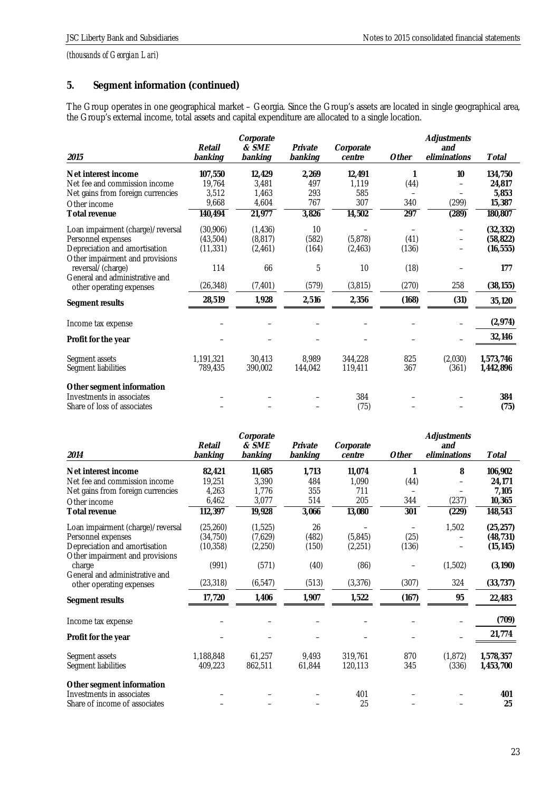## **5. Segment information (continued)**

The Group operates in one geographical market – Georgia. Since the Group's assets are located in single geographical area, the Group's external income, total assets and capital expenditure are allocated to a single location.

|                                                            | Retail    | Corporate<br>& SME | Private | Corporate |       | Adjustments<br>and |           |
|------------------------------------------------------------|-----------|--------------------|---------|-----------|-------|--------------------|-----------|
| 2015                                                       | banking   | banking            | banking | centre    | Other | eliminations       | Total     |
| Net interest income                                        | 107,550   | 12,429             | 2,269   | 12,491    |       | 10                 | 134,750   |
| Net fee and commission income                              | 19,764    | 3,481              | 497     | 1,119     | (44)  |                    | 24,817    |
| Net gains from foreign currencies                          | 3,512     | 1,463              | 293     | 585       |       |                    | 5,853     |
| Other income                                               | 9,668     | 4,604              | 767     | 307       | 340   | (299)              | 15,387    |
| Total revenue                                              | 140,494   | 21,977             | 3,826   | 14,502    | 297   | (289)              | 180,807   |
| Loan impairment (charge)/reversal                          | (30,906)  | (1, 436)           | 10      |           |       |                    | (32, 332) |
| Personnel expenses                                         | (43,504)  | (8, 817)           | (582)   | (5,878)   | (41)  |                    | (58, 822) |
| Depreciation and amortisation                              | (11, 331) | (2,461)            | (164)   | (2, 463)  | (136) |                    | (16, 555) |
| Other impairment and provisions<br>reversal/(charge)       | 114       | 66                 | 5       | 10        | (18)  |                    | 177       |
| General and administrative and<br>other operating expenses | (26, 348) | (7, 401)           | (579)   | (3,815)   | (270) | 258                | (38, 155) |
| Segment results                                            | 28,519    | 1,928              | 2,516   | 2,356     | (168) | (31)               | 35,120    |
| Income tax expense                                         |           |                    |         |           |       |                    | (2, 974)  |
| Profit for the year                                        |           |                    |         |           |       |                    | 32,146    |
| Segment assets                                             | 1,191,321 | 30,413             | 8,989   | 344.228   | 825   | (2,030)            | 1,573,746 |
| Segment liabilities                                        | 789,435   | 390,002            | 144,042 | 119,411   | 367   | (361)              | 1,442,896 |
| Other segment information                                  |           |                    |         |           |       |                    |           |
| Investments in associates                                  |           |                    |         | 384       |       |                    | 384       |
| Share of loss of associates                                |           |                    |         | (75)      |       |                    | (75)      |

|                                                            | Retail    | Corporate<br>& SME | Private | Corporate |       | Adjustments<br>and |           |
|------------------------------------------------------------|-----------|--------------------|---------|-----------|-------|--------------------|-----------|
| 2014                                                       | banking   | banking            | banking | centre    | Other | eliminations       | Total     |
| Net interest income                                        | 82,421    | 11,685             | 1,713   | 11,074    |       | 8                  | 106,902   |
| Net fee and commission income                              | 19,251    | 3,390              | 484     | 1,090     | (44)  |                    | 24,171    |
| Net gains from foreign currencies                          | 4,263     | 1.776              | 355     | 711       |       |                    | 7,105     |
| Other income                                               | 6,462     | 3,077              | 514     | 205       | 344   | (237)              | 10,365    |
| Total revenue                                              | 112,397   | 19,928             | 3,066   | 13,080    | 301   | (229)              | 148,543   |
| Loan impairment (charge)/reversal                          | (25, 260) | (1,525)            | 26      |           |       | 1,502              | (25, 257) |
| Personnel expenses                                         | (34,750)  | (7,629)            | (482)   | (5,845)   | (25)  |                    | (48, 731) |
| Depreciation and amortisation                              | (10, 358) | (2,250)            | (150)   | (2, 251)  | (136) |                    | (15, 145) |
| Other impairment and provisions<br>charge                  | (991)     | (571)              | (40)    | (86)      |       | (1,502)            | (3, 190)  |
| General and administrative and<br>other operating expenses | (23, 318) | (6, 547)           | (513)   | (3,376)   | (307) | 324                | (33, 737) |
| Segment results                                            | 17,720    | 1,406              | 1,907   | 1,522     | (167) | 95                 | 22,483    |
| Income tax expense                                         |           |                    |         |           |       |                    | (709)     |
| Profit for the year                                        |           |                    |         |           |       |                    | 21,774    |
| Segment assets                                             | 1,188,848 | 61,257             | 9,493   | 319,761   | 870   | (1, 872)           | 1,578,357 |
| Segment liabilities                                        | 409,223   | 862,511            | 61,844  | 120,113   | 345   | (336)              | 1,453,700 |
| Other segment information                                  |           |                    |         |           |       |                    |           |
| Investments in associates                                  |           |                    |         | 401       |       |                    | 401       |
| Share of income of associates                              |           |                    |         | 25        |       |                    | 25        |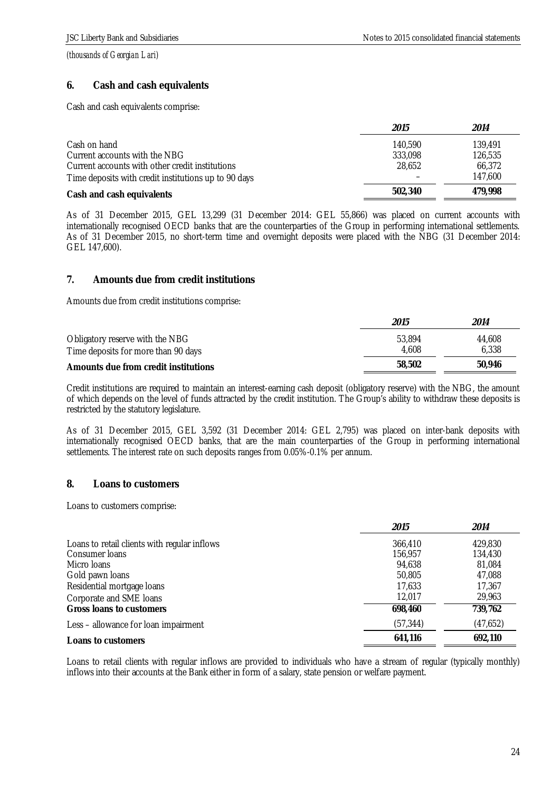## <span id="page-26-0"></span>**6. Cash and cash equivalents**

Cash and cash equivalents comprise:

|                                                      | 2015    | 2014    |
|------------------------------------------------------|---------|---------|
| Cash on hand                                         | 140.590 | 139,491 |
| Current accounts with the NBG                        | 333.098 | 126.535 |
| Current accounts with other credit institutions      | 28.652  | 66,372  |
| Time deposits with credit institutions up to 90 days |         | 147.600 |
| Cash and cash equivalents                            | 502,340 | 479.998 |

As of 31 December 2015, GEL 13,299 (31 December 2014: GEL 55,866) was placed on current accounts with internationally recognised OECD banks that are the counterparties of the Group in performing international settlements. As of 31 December 2015, no short-term time and overnight deposits were placed with the NBG (31 December 2014: GEL 147,600).

## <span id="page-26-1"></span>**7. Amounts due from credit institutions**

Amounts due from credit institutions comprise:

|                                                                        | 2015            | 2014            |
|------------------------------------------------------------------------|-----------------|-----------------|
| Obligatory reserve with the NBG<br>Time deposits for more than 90 days | 53.894<br>4.608 | 44,608<br>6.338 |
| Amounts due from credit institutions                                   | 58.502          | 50,946          |

Credit institutions are required to maintain an interest-earning cash deposit (obligatory reserve) with the NBG, the amount of which depends on the level of funds attracted by the credit institution. The Group's ability to withdraw these deposits is restricted by the statutory legislature.

As of 31 December 2015, GEL 3,592 (31 December 2014: GEL 2,795) was placed on inter-bank deposits with internationally recognised OECD banks, that are the main counterparties of the Group in performing international settlements. The interest rate on such deposits ranges from 0.05%-0.1% per annum.

## <span id="page-26-2"></span>**8. Loans to customers**

Loans to customers comprise:

|                                              | 2015      | 2014      |
|----------------------------------------------|-----------|-----------|
| Loans to retail clients with regular inflows | 366,410   | 429,830   |
| Consumer Ioans                               | 156.957   | 134,430   |
| Micro Ioans                                  | 94.638    | 81,084    |
| Gold pawn loans                              | 50,805    | 47.088    |
| Residential mortgage loans                   | 17.633    | 17.367    |
| Corporate and SME Ioans                      | 12,017    | 29,963    |
| Gross loans to customers                     | 698.460   | 739,762   |
| Less - allowance for loan impairment         | (57, 344) | (47, 652) |
| Loans to customers                           | 641.116   | 692,110   |

Loans to retail clients with regular inflows are provided to individuals who have a stream of regular (typically monthly) inflows into their accounts at the Bank either in form of a salary, state pension or welfare payment.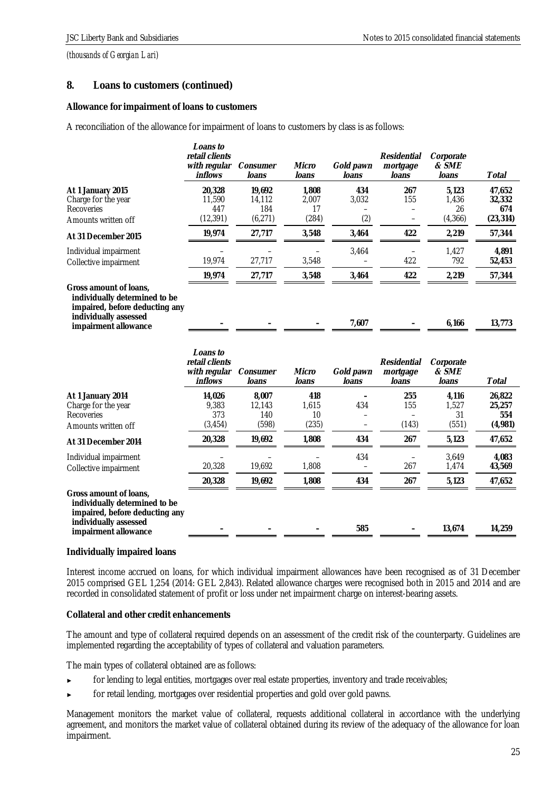#### **8. Loans to customers (continued)**

#### **Allowance for impairment of loans to customers**

A reconciliation of the allowance for impairment of loans to customers by class is as follows:

|                                                                                                                                            | Loans to<br>retail clients<br>with regular<br><i>inflows</i> | Consumer<br>loans                  | Micro<br>loans                | Gold pawn<br>loans              | Residential<br>mortgage<br>loans     | Corporate<br>& SME<br>loans     | Total                                |
|--------------------------------------------------------------------------------------------------------------------------------------------|--------------------------------------------------------------|------------------------------------|-------------------------------|---------------------------------|--------------------------------------|---------------------------------|--------------------------------------|
| At 1 January 2015<br>Charge for the year<br>Recoveries<br>Amounts written off                                                              | 20,328<br>11,590<br>447<br>(12, 391)                         | 19,692<br>14,112<br>184<br>(6,271) | 1,808<br>2,007<br>17<br>(284) | 434<br>3,032<br>(2)             | 267<br>155<br>-<br>$\qquad \qquad -$ | 5,123<br>1,436<br>26<br>(4,366) | 47,652<br>32,332<br>674<br>(23, 314) |
| At 31 December 2015                                                                                                                        | 19,974                                                       | 27,717                             | 3,548                         | 3,464                           | 422                                  | 2,219                           | 57,344                               |
| Individual impairment<br>Collective impairment                                                                                             | 19,974                                                       | 27,717                             | 3,548                         | 3,464                           | 422                                  | 1,427<br>792                    | 4,891<br>52,453                      |
| Gross amount of loans,<br>individually determined to be<br>impaired, before deducting any<br>individually assessed<br>impairment allowance | 19,974                                                       | 27,717                             | 3,548                         | 3,464<br>7,607                  | 422                                  | 2,219<br>6,166                  | 57,344<br>13,773                     |
|                                                                                                                                            | Loans to<br>retail clients<br>with regular<br><i>inflows</i> | Consumer<br>loans                  | Micro<br>loans                | Gold pawn<br>loans              | Residential<br>mortgage<br>loans     | Corporate<br>& SME<br>loans     | Total                                |
| At 1 January 2014<br>Charge for the year<br>Recoveries<br>Amounts written off                                                              | 14,026<br>9,383<br>373<br>(3, 454)                           | 8,007<br>12,143<br>140<br>(598)    | 418<br>1,615<br>10<br>(235)   | 434<br>$\equiv$                 | 255<br>155<br>(143)                  | 4,116<br>1,527<br>31<br>(551)   | 26,822<br>25,257<br>554<br>(4,981)   |
| At 31 December 2014                                                                                                                        | 20,328                                                       | 19,692                             | 1,808                         | 434                             | 267                                  | 5,123                           | 47,652                               |
| Individual impairment<br>Collective impairment                                                                                             | 20,328                                                       | 19,692                             | 1,808                         | 434<br>$\overline{\phantom{0}}$ | 267                                  | 3,649<br>1,474                  | 4,083<br>43,569                      |
|                                                                                                                                            | 20,328                                                       | 19,692                             | 1,808                         | 434                             | 267                                  | 5,123                           | 47,652                               |
| Gross amount of loans,<br>individually determined to be<br>impaired, before deducting any<br>individually assessed                         |                                                              |                                    |                               | 585                             |                                      |                                 |                                      |
| impairment allowance                                                                                                                       |                                                              |                                    |                               |                                 |                                      | 13,674                          | 14,259                               |

#### **Individually impaired loans**

Interest income accrued on loans, for which individual impairment allowances have been recognised as of 31 December 2015 comprised GEL 1,254 (2014: GEL 2,843). Related allowance charges were recognised both in 2015 and 2014 and are recorded in consolidated statement of profit or loss under net impairment charge on interest-bearing assets.

#### **Collateral and other credit enhancements**

The amount and type of collateral required depends on an assessment of the credit risk of the counterparty. Guidelines are implemented regarding the acceptability of types of collateral and valuation parameters.

The main types of collateral obtained are as follows:

- for lending to legal entities, mortgages over real estate properties, inventory and trade receivables;
- for retail lending, mortgages over residential properties and gold over gold pawns.

Management monitors the market value of collateral, requests additional collateral in accordance with the underlying agreement, and monitors the market value of collateral obtained during its review of the adequacy of the allowance for loan impairment.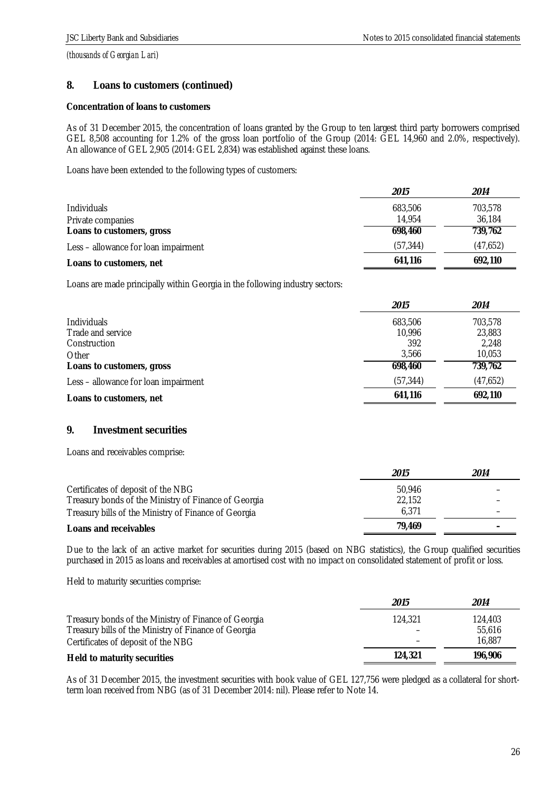## **8. Loans to customers (continued)**

**Concentration of loans to customers**

As of 31 December 2015, the concentration of loans granted by the Group to ten largest third party borrowers comprised GEL 8,508 accounting for 1.2% of the gross loan portfolio of the Group (2014: GEL 14,960 and 2.0%, respectively). An allowance of GEL 2,905 (2014: GEL 2,834) was established against these loans.

Loans have been extended to the following types of customers:

|                                      | 2015      | 2014      |
|--------------------------------------|-----------|-----------|
| <b>Individuals</b>                   | 683.506   | 703,578   |
| Private companies                    | 14.954    | 36,184    |
| Loans to customers, gross            | 698,460   | 739.762   |
| Less - allowance for loan impairment | (57, 344) | (47, 652) |
| Loans to customers, net              | 641.116   | 692.110   |

Loans are made principally within Georgia in the following industry sectors:

|                                      | 2015      | 2014      |
|--------------------------------------|-----------|-----------|
| <b>Individuals</b>                   | 683.506   | 703,578   |
| Trade and service                    | 10.996    | 23,883    |
| Construction                         | 392       | 2.248     |
| Other                                | 3.566     | 10,053    |
| Loans to customers, gross            | 698,460   | 739,762   |
| Less - allowance for loan impairment | (57, 344) | (47, 652) |
| Loans to customers, net              | 641,116   | 692,110   |

## <span id="page-28-0"></span>**9. Investment securities**

Loans and receivables comprise:

|                                                      | 2015   | 2014 |
|------------------------------------------------------|--------|------|
| Certificates of deposit of the NBG                   | 50,946 |      |
| Treasury bonds of the Ministry of Finance of Georgia | 22.152 |      |
| Treasury bills of the Ministry of Finance of Georgia | 6.371  |      |
| Loans and receivables                                | 79.469 |      |

Due to the lack of an active market for securities during 2015 (based on NBG statistics), the Group qualified securities purchased in 2015 as loans and receivables at amortised cost with no impact on consolidated statement of profit or loss.

Held to maturity securities comprise:

|                                                                                                                                                    | 2015    | 2014                        |
|----------------------------------------------------------------------------------------------------------------------------------------------------|---------|-----------------------------|
| Treasury bonds of the Ministry of Finance of Georgia<br>Treasury bills of the Ministry of Finance of Georgia<br>Certificates of deposit of the NBG | 124,321 | 124,403<br>55.616<br>16.887 |
| Held to maturity securities                                                                                                                        | 124.321 | 196.906                     |

As of 31 December 2015, the investment securities with book value of GEL 127,756 were pledged as a collateral for shortterm loan received from NBG (as of 31 December 2014: nil). Please refer to Note 14.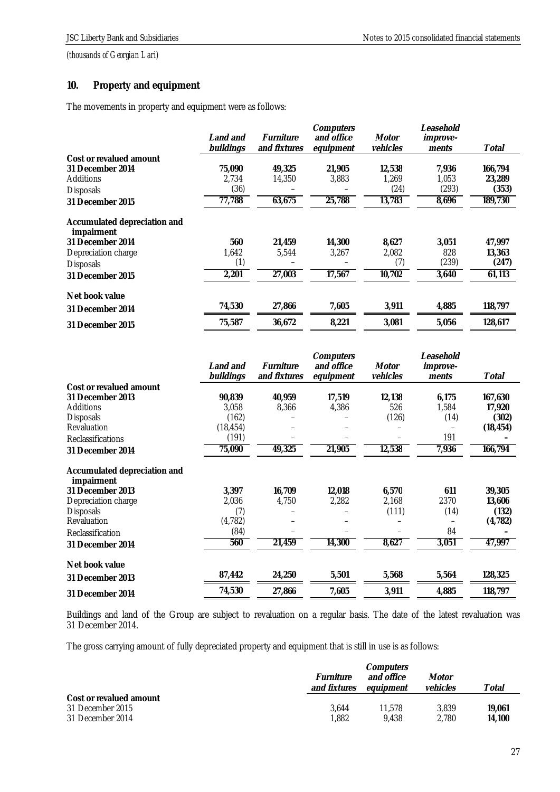## <span id="page-29-0"></span>**10. Property and equipment**

The movements in property and equipment were as follows:

|                                            |           |              | Computers  |          | Leasehold       |         |
|--------------------------------------------|-----------|--------------|------------|----------|-----------------|---------|
|                                            | Land and  | Furniture    | and office | Motor    | <i>improve-</i> |         |
|                                            | buildings | and fixtures | equipment  | vehicles | ments           | Total   |
| Cost or revalued amount                    |           |              |            |          |                 |         |
| 31 December 2014                           | 75,090    | 49.325       | 21,905     | 12,538   | 7,936           | 166,794 |
| Additions                                  | 2,734     | 14,350       | 3,883      | 1.269    | 1,053           | 23,289  |
| <b>Disposals</b>                           | (36)      |              |            | (24)     | (293)           | (353)   |
| 31 December 2015                           | 77,788    | 63,675       | 25,788     | 13,783   | 8,696           | 189,730 |
| Accumulated depreciation and<br>impairment |           |              |            |          |                 |         |
| 31 December 2014                           | 560       | 21.459       | 14,300     | 8.627    | 3.051           | 47,997  |
| Depreciation charge                        | 1,642     | 5,544        | 3,267      | 2,082    | 828             | 13,363  |
| <b>Disposals</b>                           | (1)       |              |            | (7)      | (239)           | (247)   |
| 31 December 2015                           | 2,201     | 27,003       | 17,567     | 10,702   | 3,640           | 61,113  |
| Net book value                             |           |              |            |          |                 |         |
| 31 December 2014                           | 74,530    | 27.866       | 7.605      | 3,911    | 4.885           | 118,797 |
| 31 December 2015                           | 75,587    | 36,672       | 8,221      | 3,081    | 5,056           | 128,617 |

|                                            |           |              | Computers  |          | Leasehold       |           |
|--------------------------------------------|-----------|--------------|------------|----------|-----------------|-----------|
|                                            | Land and  | Furniture    | and office | Motor    | <i>improve-</i> |           |
|                                            | buildings | and fixtures | equipment  | vehicles | ments           | Total     |
| Cost or revalued amount                    |           |              |            |          |                 |           |
| 31 December 2013                           | 90,839    | 40,959       | 17,519     | 12,138   | 6,175           | 167,630   |
| Additions                                  | 3,058     | 8,366        | 4,386      | 526      | 1,584           | 17,920    |
| <b>Disposals</b>                           | (162)     |              |            | (126)    | (14)            | (302)     |
| Revaluation                                | (18, 454) |              |            |          |                 | (18, 454) |
| Reclassifications                          | (191)     |              |            |          | 191             |           |
| 31 December 2014                           | 75,090    | 49,325       | 21,905     | 12,538   | 7,936           | 166,794   |
| Accumulated depreciation and<br>impairment |           |              |            |          |                 |           |
| 31 December 2013                           | 3,397     | 16,709       | 12,018     | 6,570    | 611             | 39,305    |
| Depreciation charge                        | 2,036     | 4,750        | 2,282      | 2,168    | 2370            | 13,606    |
| <b>Disposals</b>                           | (7)       |              |            | (111)    | (14)            | (132)     |
| Revaluation                                | (4, 782)  |              |            |          |                 | (4, 782)  |
| Reclassification                           | (84)      |              |            |          | 84              |           |
| 31 December 2014                           | 560       | 21,459       | 14,300     | 8,627    | 3,051           | 47,997    |
| Net book value                             |           |              |            |          |                 |           |
| 31 December 2013                           | 87,442    | 24,250       | 5,501      | 5,568    | 5,564           | 128,325   |
| 31 December 2014                           | 74,530    | 27,866       | 7,605      | 3,911    | 4,885           | 118,797   |

Buildings and land of the Group are subject to revaluation on a regular basis. The date of the latest revaluation was 31 December 2014.

The gross carrying amount of fully depreciated property and equipment that is still in use is as follows:

|                         | Furniture<br>and fixtures | Computers<br>and office<br>eauipment | Motor<br>vehicles | Total  |
|-------------------------|---------------------------|--------------------------------------|-------------------|--------|
| Cost or revalued amount |                           |                                      |                   |        |
| 31 December 2015        | 3.644                     | 11.578                               | 3.839             | 19,061 |
| 31 December 2014        | 1.882                     | 9.438                                | 2.780             | 14,100 |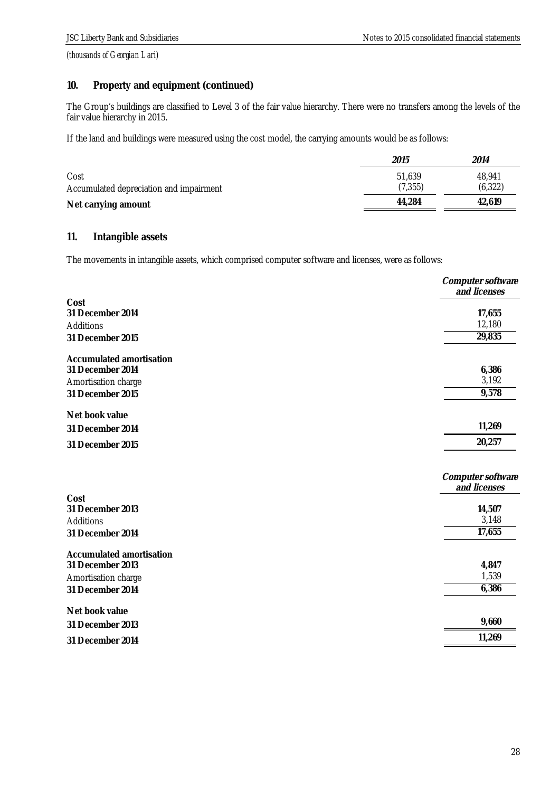## **10. Property and equipment (continued)**

The Group's buildings are classified to Level 3 of the fair value hierarchy. There were no transfers among the levels of the fair value hierarchy in 2015.

If the land and buildings were measured using the cost model, the carrying amounts would be as follows:

|                                         | 2015     | 2014     |
|-----------------------------------------|----------|----------|
| Cost                                    | 51.639   | 48.941   |
| Accumulated depreciation and impairment | (7, 355) | (6, 322) |
| Net carrying amount                     | 44.284   | 42.619   |

## <span id="page-30-0"></span>**11. Intangible assets**

The movements in intangible assets, which comprised computer software and licenses, were as follows:

|                                         | Computer software<br>and licenses |
|-----------------------------------------|-----------------------------------|
| Cost<br>31 December 2014                | 17,655                            |
| Additions                               | 12,180                            |
| 31 December 2015                        | 29,835                            |
| Accumulated amortisation                |                                   |
| 31 December 2014                        | 6,386<br>3,192                    |
| Amortisation charge<br>31 December 2015 | 9,578                             |
| Net book value                          |                                   |
| 31 December 2014                        | 11,269                            |
| 31 December 2015                        | 20,257                            |
|                                         |                                   |
|                                         | Computer software<br>and licenses |
| Cost                                    |                                   |
| 31 December 2013                        | 14,507                            |
| Additions                               | 3,148                             |
| 31 December 2014                        | 17,655                            |
|                                         |                                   |
| Accumulated amortisation                |                                   |
| 31 December 2013                        | 4,847                             |
| Amortisation charge                     | 1,539                             |
| 31 December 2014                        | 6,386                             |
| Net book value                          |                                   |
| 31 December 2013<br>31 December 2014    | 9,660<br>11,269                   |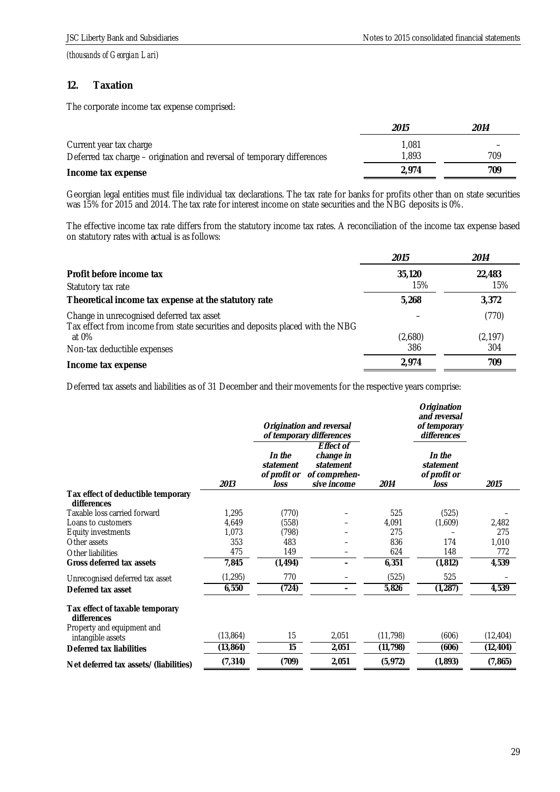#### <span id="page-31-0"></span>**12. Taxation**

The corporate income tax expense comprised:

|                                                                         | 2015  | 2014 |
|-------------------------------------------------------------------------|-------|------|
| Current year tax charge                                                 | 1.081 |      |
| Deferred tax charge – origination and reversal of temporary differences | 1.893 | 709  |
| Income tax expense                                                      | 2.974 | 709  |

Georgian legal entities must file individual tax declarations. The tax rate for banks for profits other than on state securities was 15% for 2015 and 2014. The tax rate for interest income on state securities and the NBG deposits is 0%.

The effective income tax rate differs from the statutory income tax rates. A reconciliation of the income tax expense based on statutory rates with actual is as follows:

|                                                                                                                            | 2015           | 2014            |
|----------------------------------------------------------------------------------------------------------------------------|----------------|-----------------|
| Profit before income tax<br>Statutory tax rate                                                                             | 35,120<br>15%  | 22,483<br>15%   |
| Theoretical income tax expense at the statutory rate                                                                       | 5,268          | 3,372           |
| Change in unrecognised deferred tax asset<br>Tax effect from income from state securities and deposits placed with the NBG |                | (770)           |
| at $0\%$<br>Non-tax deductible expenses                                                                                    | (2,680)<br>386 | (2, 197)<br>304 |
| Income tax expense                                                                                                         | 2,974          | 709             |

Deferred tax assets and liabilities as of 31 December and their movements for the respective years comprise:

|                                                   |           |                                     | Origination and reversal<br>of temporary differences<br>Effect of |           | Origination<br>and reversal<br>of temporary<br>differences |           |
|---------------------------------------------------|-----------|-------------------------------------|-------------------------------------------------------------------|-----------|------------------------------------------------------------|-----------|
|                                                   |           | In the<br>statement<br>of profit or | change in<br>statement<br>of comprehen-                           |           | In the<br>statement<br>of profit or                        |           |
|                                                   | 2013      | loss                                | sive income                                                       | 2014      | loss                                                       | 2015      |
| Tax effect of deductible temporary<br>differences |           |                                     |                                                                   |           |                                                            |           |
| Taxable loss carried forward                      | 1,295     | (770)                               |                                                                   | 525       | (525)                                                      |           |
| Loans to customers                                | 4,649     | (558)                               |                                                                   | 4,091     | (1,609)                                                    | 2,482     |
| <b>Equity investments</b>                         | 1,073     | (798)                               |                                                                   | 275       |                                                            | 275       |
| Other assets                                      | 353       | 483                                 |                                                                   | 836       | 174                                                        | 1,010     |
| Other liabilities                                 | 475       | 149                                 |                                                                   | 624       | 148                                                        | 772       |
| Gross deferred tax assets                         | 7,845     | (1, 494)                            |                                                                   | 6,351     | (1, 812)                                                   | 4,539     |
| Unrecognised deferred tax asset                   | (1, 295)  | 770                                 |                                                                   | (525)     | 525                                                        |           |
| Deferred tax asset                                | 6,550     | (724)                               |                                                                   | 5,826     | (1, 287)                                                   | 4,539     |
| Tax effect of taxable temporary<br>differences    |           |                                     |                                                                   |           |                                                            |           |
| Property and equipment and<br>intangible assets   | (13, 864) | 15                                  | 2,051                                                             | (11, 798) | (606)                                                      | (12, 404) |
| Deferred tax liabilities                          | (13,864)  | 15                                  | 2,051                                                             | (11, 798) | (606)                                                      | (12, 404) |
| Net deferred tax assets/(liabilities)             | (7, 314)  | (709)                               | 2,051                                                             | (5, 972)  | (1, 893)                                                   | (7, 865)  |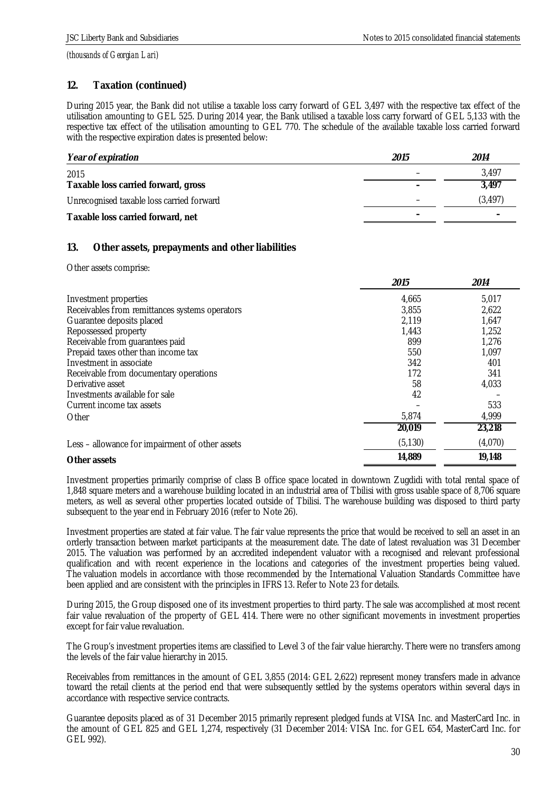## **12. Taxation (continued)**

During 2015 year, the Bank did not utilise a taxable loss carry forward of GEL 3,497 with the respective tax effect of the utilisation amounting to GEL 525. During 2014 year, the Bank utilised a taxable loss carry forward of GEL 5,133 with the respective tax effect of the utilisation amounting to GEL 770. The schedule of the available taxable loss carried forward with the respective expiration dates is presented below:

| Year of expiration                        | 2015 | 2014     |
|-------------------------------------------|------|----------|
| 2015                                      |      | 3.497    |
| Taxable loss carried forward, gross       |      | 3.497    |
| Unrecognised taxable loss carried forward |      | (3, 497) |
| Taxable loss carried forward, net         |      |          |

## <span id="page-32-0"></span>**13. Other assets, prepayments and other liabilities**

Other assets comprise:

|                                                 | 2015     | 2014    |
|-------------------------------------------------|----------|---------|
| Investment properties                           | 4,665    | 5,017   |
| Receivables from remittances systems operators  | 3.855    | 2,622   |
| Guarantee deposits placed                       | 2,119    | 1,647   |
| Repossessed property                            | 1,443    | 1,252   |
| Receivable from guarantees paid                 | 899      | 1,276   |
| Prepaid taxes other than income tax             | 550      | 1,097   |
| Investment in associate                         | 342      | 401     |
| Receivable from documentary operations          | 172      | 341     |
| Derivative asset                                | 58       | 4,033   |
| Investments available for sale                  | 42       |         |
| Current income tax assets                       |          | 533     |
| Other                                           | 5,874    | 4,999   |
|                                                 | 20,019   | 23,218  |
| Less – allowance for impairment of other assets | (5, 130) | (4,070) |
| Other assets                                    | 14,889   | 19,148  |

Investment properties primarily comprise of class B office space located in downtown Zugdidi with total rental space of 1,848 square meters and a warehouse building located in an industrial area of Tbilisi with gross usable space of 8,706 square meters, as well as several other properties located outside of Tbilisi. The warehouse building was disposed to third party subsequent to the year end in February 2016 (refer to Note 26).

Investment properties are stated at fair value. The fair value represents the price that would be received to sell an asset in an orderly transaction between market participants at the measurement date. The date of latest revaluation was 31 December 2015. The valuation was performed by an accredited independent valuator with a recognised and relevant professional qualification and with recent experience in the locations and categories of the investment properties being valued. The valuation models in accordance with those recommended by the International Valuation Standards Committee have been applied and are consistent with the principles in IFRS 13. Refer to Note 23 for details.

During 2015, the Group disposed one of its investment properties to third party. The sale was accomplished at most recent fair value revaluation of the property of GEL 414. There were no other significant movements in investment properties except for fair value revaluation.

The Group's investment properties items are classified to Level 3 of the fair value hierarchy. There were no transfers among the levels of the fair value hierarchy in 2015.

Receivables from remittances in the amount of GEL 3,855 (2014: GEL 2,622) represent money transfers made in advance toward the retail clients at the period end that were subsequently settled by the systems operators within several days in accordance with respective service contracts.

Guarantee deposits placed as of 31 December 2015 primarily represent pledged funds at VISA Inc. and MasterCard Inc. in the amount of GEL 825 and GEL 1,274, respectively (31 December 2014: VISA Inc. for GEL 654, MasterCard Inc. for GEL 992).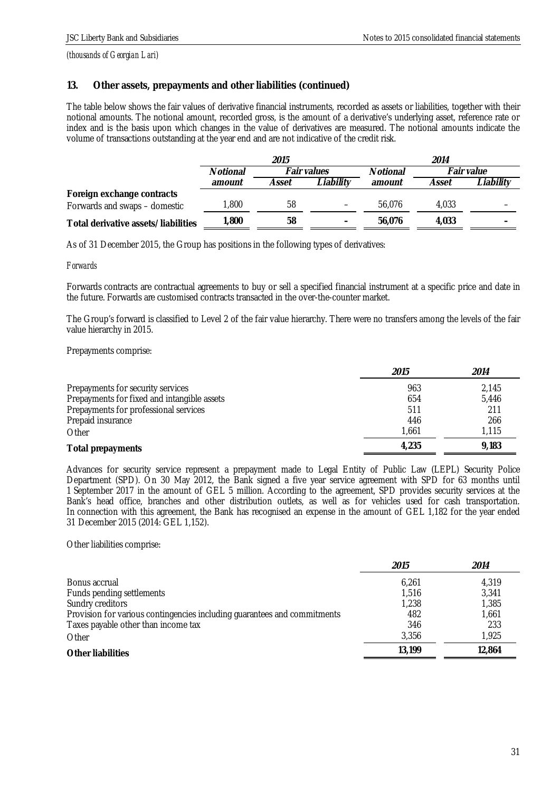## **13. Other assets, prepayments and other liabilities (continued)**

The table below shows the fair values of derivative financial instruments, recorded as assets or liabilities, together with their notional amounts. The notional amount, recorded gross, is the amount of a derivative's underlying asset, reference rate or index and is the basis upon which changes in the value of derivatives are measured. The notional amounts indicate the volume of transactions outstanding at the year end and are not indicative of the credit risk.

|                                     |          | 2015  |                    |          | 2014  |                   |
|-------------------------------------|----------|-------|--------------------|----------|-------|-------------------|
|                                     | Notional |       | <i>Fair values</i> | Notional |       | <i>Fair value</i> |
|                                     | amount   | Asset | _iabilitv          | amount   | Asset | Liabilitv         |
| Foreign exchange contracts          |          |       |                    |          |       |                   |
| Forwards and swaps - domestic       | 1.800    | 58    |                    | 56.076   | 4.033 |                   |
| Total derivative assets/liabilities | 800, ا   | 58    |                    | 56.076   | 4.033 |                   |

As of 31 December 2015, the Group has positions in the following types of derivatives:

#### *Forwards*

Forwards contracts are contractual agreements to buy or sell a specified financial instrument at a specific price and date in the future. Forwards are customised contracts transacted in the over-the-counter market.

The Group's forward is classified to Level 2 of the fair value hierarchy. There were no transfers among the levels of the fair value hierarchy in 2015.

#### Prepayments comprise:

|                                             | 2015  | 2014  |
|---------------------------------------------|-------|-------|
| Prepayments for security services           | 963   | 2.145 |
| Prepayments for fixed and intangible assets | 654   | 5.446 |
| Prepayments for professional services       | 511   | 211   |
| Prepaid insurance                           | 446   | 266   |
| Other                                       | 1.661 | 1,115 |
| Total prepayments                           | 4.235 | 9,183 |

Advances for security service represent a prepayment made to Legal Entity of Public Law (LEPL) Security Police Department (SPD). On 30 May 2012, the Bank signed a five year service agreement with SPD for 63 months until 1 September 2017 in the amount of GEL 5 million. According to the agreement, SPD provides security services at the Bank's head office, branches and other distribution outlets, as well as for vehicles used for cash transportation. In connection with this agreement, the Bank has recognised an expense in the amount of GEL 1,182 for the year ended 31 December 2015 (2014: GEL 1,152).

Other liabilities comprise:

|                                                                          | 2015   | 2014   |
|--------------------------------------------------------------------------|--------|--------|
| Bonus accrual                                                            | 6,261  | 4.319  |
| Funds pending settlements                                                | 1.516  | 3,341  |
| Sundry creditors                                                         | 1.238  | 1,385  |
| Provision for various contingencies including guarantees and commitments | 482    | 1,661  |
| Taxes payable other than income tax                                      | 346    | 233    |
| Other                                                                    | 3.356  | 1,925  |
| Other liabilities                                                        | 13.199 | 12.864 |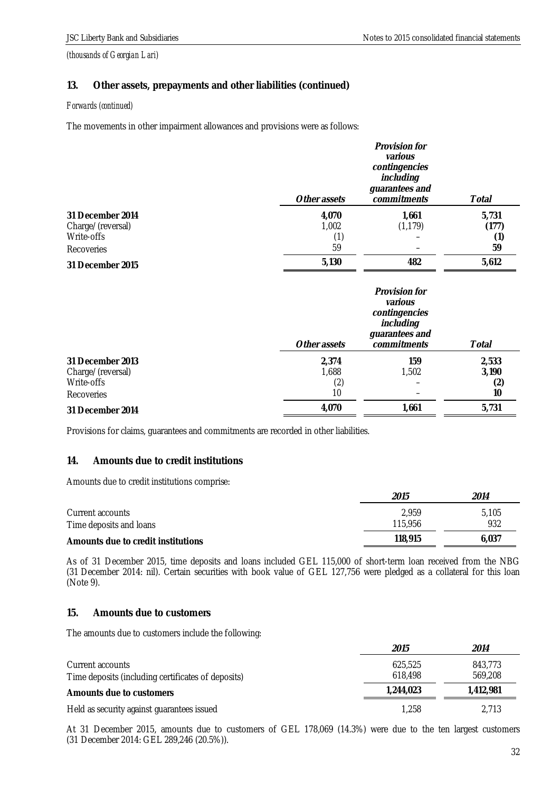## **13. Other assets, prepayments and other liabilities (continued)**

## *Forwards (continued)*

The movements in other impairment allowances and provisions were as follows:

|                                                                   | Other assets                | Provision for<br>various<br>contingencies<br>including<br>guarantees and<br>commitments | Total                       |
|-------------------------------------------------------------------|-----------------------------|-----------------------------------------------------------------------------------------|-----------------------------|
| 31 December 2014<br>Charge/(reversal)<br>Write-offs<br>Recoveries | 4,070<br>1,002<br>(1)<br>59 | 1,661<br>(1, 179)                                                                       | 5,731<br>(177)<br>(1)<br>59 |
| 31 December 2015                                                  | 5,130                       | 482                                                                                     | 5,612                       |

|                                                                   | Provision for<br>various<br>contingencies<br>including<br>guarantees and<br>commitments<br>Total<br>Other assets |              |                             |  |  |
|-------------------------------------------------------------------|------------------------------------------------------------------------------------------------------------------|--------------|-----------------------------|--|--|
| 31 December 2013<br>Charge/(reversal)<br>Write-offs<br>Recoveries | 2,374<br>1,688<br>(2)<br>10                                                                                      | 159<br>1,502 | 2,533<br>3,190<br>(2)<br>10 |  |  |
| 31 December 2014                                                  | 4,070                                                                                                            | 1,661        | 5,731                       |  |  |

Provisions for claims, guarantees and commitments are recorded in other liabilities.

## <span id="page-34-0"></span>**14. Amounts due to credit institutions**

Amounts due to credit institutions comprise:

|                                    | 2015    | 2014  |
|------------------------------------|---------|-------|
| Current accounts                   | 2.959   | 5,105 |
| Time deposits and loans            | 115.956 | 932   |
| Amounts due to credit institutions | 118,915 | 6.037 |

As of 31 December 2015, time deposits and loans included GEL 115,000 of short-term loan received from the NBG (31 December 2014: nil). Certain securities with book value of GEL 127,756 were pledged as a collateral for this loan (Note 9).

## <span id="page-34-1"></span>**15. Amounts due to customers**

The amounts due to customers include the following:

|                                                    | 2015      | 2014      |
|----------------------------------------------------|-----------|-----------|
| Current accounts                                   | 625.525   | 843.773   |
| Time deposits (including certificates of deposits) | 618.498   | 569.208   |
| Amounts due to customers                           | 1,244,023 | 1,412,981 |
| Held as security against guarantees issued         | 1.258     | 2.713     |

At 31 December 2015, amounts due to customers of GEL 178,069 (14.3%) were due to the ten largest customers (31 December 2014: GEL 289,246 (20.5%)).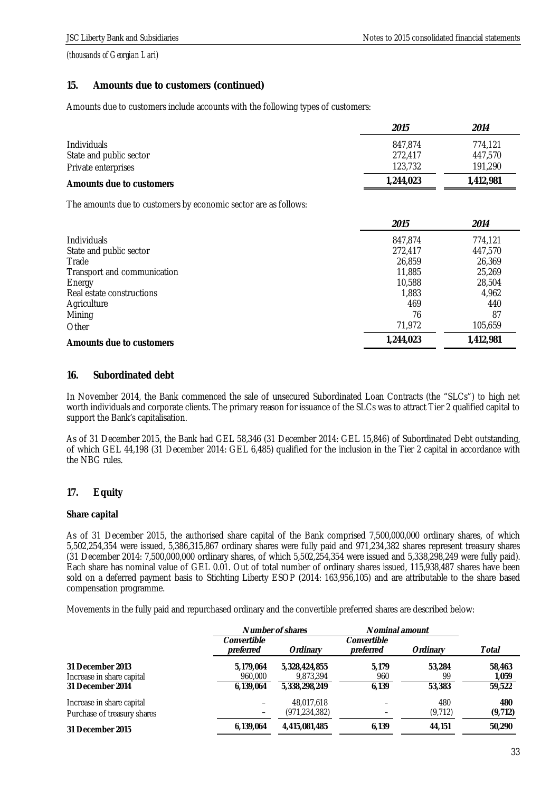## **15. Amounts due to customers (continued)**

Amounts due to customers include accounts with the following types of customers:

|                                                                 | 2015               | 2014               |
|-----------------------------------------------------------------|--------------------|--------------------|
| <b>Individuals</b><br>State and public sector                   | 847,874<br>272,417 | 774,121<br>447,570 |
| Private enterprises                                             | 123,732            | 191,290            |
| Amounts due to customers                                        | 1,244,023          | 1,412,981          |
| The amounts due to customers by economic sector are as follows: |                    |                    |
|                                                                 | 2015               | 2014               |
| <b>Individuals</b>                                              | 847,874            | 774,121            |
| State and public sector                                         | 272,417            | 447,570            |
| Trade                                                           | 26,859             | 26,369             |
| Transport and communication                                     | 11,885             | 25,269             |
| Energy                                                          | 10,588             | 28,504             |
| Real estate constructions                                       | 1,883              | 4,962              |
| Agriculture                                                     | 469                | 440                |
| Mining                                                          | 76                 | 87                 |
| Other                                                           | 71,972             | 105,659            |
| Amounts due to customers                                        | 1,244,023          | 1,412,981          |

#### <span id="page-35-0"></span>**16. Subordinated debt**

In November 2014, the Bank commenced the sale of unsecured Subordinated Loan Contracts (the "SLCs") to high net worth individuals and corporate clients. The primary reason for issuance of the SLCs was to attract Tier 2 qualified capital to support the Bank's capitalisation.

As of 31 December 2015, the Bank had GEL 58,346 (31 December 2014: GEL 15,846) of Subordinated Debt outstanding, of which GEL 44,198 (31 December 2014: GEL 6,485) qualified for the inclusion in the Tier 2 capital in accordance with the NBG rules.

## <span id="page-35-1"></span>**17. Equity**

#### **Share capital**

As of 31 December 2015, the authorised share capital of the Bank comprised 7,500,000,000 ordinary shares, of which 5,502,254,354 were issued, 5,386,315,867 ordinary shares were fully paid and 971,234,382 shares represent treasury shares (31 December 2014: 7,500,000,000 ordinary shares, of which 5,502,254,354 were issued and 5,338,298,249 were fully paid). Each share has nominal value of GEL 0.01. Out of total number of ordinary shares issued, 115,938,487 shares have been sold on a deferred payment basis to Stichting Liberty ESOP (2014: 163,956,105) and are attributable to the share based compensation programme.

Movements in the fully paid and repurchased ordinary and the convertible preferred shares are described below:

|                                                                   | Number of shares                  |                                             | Nominal amount           |                        |                           |  |
|-------------------------------------------------------------------|-----------------------------------|---------------------------------------------|--------------------------|------------------------|---------------------------|--|
|                                                                   | Convertible<br>preferred          | Ordinary                                    | Convertible<br>preferred | Ordinary               | Total                     |  |
| 31 December 2013<br>Increase in share capital<br>31 December 2014 | 5,179,064<br>960,000<br>6.139.064 | 5,328,424,855<br>9,873,394<br>5.338.298.249 | 5.179<br>960<br>6.139    | 53,284<br>99<br>53,383 | 58,463<br>1,059<br>59,522 |  |
| Increase in share capital<br>Purchase of treasury shares          |                                   | 48,017,618<br>(971, 234, 382)               |                          | 480<br>(9, 712)        | 480<br>(9, 712)           |  |
| 31 December 2015                                                  | 6,139,064                         | 4,415,081,485                               | 6.139                    | 44,151                 | 50.290                    |  |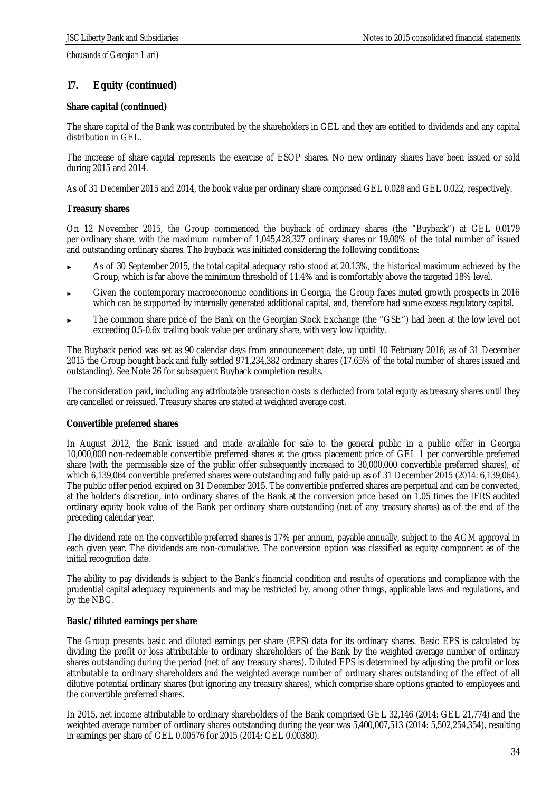## **17. Equity (continued)**

**Share capital (continued)**

The share capital of the Bank was contributed by the shareholders in GEL and they are entitled to dividends and any capital distribution in GEL.

The increase of share capital represents the exercise of ESOP shares. No new ordinary shares have been issued or sold during 2015 and 2014.

As of 31 December 2015 and 2014, the book value per ordinary share comprised GEL 0.028 and GEL 0.022, respectively.

#### **Treasury shares**

On 12 November 2015, the Group commenced the buyback of ordinary shares (the "Buyback") at GEL 0.0179 per ordinary share, with the maximum number of 1,045,428,327 ordinary shares or 19.00% of the total number of issued and outstanding ordinary shares. The buyback was initiated considering the following conditions:

- As of 30 September 2015, the total capital adequacy ratio stood at 20.13%, the historical maximum achieved by the Group, which is far above the minimum threshold of 11.4% and is comfortably above the targeted 18% level.
- ► Given the contemporary macroeconomic conditions in Georgia, the Group faces muted growth prospects in 2016 which can be supported by internally generated additional capital, and, therefore had some excess regulatory capital.
- The common share price of the Bank on the Georgian Stock Exchange (the "GSE") had been at the low level not exceeding 0.5-0.6x trailing book value per ordinary share, with very low liquidity.

The Buyback period was set as 90 calendar days from announcement date, up until 10 February 2016; as of 31 December 2015 the Group bought back and fully settled 971,234,382 ordinary shares (17.65% of the total number of shares issued and outstanding). See Note 26 for subsequent Buyback completion results.

The consideration paid, including any attributable transaction costs is deducted from total equity as treasury shares until they are cancelled or reissued. Treasury shares are stated at weighted average cost.

## **Convertible preferred shares**

In August 2012, the Bank issued and made available for sale to the general public in a public offer in Georgia 10,000,000 non-redeemable convertible preferred shares at the gross placement price of GEL 1 per convertible preferred share (with the permissible size of the public offer subsequently increased to 30,000,000 convertible preferred shares), of which 6,139,064 convertible preferred shares were outstanding and fully paid-up as of 31 December 2015 (2014: 6,139,064), The public offer period expired on 31 December 2015. The convertible preferred shares are perpetual and can be converted, at the holder's discretion, into ordinary shares of the Bank at the conversion price based on 1.05 times the IFRS audited ordinary equity book value of the Bank per ordinary share outstanding (net of any treasury shares) as of the end of the preceding calendar year.

The dividend rate on the convertible preferred shares is 17% per annum, payable annually, subject to the AGM approval in each given year. The dividends are non-cumulative. The conversion option was classified as equity component as of the initial recognition date.

The ability to pay dividends is subject to the Bank's financial condition and results of operations and compliance with the prudential capital adequacy requirements and may be restricted by, among other things, applicable laws and regulations, and by the NBG.

## **Basic/diluted earnings per share**

The Group presents basic and diluted earnings per share (EPS) data for its ordinary shares. Basic EPS is calculated by dividing the profit or loss attributable to ordinary shareholders of the Bank by the weighted average number of ordinary shares outstanding during the period (net of any treasury shares). Diluted EPS is determined by adjusting the profit or loss attributable to ordinary shareholders and the weighted average number of ordinary shares outstanding of the effect of all dilutive potential ordinary shares (but ignoring any treasury shares), which comprise share options granted to employees and the convertible preferred shares.

In 2015, net income attributable to ordinary shareholders of the Bank comprised GEL 32,146 (2014: GEL 21,774) and the weighted average number of ordinary shares outstanding during the year was 5,400,007,513 (2014: 5,502,254,354), resulting in earnings per share of GEL 0.00576 for 2015 (2014: GEL 0.00380).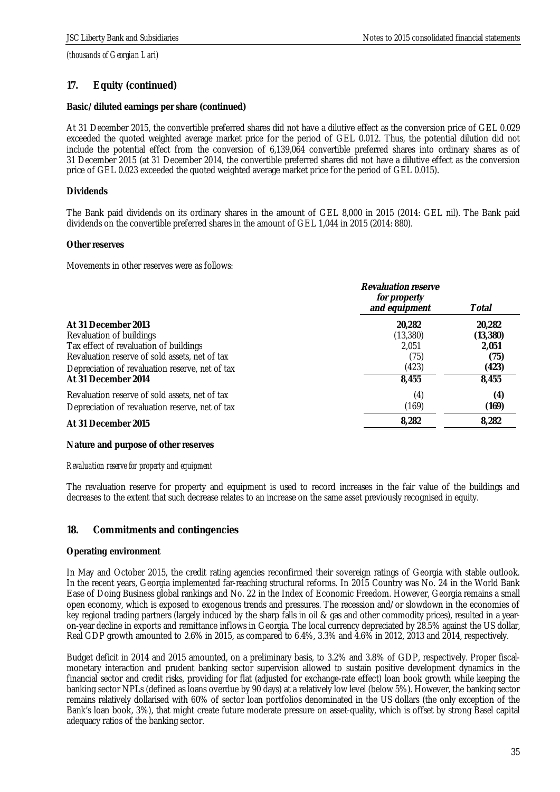## **17. Equity (continued)**

### **Basic/diluted earnings per share (continued)**

At 31 December 2015, the convertible preferred shares did not have a dilutive effect as the conversion price of GEL 0.029 exceeded the quoted weighted average market price for the period of GEL 0.012. Thus, the potential dilution did not include the potential effect from the conversion of 6,139,064 convertible preferred shares into ordinary shares as of 31 December 2015 (at 31 December 2014, the convertible preferred shares did not have a dilutive effect as the conversion price of GEL 0.023 exceeded the quoted weighted average market price for the period of GEL 0.015).

### **Dividends**

The Bank paid dividends on its ordinary shares in the amount of GEL 8,000 in 2015 (2014: GEL nil). The Bank paid dividends on the convertible preferred shares in the amount of GEL 1,044 in 2015 (2014: 880).

#### **Other reserves**

Movements in other reserves were as follows:

|                                                 | <b>Revaluation reserve</b><br>for property |           |  |  |
|-------------------------------------------------|--------------------------------------------|-----------|--|--|
|                                                 | and equipment                              | Total     |  |  |
| At 31 December 2013                             | 20,282                                     | 20,282    |  |  |
| Revaluation of buildings                        | (13, 380)                                  | (13, 380) |  |  |
| Tax effect of revaluation of buildings          | 2.051                                      | 2.051     |  |  |
| Revaluation reserve of sold assets, net of tax  | (75)                                       | (75)      |  |  |
| Depreciation of revaluation reserve, net of tax | (423)                                      | (423)     |  |  |
| At 31 December 2014                             | 8,455                                      | 8.455     |  |  |
| Revaluation reserve of sold assets, net of tax  | (4)                                        | (4)       |  |  |
| Depreciation of revaluation reserve, net of tax | (169)                                      | (169)     |  |  |
| At 31 December 2015                             | 8,282                                      | 8,282     |  |  |
|                                                 |                                            |           |  |  |

**Nature and purpose of other reserves**

#### *Revaluation reserve for property and equipment*

The revaluation reserve for property and equipment is used to record increases in the fair value of the buildings and decreases to the extent that such decrease relates to an increase on the same asset previously recognised in equity.

## <span id="page-37-0"></span>**18. Commitments and contingencies**

#### **Operating environment**

In May and October 2015, the credit rating agencies reconfirmed their sovereign ratings of Georgia with stable outlook. In the recent years, Georgia implemented far-reaching structural reforms. In 2015 Country was No. 24 in the World Bank Ease of Doing Business global rankings and No. 22 in the Index of Economic Freedom. However, Georgia remains a small open economy, which is exposed to exogenous trends and pressures. The recession and/or slowdown in the economies of key regional trading partners (largely induced by the sharp falls in oil & gas and other commodity prices), resulted in a yearon-year decline in exports and remittance inflows in Georgia. The local currency depreciated by 28.5% against the US dollar, Real GDP growth amounted to 2.6% in 2015, as compared to 6.4%, 3.3% and 4.6% in 2012, 2013 and 2014, respectively.

Budget deficit in 2014 and 2015 amounted, on a preliminary basis, to 3.2% and 3.8% of GDP, respectively. Proper fiscalmonetary interaction and prudent banking sector supervision allowed to sustain positive development dynamics in the financial sector and credit risks, providing for flat (adjusted for exchange-rate effect) loan book growth while keeping the banking sector NPLs (defined as loans overdue by 90 days) at a relatively low level (below 5%). However, the banking sector remains relatively dollarised with 60% of sector loan portfolios denominated in the US dollars (the only exception of the Bank's loan book, 3%), that might create future moderate pressure on asset-quality, which is offset by strong Basel capital adequacy ratios of the banking sector.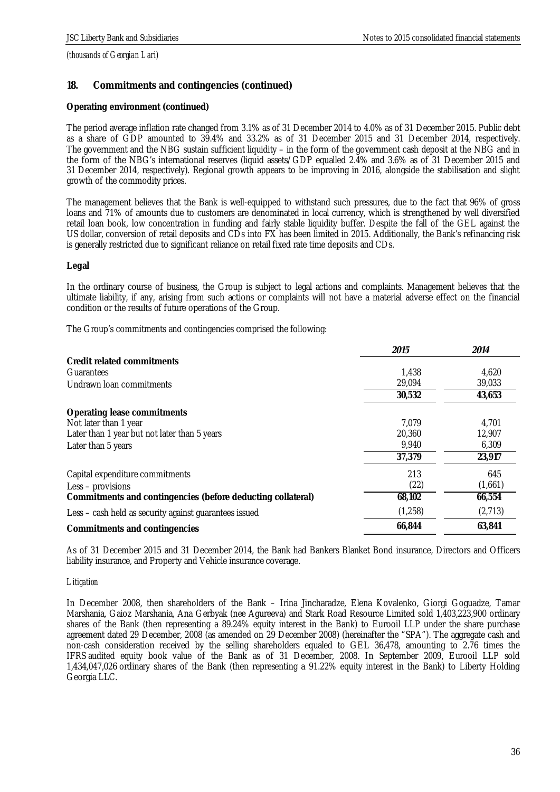## **18. Commitments and contingencies (continued)**

### **Operating environment (continued)**

The period average inflation rate changed from 3.1% as of 31 December 2014 to 4.0% as of 31 December 2015. Public debt as a share of GDP amounted to 39.4% and 33.2% as of 31 December 2015 and 31 December 2014, respectively. The government and the NBG sustain sufficient liquidity – in the form of the government cash deposit at the NBG and in the form of the NBG's international reserves (liquid assets/GDP equalled 2.4% and 3.6% as of 31 December 2015 and 31 December 2014, respectively). Regional growth appears to be improving in 2016, alongside the stabilisation and slight growth of the commodity prices.

The management believes that the Bank is well-equipped to withstand such pressures, due to the fact that 96% of gross loans and 71% of amounts due to customers are denominated in local currency, which is strengthened by well diversified retail loan book, low concentration in funding and fairly stable liquidity buffer. Despite the fall of the GEL against the US dollar, conversion of retail deposits and CDs into FX has been limited in 2015. Additionally, the Bank's refinancing risk is generally restricted due to significant reliance on retail fixed rate time deposits and CDs.

#### **Legal**

In the ordinary course of business, the Group is subject to legal actions and complaints. Management believes that the ultimate liability, if any, arising from such actions or complaints will not have a material adverse effect on the financial condition or the results of future operations of the Group.

The Group's commitments and contingencies comprised the following:

|                                                             | 2015    | 2014    |
|-------------------------------------------------------------|---------|---------|
| Credit related commitments                                  |         |         |
| Guarantees                                                  | 1.438   | 4,620   |
| Undrawn Ioan commitments                                    | 29,094  | 39,033  |
|                                                             | 30,532  | 43,653  |
| Operating lease commitments                                 |         |         |
| Not later than 1 year                                       | 7,079   | 4.701   |
| Later than 1 year but not later than 5 years                | 20,360  | 12,907  |
| Later than 5 years                                          | 9,940   | 6,309   |
|                                                             | 37,379  | 23,917  |
| Capital expenditure commitments                             | 213     | 645     |
| $Less - provisions$                                         | (22)    | (1,661) |
| Commitments and contingencies (before deducting collateral) | 68,102  | 66,554  |
| Less – cash held as security against guarantees issued      | (1,258) | (2,713) |
| Commitments and contingencies                               | 66,844  | 63,841  |

As of 31 December 2015 and 31 December 2014, the Bank had Bankers Blanket Bond insurance, Directors and Officers liability insurance, and Property and Vehicle insurance coverage.

#### *Litigation*

In December 2008, then shareholders of the Bank – Irina Jincharadze, Elena Kovalenko, Giorgi Goguadze, Tamar Marshania, Gaioz Marshania, Ana Gerbyak (nee Agureeva) and Stark Road Resource Limited sold 1,403,223,900 ordinary shares of the Bank (then representing a 89.24% equity interest in the Bank) to Eurooil LLP under the share purchase agreement dated 29 December, 2008 (as amended on 29 December 2008) (hereinafter the "SPA"). The aggregate cash and non-cash consideration received by the selling shareholders equaled to GEL 36,478, amounting to 2.76 times the IFRS audited equity book value of the Bank as of 31 December, 2008. In September 2009, Eurooil LLP sold 1,434,047,026 ordinary shares of the Bank (then representing a 91.22% equity interest in the Bank) to Liberty Holding Georgia LLC.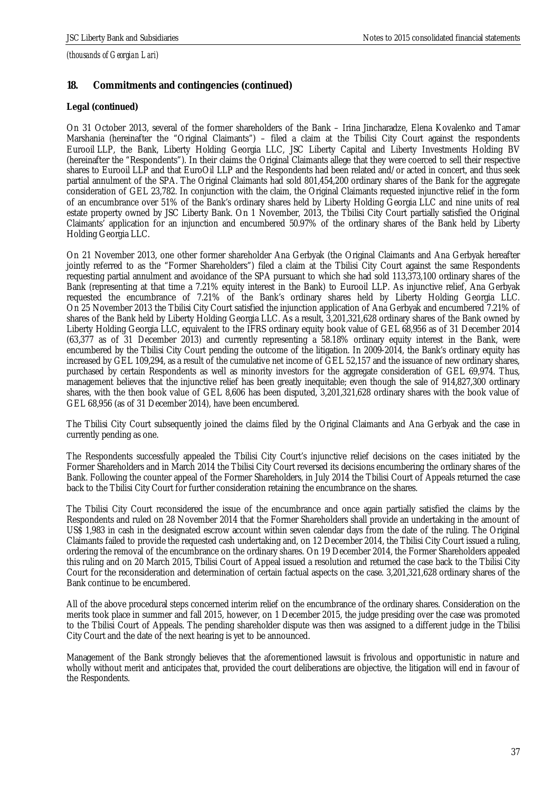## **18. Commitments and contingencies (continued)**

#### **Legal (continued)**

On 31 October 2013, several of the former shareholders of the Bank – Irina Jincharadze, Elena Kovalenko and Tamar Marshania (hereinafter the "Original Claimants") – filed a claim at the Tbilisi City Court against the respondents Eurooil LLP, the Bank, Liberty Holding Georgia LLC, JSC Liberty Capital and Liberty Investments Holding BV (hereinafter the "Respondents"). In their claims the Original Claimants allege that they were coerced to sell their respective shares to Eurooil LLP and that EuroOil LLP and the Respondents had been related and/or acted in concert, and thus seek partial annulment of the SPA. The Original Claimants had sold 801,454,200 ordinary shares of the Bank for the aggregate consideration of GEL 23,782. In conjunction with the claim, the Original Claimants requested injunctive relief in the form of an encumbrance over 51% of the Bank's ordinary shares held by Liberty Holding Georgia LLC and nine units of real estate property owned by JSC Liberty Bank. On 1 November, 2013, the Tbilisi City Court partially satisfied the Original Claimants' application for an injunction and encumbered 50.97% of the ordinary shares of the Bank held by Liberty Holding Georgia LLC.

On 21 November 2013, one other former shareholder Ana Gerbyak (the Original Claimants and Ana Gerbyak hereafter jointly referred to as the "Former Shareholders") filed a claim at the Tbilisi City Court against the same Respondents requesting partial annulment and avoidance of the SPA pursuant to which she had sold 113,373,100 ordinary shares of the Bank (representing at that time a 7.21% equity interest in the Bank) to Eurooil LLP. As injunctive relief, Ana Gerbyak requested the encumbrance of 7.21% of the Bank's ordinary shares held by Liberty Holding Georgia LLC. On 25 November 2013 the Tbilisi City Court satisfied the injunction application of Ana Gerbyak and encumbered 7.21% of shares of the Bank held by Liberty Holding Georgia LLC. As a result, 3,201,321,628 ordinary shares of the Bank owned by Liberty Holding Georgia LLC, equivalent to the IFRS ordinary equity book value of GEL 68,956 as of 31 December 2014 (63,377 as of 31 December 2013) and currently representing a 58.18% ordinary equity interest in the Bank, were encumbered by the Tbilisi City Court pending the outcome of the litigation. In 2009-2014, the Bank's ordinary equity has increased by GEL 109,294, as a result of the cumulative net income of GEL 52,157 and the issuance of new ordinary shares, purchased by certain Respondents as well as minority investors for the aggregate consideration of GEL 69,974. Thus, management believes that the injunctive relief has been greatly inequitable; even though the sale of 914,827,300 ordinary shares, with the then book value of GEL 8,606 has been disputed, 3,201,321,628 ordinary shares with the book value of GEL 68,956 (as of 31 December 2014), have been encumbered.

The Tbilisi City Court subsequently joined the claims filed by the Original Claimants and Ana Gerbyak and the case in currently pending as one.

The Respondents successfully appealed the Tbilisi City Court's injunctive relief decisions on the cases initiated by the Former Shareholders and in March 2014 the Tbilisi City Court reversed its decisions encumbering the ordinary shares of the Bank. Following the counter appeal of the Former Shareholders, in July 2014 the Tbilisi Court of Appeals returned the case back to the Tbilisi City Court for further consideration retaining the encumbrance on the shares.

The Tbilisi City Court reconsidered the issue of the encumbrance and once again partially satisfied the claims by the Respondents and ruled on 28 November 2014 that the Former Shareholders shall provide an undertaking in the amount of US\$ 1,983 in cash in the designated escrow account within seven calendar days from the date of the ruling. The Original Claimants failed to provide the requested cash undertaking and, on 12 December 2014, the Tbilisi City Court issued a ruling, ordering the removal of the encumbrance on the ordinary shares. On 19 December 2014, the Former Shareholders appealed this ruling and on 20 March 2015, Tbilisi Court of Appeal issued a resolution and returned the case back to the Tbilisi City Court for the reconsideration and determination of certain factual aspects on the case. 3,201,321,628 ordinary shares of the Bank continue to be encumbered.

All of the above procedural steps concerned interim relief on the encumbrance of the ordinary shares. Consideration on the merits took place in summer and fall 2015, however, on 1 December 2015, the judge presiding over the case was promoted to the Tbilisi Court of Appeals. The pending shareholder dispute was then was assigned to a different judge in the Tbilisi City Court and the date of the next hearing is yet to be announced.

Management of the Bank strongly believes that the aforementioned lawsuit is frivolous and opportunistic in nature and wholly without merit and anticipates that, provided the court deliberations are objective, the litigation will end in favour of the Respondents.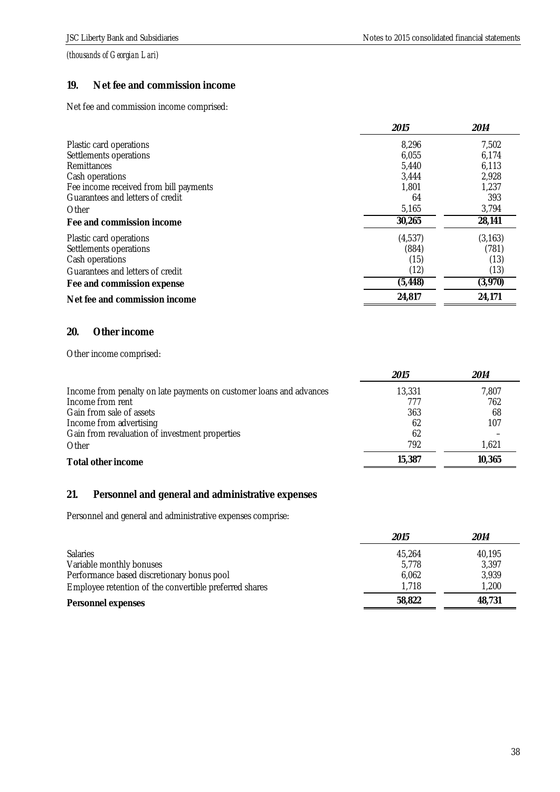## <span id="page-40-0"></span>**19. Net fee and commission income**

Net fee and commission income comprised:

|                                        | 2015     | 2014     |
|----------------------------------------|----------|----------|
| Plastic card operations                | 8,296    | 7,502    |
| Settlements operations                 | 6,055    | 6,174    |
| Remittances                            | 5,440    | 6,113    |
| Cash operations                        | 3,444    | 2,928    |
| Fee income received from bill payments | 1,801    | 1,237    |
| Guarantees and letters of credit       | 64       | 393      |
| Other                                  | 5,165    | 3,794    |
| Fee and commission income              | 30,265   | 28,141   |
| Plastic card operations                | (4,537)  | (3, 163) |
| Settlements operations                 | (884)    | (781)    |
| Cash operations                        | (15)     | (13)     |
| Guarantees and letters of credit       | (12)     | (13)     |
| Fee and commission expense             | (5, 448) | (3,970)  |
| Net fee and commission income          | 24,817   | 24,171   |

## <span id="page-40-1"></span>**20. Other income**

#### Other income comprised:

|                                                                     | 2015   | 2014   |
|---------------------------------------------------------------------|--------|--------|
| Income from penalty on late payments on customer loans and advances | 13,331 | 7.807  |
| Income from rent                                                    | 777    | 762    |
| Gain from sale of assets                                            | 363    | 68     |
| Income from advertising                                             | 62     | 107    |
| Gain from revaluation of investment properties                      | 62     |        |
| Other                                                               | 792    | 1.621  |
| Total other income                                                  | 15,387 | 10,365 |

## <span id="page-40-2"></span>**21. Personnel and general and administrative expenses**

Personnel and general and administrative expenses comprise:

|                                                        | 2015   | 2014   |
|--------------------------------------------------------|--------|--------|
| <b>Salaries</b>                                        | 45.264 | 40.195 |
| Variable monthly bonuses                               | 5.778  | 3,397  |
| Performance based discretionary bonus pool             | 6,062  | 3,939  |
| Employee retention of the convertible preferred shares | 1.718  | 1.200  |
| Personnel expenses                                     | 58,822 | 48.731 |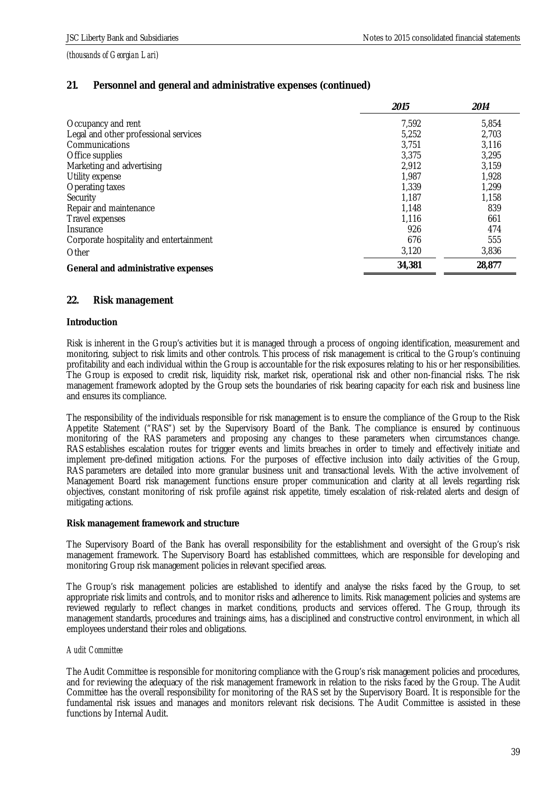## **21. Personnel and general and administrative expenses (continued)**

|                                         | 2015   | 2014   |
|-----------------------------------------|--------|--------|
| Occupancy and rent                      | 7,592  | 5,854  |
| Legal and other professional services   | 5,252  | 2.703  |
| Communications                          | 3,751  | 3,116  |
| Office supplies                         | 3,375  | 3,295  |
| Marketing and advertising               | 2,912  | 3,159  |
| Utility expense                         | 1,987  | 1,928  |
| Operating taxes                         | 1,339  | 1,299  |
| Security                                | 1,187  | 1,158  |
| Repair and maintenance                  | 1,148  | 839    |
| Travel expenses                         | 1,116  | 661    |
| Insurance                               | 926    | 474    |
| Corporate hospitality and entertainment | 676    | 555    |
| Other                                   | 3,120  | 3,836  |
| General and administrative expenses     | 34,381 | 28,877 |

#### <span id="page-41-0"></span>**22. Risk management**

#### **Introduction**

Risk is inherent in the Group's activities but it is managed through a process of ongoing identification, measurement and monitoring, subject to risk limits and other controls. This process of risk management is critical to the Group's continuing profitability and each individual within the Group is accountable for the risk exposures relating to his or her responsibilities. The Group is exposed to credit risk, liquidity risk, market risk, operational risk and other non-financial risks. The risk management framework adopted by the Group sets the boundaries of risk bearing capacity for each risk and business line and ensures its compliance.

The responsibility of the individuals responsible for risk management is to ensure the compliance of the Group to the Risk Appetite Statement ("RAS") set by the Supervisory Board of the Bank. The compliance is ensured by continuous monitoring of the RAS parameters and proposing any changes to these parameters when circumstances change. RAS establishes escalation routes for trigger events and limits breaches in order to timely and effectively initiate and implement pre-defined mitigation actions. For the purposes of effective inclusion into daily activities of the Group, RAS parameters are detailed into more granular business unit and transactional levels. With the active involvement of Management Board risk management functions ensure proper communication and clarity at all levels regarding risk objectives, constant monitoring of risk profile against risk appetite, timely escalation of risk-related alerts and design of mitigating actions.

#### **Risk management framework and structure**

The Supervisory Board of the Bank has overall responsibility for the establishment and oversight of the Group's risk management framework. The Supervisory Board has established committees, which are responsible for developing and monitoring Group risk management policies in relevant specified areas.

The Group's risk management policies are established to identify and analyse the risks faced by the Group, to set appropriate risk limits and controls, and to monitor risks and adherence to limits. Risk management policies and systems are reviewed regularly to reflect changes in market conditions, products and services offered. The Group, through its management standards, procedures and trainings aims, has a disciplined and constructive control environment, in which all employees understand their roles and obligations.

#### *Audit Committee*

The Audit Committee is responsible for monitoring compliance with the Group's risk management policies and procedures, and for reviewing the adequacy of the risk management framework in relation to the risks faced by the Group. The Audit Committee has the overall responsibility for monitoring of the RAS set by the Supervisory Board. It is responsible for the fundamental risk issues and manages and monitors relevant risk decisions. The Audit Committee is assisted in these functions by Internal Audit.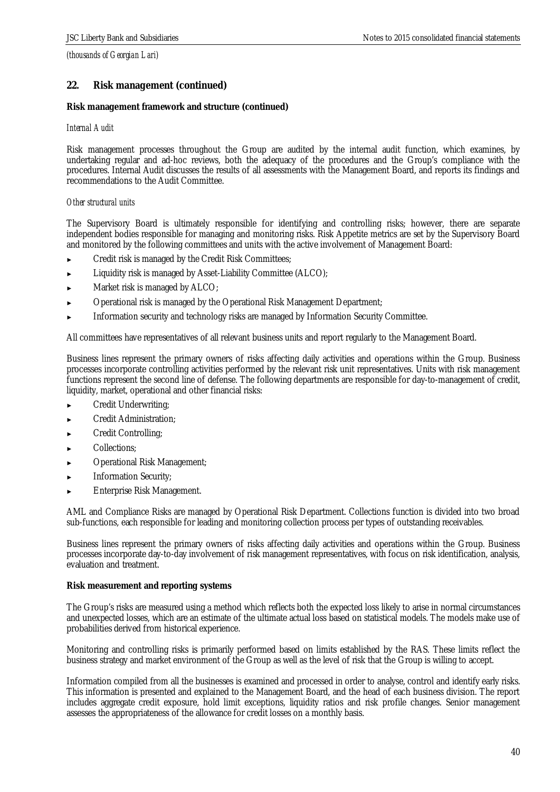## **22. Risk management (continued)**

**Risk management framework and structure (continued)**

#### *Internal Audit*

Risk management processes throughout the Group are audited by the internal audit function, which examines, by undertaking regular and ad-hoc reviews, both the adequacy of the procedures and the Group's compliance with the procedures. Internal Audit discusses the results of all assessments with the Management Board, and reports its findings and recommendations to the Audit Committee.

#### *Other structural units*

The Supervisory Board is ultimately responsible for identifying and controlling risks; however, there are separate independent bodies responsible for managing and monitoring risks. Risk Appetite metrics are set by the Supervisory Board and monitored by the following committees and units with the active involvement of Management Board:

- ► Credit risk is managed by the Credit Risk Committees;
- ► Liquidity risk is managed by Asset-Liability Committee (ALCO);
- Market risk is managed by ALCO;
- Operational risk is managed by the Operational Risk Management Department;
- Information security and technology risks are managed by Information Security Committee.

All committees have representatives of all relevant business units and report regularly to the Management Board.

Business lines represent the primary owners of risks affecting daily activities and operations within the Group. Business processes incorporate controlling activities performed by the relevant risk unit representatives. Units with risk management functions represent the second line of defense. The following departments are responsible for day-to-management of credit, liquidity, market, operational and other financial risks:

- ► Credit Underwriting;
- ► Credit Administration;
- ► Credit Controlling;
- Collections;
- ► Operational Risk Management;
- Information Security;
- ► Enterprise Risk Management.

AML and Compliance Risks are managed by Operational Risk Department. Collections function is divided into two broad sub-functions, each responsible for leading and monitoring collection process per types of outstanding receivables.

Business lines represent the primary owners of risks affecting daily activities and operations within the Group. Business processes incorporate day-to-day involvement of risk management representatives, with focus on risk identification, analysis, evaluation and treatment.

#### **Risk measurement and reporting systems**

The Group's risks are measured using a method which reflects both the expected loss likely to arise in normal circumstances and unexpected losses, which are an estimate of the ultimate actual loss based on statistical models. The models make use of probabilities derived from historical experience.

Monitoring and controlling risks is primarily performed based on limits established by the RAS. These limits reflect the business strategy and market environment of the Group as well as the level of risk that the Group is willing to accept.

Information compiled from all the businesses is examined and processed in order to analyse, control and identify early risks. This information is presented and explained to the Management Board, and the head of each business division. The report includes aggregate credit exposure, hold limit exceptions, liquidity ratios and risk profile changes. Senior management assesses the appropriateness of the allowance for credit losses on a monthly basis.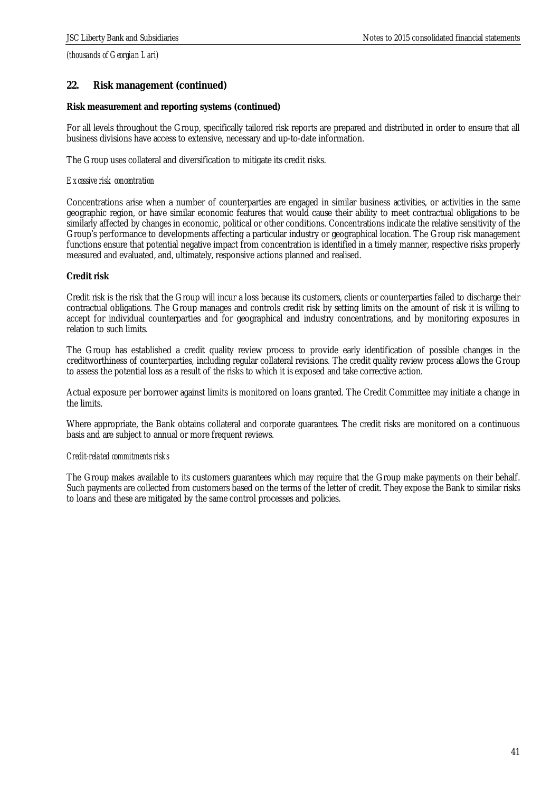## **22. Risk management (continued)**

#### **Risk measurement and reporting systems (continued)**

For all levels throughout the Group, specifically tailored risk reports are prepared and distributed in order to ensure that all business divisions have access to extensive, necessary and up-to-date information.

The Group uses collateral and diversification to mitigate its credit risks.

#### *Excessive risk concentration*

Concentrations arise when a number of counterparties are engaged in similar business activities, or activities in the same geographic region, or have similar economic features that would cause their ability to meet contractual obligations to be similarly affected by changes in economic, political or other conditions. Concentrations indicate the relative sensitivity of the Group's performance to developments affecting a particular industry or geographical location. The Group risk management functions ensure that potential negative impact from concentration is identified in a timely manner, respective risks properly measured and evaluated, and, ultimately, responsive actions planned and realised.

#### **Credit risk**

Credit risk is the risk that the Group will incur a loss because its customers, clients or counterparties failed to discharge their contractual obligations. The Group manages and controls credit risk by setting limits on the amount of risk it is willing to accept for individual counterparties and for geographical and industry concentrations, and by monitoring exposures in relation to such limits.

The Group has established a credit quality review process to provide early identification of possible changes in the creditworthiness of counterparties, including regular collateral revisions. The credit quality review process allows the Group to assess the potential loss as a result of the risks to which it is exposed and take corrective action.

Actual exposure per borrower against limits is monitored on loans granted. The Credit Committee may initiate a change in the limits.

Where appropriate, the Bank obtains collateral and corporate guarantees. The credit risks are monitored on a continuous basis and are subject to annual or more frequent reviews.

#### *Credit-related commitments risks*

The Group makes available to its customers guarantees which may require that the Group make payments on their behalf. Such payments are collected from customers based on the terms of the letter of credit. They expose the Bank to similar risks to loans and these are mitigated by the same control processes and policies.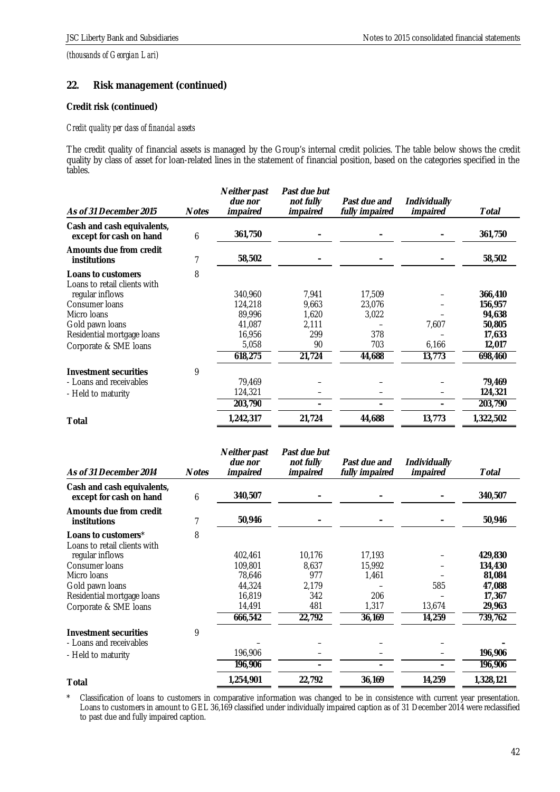## **22. Risk management (continued)**

#### **Credit risk (continued)**

#### *Credit quality per class of financial assets*

The credit quality of financial assets is managed by the Group's internal credit policies. The table below shows the credit quality by class of asset for loan-related lines in the statement of financial position, based on the categories specified in the tables.

| As of 31 December 2015                                                                                                                                                           | <b>Notes</b> | Neither past<br>due nor<br>impaired                                  | Past due but<br>not fully<br>impaired                   | Past due and<br>fully impaired                    | Individually<br>impaired | Total                                                                 |
|----------------------------------------------------------------------------------------------------------------------------------------------------------------------------------|--------------|----------------------------------------------------------------------|---------------------------------------------------------|---------------------------------------------------|--------------------------|-----------------------------------------------------------------------|
| Cash and cash equivalents,<br>except for cash on hand                                                                                                                            | 6            | 361,750                                                              |                                                         |                                                   |                          | 361,750                                                               |
| Amounts due from credit<br>institutions                                                                                                                                          | 7            | 58,502                                                               |                                                         |                                                   |                          | 58,502                                                                |
| Loans to customers<br>Loans to retail clients with<br>regular inflows<br>Consumer Ioans<br>Micro Ioans<br>Gold pawn Ioans<br>Residential mortgage loans<br>Corporate & SME Ioans | 8            | 340,960<br>124,218<br>89,996<br>41,087<br>16,956<br>5,058<br>618,275 | 7,941<br>9,663<br>1,620<br>2,111<br>299<br>90<br>21,724 | 17,509<br>23,076<br>3,022<br>378<br>703<br>44,688 | 7,607<br>6,166<br>13,773 | 366,410<br>156,957<br>94,638<br>50,805<br>17,633<br>12,017<br>698,460 |
| Investment securities<br>- Loans and receivables<br>- Held to maturity                                                                                                           | 9            | 79.469<br>124,321<br>203,790                                         |                                                         |                                                   |                          | 79,469<br>124,321<br>203,790                                          |
| Total                                                                                                                                                                            |              | 1,242,317                                                            | 21,724                                                  | 44,688                                            | 13,773                   | 1,322,502                                                             |

| As of 31 December 2014                                                                                                                                                            | <b>Notes</b> | Neither past<br>due nor<br>impaired                                   | Past due but<br>not fully<br>impaired                   | Past due and<br>fully impaired                      | Individually<br>impaired | Total                                                                 |
|-----------------------------------------------------------------------------------------------------------------------------------------------------------------------------------|--------------|-----------------------------------------------------------------------|---------------------------------------------------------|-----------------------------------------------------|--------------------------|-----------------------------------------------------------------------|
| Cash and cash equivalents,<br>except for cash on hand                                                                                                                             | 6            | 340,507                                                               |                                                         |                                                     |                          | 340,507                                                               |
| Amounts due from credit<br>institutions                                                                                                                                           |              | 50,946                                                                |                                                         |                                                     |                          | 50,946                                                                |
| Loans to customers*<br>Loans to retail clients with<br>regular inflows<br>Consumer loans<br>Micro Ioans<br>Gold pawn loans<br>Residential mortgage loans<br>Corporate & SME Ioans | 8            | 402,461<br>109.801<br>78,646<br>44,324<br>16,819<br>14,491<br>666,542 | 10,176<br>8,637<br>977<br>2,179<br>342<br>481<br>22,792 | 17,193<br>15,992<br>1,461<br>206<br>1,317<br>36,169 | 585<br>13,674<br>14,259  | 429,830<br>134,430<br>81,084<br>47,088<br>17,367<br>29,963<br>739,762 |
| Investment securities<br>- Loans and receivables<br>- Held to maturity                                                                                                            | 9            | 196,906<br>196,906                                                    |                                                         |                                                     |                          | 196,906<br>196,906                                                    |
| Total                                                                                                                                                                             |              | 1,254,901                                                             | 22,792                                                  | 36,169                                              | 14,259                   | 1,328,121                                                             |

\* Classification of loans to customers in comparative information was changed to be in consistence with current year presentation. Loans to customers in amount to GEL 36,169 classified under individually impaired caption as of 31 December 2014 were reclassified to past due and fully impaired caption.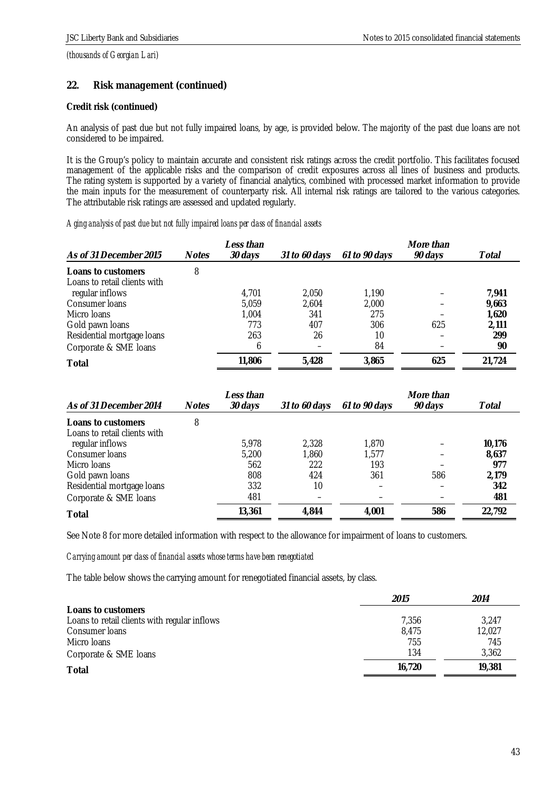## **22. Risk management (continued)**

### **Credit risk (continued)**

An analysis of past due but not fully impaired loans, by age, is provided below. The majority of the past due loans are not considered to be impaired.

It is the Group's policy to maintain accurate and consistent risk ratings across the credit portfolio. This facilitates focused management of the applicable risks and the comparison of credit exposures across all lines of business and products. The rating system is supported by a variety of financial analytics, combined with processed market information to provide the main inputs for the measurement of counterparty risk. All internal risk ratings are tailored to the various categories. The attributable risk ratings are assessed and updated regularly.

*Aging analysis of past due but not fully impaired loans per class of financial assets*

| As of 31 December 2015<br>Notes | Less than<br>30 days | <i>31 to 60 days</i> | 61 to 90 days | More than<br>90 days | Total  |
|---------------------------------|----------------------|----------------------|---------------|----------------------|--------|
|                                 |                      |                      |               |                      |        |
| 8<br>Loans to customers         |                      |                      |               |                      |        |
| Loans to retail clients with    |                      |                      |               |                      |        |
| regular inflows                 | 4.701                | 2.050                | 1.190         |                      | 7,941  |
| Consumer Ioans                  | 5.059                | 2,604                | 2.000         |                      | 9,663  |
| Micro Ioans                     | 1.004                | 341                  | 275           |                      | 1,620  |
| Gold pawn loans                 | 773                  | 407                  | 306           | 625                  | 2,111  |
| Residential mortgage loans      | 263                  | 26                   | 10            |                      | 299    |
| Corporate & SME Ioans           | b                    |                      | 84            |                      | 90     |
| Total                           | 11,806               | 5,428                | 3,865         | 625                  | 21,724 |

|                                                    |              | Less than |                      |               | More than |        |
|----------------------------------------------------|--------------|-----------|----------------------|---------------|-----------|--------|
| As of 31 December 2014                             | <b>Notes</b> | 30 days   | <i>31 to 60 days</i> | 61 to 90 days | 90 days   | Total  |
| Loans to customers<br>Loans to retail clients with | 8            |           |                      |               |           |        |
| regular inflows                                    |              | 5.978     | 2,328                | 1,870         |           | 10,176 |
| Consumer Ioans                                     |              | 5.200     | 1,860                | 1.577         |           | 8,637  |
| Micro Ioans                                        |              | 562       | 222                  | 193           |           | 977    |
| Gold pawn loans                                    |              | 808       | 424                  | 361           | 586       | 2,179  |
| Residential mortgage loans                         |              | 332       | 10                   |               |           | 342    |
| Corporate & SME Ioans                              |              | 481       |                      |               |           | 481    |
| Total                                              |              | 13,361    | 4,844                | 4,001         | 586       | 22,792 |

See Note 8 for more detailed information with respect to the allowance for impairment of loans to customers.

*Carrying amount per class of financial assets whose terms have been renegotiated*

The table below shows the carrying amount for renegotiated financial assets, by class.

|                                              | 2015   | 2014   |
|----------------------------------------------|--------|--------|
| Loans to customers                           |        |        |
| Loans to retail clients with regular inflows | 7.356  | 3.247  |
| Consumer Ioans                               | 8.475  | 12,027 |
| Micro Ioans                                  | 755    | 745    |
| Corporate & SME Ioans                        | 134    | 3,362  |
| Total                                        | 16.720 | 19,381 |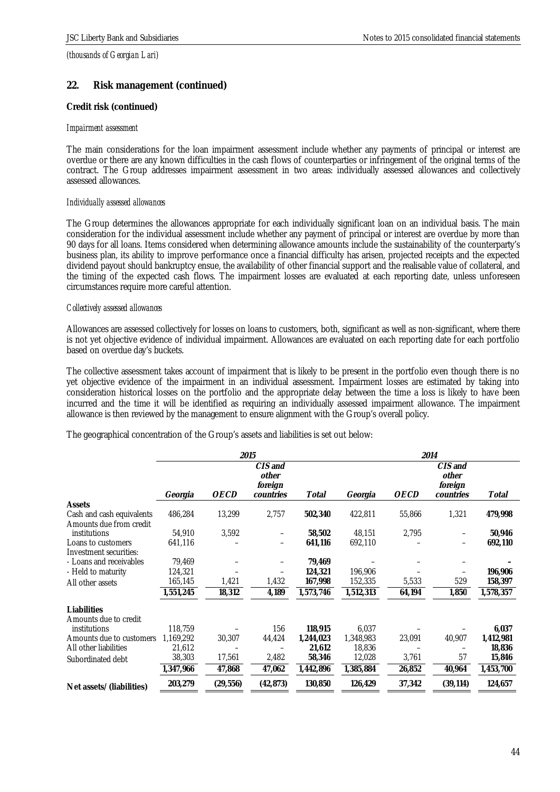## **22. Risk management (continued)**

**Credit risk (continued)**

#### *Impairment assessment*

The main considerations for the loan impairment assessment include whether any payments of principal or interest are overdue or there are any known difficulties in the cash flows of counterparties or infringement of the original terms of the contract. The Group addresses impairment assessment in two areas: individually assessed allowances and collectively assessed allowances.

#### *Individually assessed allowances*

The Group determines the allowances appropriate for each individually significant loan on an individual basis. The main consideration for the individual assessment include whether any payment of principal or interest are overdue by more than 90 days for all loans. Items considered when determining allowance amounts include the sustainability of the counterparty's business plan, its ability to improve performance once a financial difficulty has arisen, projected receipts and the expected dividend payout should bankruptcy ensue, the availability of other financial support and the realisable value of collateral, and the timing of the expected cash flows. The impairment losses are evaluated at each reporting date, unless unforeseen circumstances require more careful attention.

#### *Collectively assessed allowances*

Allowances are assessed collectively for losses on loans to customers, both, significant as well as non-significant, where there is not yet objective evidence of individual impairment. Allowances are evaluated on each reporting date for each portfolio based on overdue day's buckets.

The collective assessment takes account of impairment that is likely to be present in the portfolio even though there is no yet objective evidence of the impairment in an individual assessment. Impairment losses are estimated by taking into consideration historical losses on the portfolio and the appropriate delay between the time a loss is likely to have been incurred and the time it will be identified as requiring an individually assessed impairment allowance. The impairment allowance is then reviewed by the management to ensure alignment with the Group's overall policy.

The geographical concentration of the Group's assets and liabilities is set out below:

|                                                      | 2015      |             |                               |           |           | 2014        |                               |           |  |
|------------------------------------------------------|-----------|-------------|-------------------------------|-----------|-----------|-------------|-------------------------------|-----------|--|
|                                                      |           |             | $CIS$ and<br>other<br>foreign |           |           |             | $CIS$ and<br>other<br>foreign |           |  |
|                                                      | Georgia   | <b>OECD</b> | countries                     | Total     | Georgia   | <b>OECD</b> | countries                     | Total     |  |
| Assets                                               |           |             |                               |           |           |             |                               |           |  |
| Cash and cash equivalents<br>Amounts due from credit | 486,284   | 13,299      | 2,757                         | 502,340   | 422,811   | 55,866      | 1,321                         | 479,998   |  |
| <i>institutions</i>                                  | 54,910    | 3,592       |                               | 58,502    | 48,151    | 2,795       |                               | 50,946    |  |
| Loans to customers<br>Investment securities:         | 641,116   |             |                               | 641,116   | 692,110   |             |                               | 692,110   |  |
| - Loans and receivables                              | 79,469    |             |                               | 79,469    |           |             |                               |           |  |
| - Held to maturity                                   | 124,321   |             |                               | 124,321   | 196,906   |             |                               | 196,906   |  |
| All other assets                                     | 165,145   | 1,421       | 1,432                         | 167,998   | 152,335   | 5,533       | 529                           | 158,397   |  |
|                                                      | ,551,245  | 18,312      | 4,189                         | 1,573,746 | 1,512,313 | 64,194      | 1,850                         | 1,578,357 |  |
| Liabilities<br>Amounts due to credit                 |           |             |                               |           |           |             |                               |           |  |
| institutions                                         | 118,759   |             | 156                           | 118,915   | 6,037     |             |                               | 6,037     |  |
| Amounts due to customers                             | 1,169,292 | 30,307      | 44,424                        | 1,244,023 | 1,348,983 | 23,091      | 40,907                        | 1,412,981 |  |
| All other liabilities                                | 21,612    |             |                               | 21,612    | 18,836    |             |                               | 18,836    |  |
| Subordinated debt                                    | 38,303    | 17,561      | 2,482                         | 58,346    | 12,028    | 3,761       | 57                            | 15,846    |  |
|                                                      | 1,347,966 | 47,868      | 47,062                        | 1,442,896 | 1,385,884 | 26,852      | 40,964                        | 1,453,700 |  |
| Net assets/(liabilities)                             | 203,279   | (29,556)    | (42, 873)                     | 130,850   | 126,429   | 37,342      | (39, 114)                     | 124,657   |  |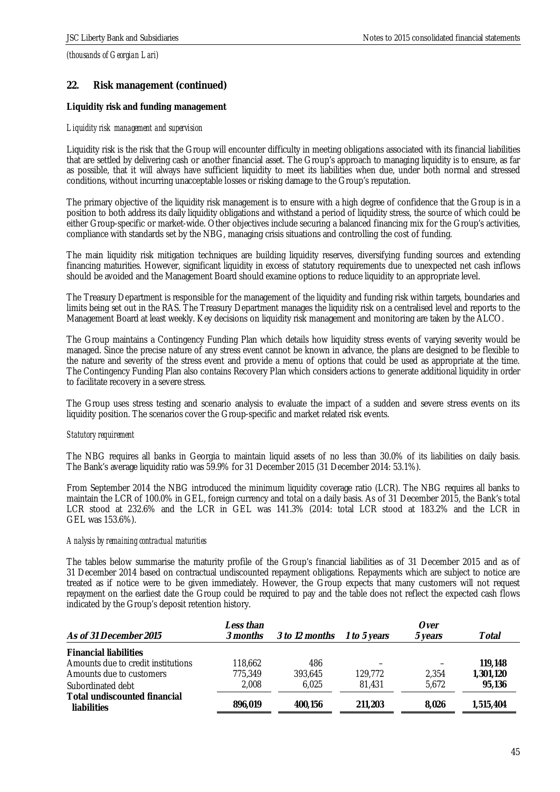## **22. Risk management (continued)**

**Liquidity risk and funding management**

#### *Liquidity risk management and supervision*

Liquidity risk is the risk that the Group will encounter difficulty in meeting obligations associated with its financial liabilities that are settled by delivering cash or another financial asset. The Group's approach to managing liquidity is to ensure, as far as possible, that it will always have sufficient liquidity to meet its liabilities when due, under both normal and stressed conditions, without incurring unacceptable losses or risking damage to the Group's reputation.

The primary objective of the liquidity risk management is to ensure with a high degree of confidence that the Group is in a position to both address its daily liquidity obligations and withstand a period of liquidity stress, the source of which could be either Group-specific or market-wide. Other objectives include securing a balanced financing mix for the Group's activities, compliance with standards set by the NBG, managing crisis situations and controlling the cost of funding.

The main liquidity risk mitigation techniques are building liquidity reserves, diversifying funding sources and extending financing maturities. However, significant liquidity in excess of statutory requirements due to unexpected net cash inflows should be avoided and the Management Board should examine options to reduce liquidity to an appropriate level.

The Treasury Department is responsible for the management of the liquidity and funding risk within targets, boundaries and limits being set out in the RAS. The Treasury Department manages the liquidity risk on a centralised level and reports to the Management Board at least weekly. Key decisions on liquidity risk management and monitoring are taken by the ALCO.

The Group maintains a Contingency Funding Plan which details how liquidity stress events of varying severity would be managed. Since the precise nature of any stress event cannot be known in advance, the plans are designed to be flexible to the nature and severity of the stress event and provide a menu of options that could be used as appropriate at the time. The Contingency Funding Plan also contains Recovery Plan which considers actions to generate additional liquidity in order to facilitate recovery in a severe stress.

The Group uses stress testing and scenario analysis to evaluate the impact of a sudden and severe stress events on its liquidity position. The scenarios cover the Group-specific and market related risk events.

#### *Statutory requirement*

The NBG requires all banks in Georgia to maintain liquid assets of no less than 30.0% of its liabilities on daily basis. The Bank's average liquidity ratio was 59.9% for 31 December 2015 (31 December 2014: 53.1%).

From September 2014 the NBG introduced the minimum liquidity coverage ratio (LCR). The NBG requires all banks to maintain the LCR of 100.0% in GEL, foreign currency and total on a daily basis. As of 31 December 2015, the Bank's total LCR stood at 232.6% and the LCR in GEL was 141.3% (2014: total LCR stood at 183.2% and the LCR in GEL was 153.6%).

#### *Analysis by remaining contractual maturities*

The tables below summarise the maturity profile of the Group's financial liabilities as of 31 December 2015 and as of 31 December 2014 based on contractual undiscounted repayment obligations. Repayments which are subject to notice are treated as if notice were to be given immediately. However, the Group expects that many customers will not request repayment on the earliest date the Group could be required to pay and the table does not reflect the expected cash flows indicated by the Group's deposit retention history.

| As of 31 December 2015                                                                                                                                             | Less than<br>3 months                  | 3 to 12 months 1 to 5 years        |                              | Over<br>5 years         | Total                                       |
|--------------------------------------------------------------------------------------------------------------------------------------------------------------------|----------------------------------------|------------------------------------|------------------------------|-------------------------|---------------------------------------------|
| <b>Financial liabilities</b><br>Amounts due to credit institutions<br>Amounts due to customers<br>Subordinated debt<br>Total undiscounted financial<br>liabilities | 118.662<br>775.349<br>2.008<br>896.019 | 486<br>393.645<br>6.025<br>400.156 | 129.772<br>81,431<br>211.203 | 2.354<br>5.672<br>8.026 | 119,148<br>1,301,120<br>95.136<br>1,515,404 |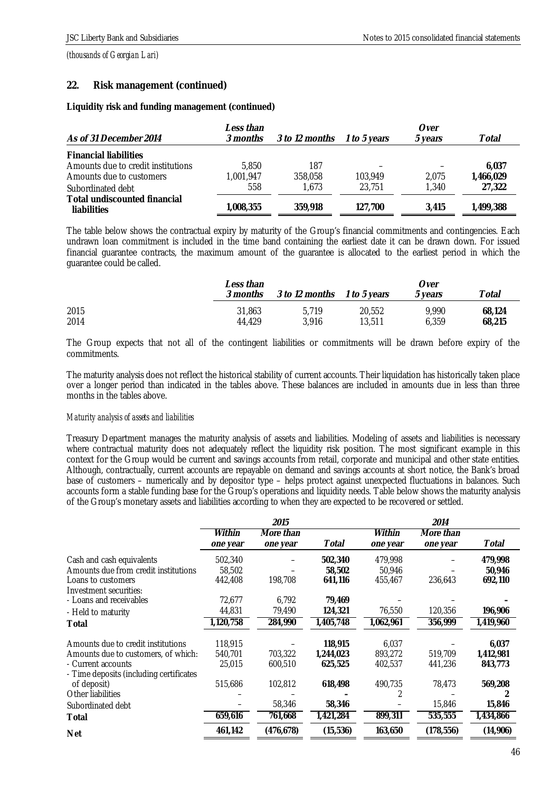## **22. Risk management (continued)**

**Liquidity risk and funding management (continued)**

| As of 31 December 2014                                                                         | Less than<br>3 months | 3 to 12 months   | <i>1 to 5 years</i> | Over<br>5 years | Total               |
|------------------------------------------------------------------------------------------------|-----------------------|------------------|---------------------|-----------------|---------------------|
| <b>Financial liabilities</b><br>Amounts due to credit institutions<br>Amounts due to customers | 5.850<br>1,001,947    | 187<br>358,058   | 103.949             | 2.075           | 6.037<br>1,466,029  |
| Subordinated debt<br>Total undiscounted financial<br>liabilities                               | 558<br>1,008,355      | 1.673<br>359,918 | 23.751<br>127,700   | 1.340<br>3.415  | 27,322<br>1,499,388 |

The table below shows the contractual expiry by maturity of the Group's financial commitments and contingencies. Each undrawn loan commitment is included in the time band containing the earliest date it can be drawn down. For issued financial guarantee contracts, the maximum amount of the guarantee is allocated to the earliest period in which the guarantee could be called.

|      | Less than<br>3 months | 3 to 12 months 1 to 5 years |        | Over<br>5 years | Total  |
|------|-----------------------|-----------------------------|--------|-----------------|--------|
| 2015 | 31,863                | 5.719                       | 20.552 | 9,990           | 68,124 |
| 2014 | 44.429                | 3.916                       | 13,511 | 6.359           | 68,215 |

The Group expects that not all of the contingent liabilities or commitments will be drawn before expiry of the commitments.

The maturity analysis does not reflect the historical stability of current accounts. Their liquidation has historically taken place over a longer period than indicated in the tables above. These balances are included in amounts due in less than three months in the tables above.

#### *Maturity analysis of assets and liabilities*

Treasury Department manages the maturity analysis of assets and liabilities. Modeling of assets and liabilities is necessary where contractual maturity does not adequately reflect the liquidity risk position. The most significant example in this context for the Group would be current and savings accounts from retail, corporate and municipal and other state entities. Although, contractually, current accounts are repayable on demand and savings accounts at short notice, the Bank's broad base of customers – numerically and by depositor type – helps protect against unexpected fluctuations in balances. Such accounts form a stable funding base for the Group's operations and liquidity needs. Table below shows the maturity analysis of the Group's monetary assets and liabilities according to when they are expected to be recovered or settled.

|                                         |           | 2015       |           |           | 2014       |           |
|-----------------------------------------|-----------|------------|-----------|-----------|------------|-----------|
|                                         | Within    | More than  |           | Within    | More than  |           |
|                                         | one year  | one year   | Total     | one year  | one year   | Total     |
| Cash and cash equivalents               | 502,340   |            | 502,340   | 479,998   |            | 479,998   |
| Amounts due from credit institutions    | 58,502    |            | 58,502    | 50.946    |            | 50.946    |
| Loans to customers                      | 442,408   | 198.708    | 641,116   | 455,467   | 236,643    | 692,110   |
| Investment securities:                  |           |            |           |           |            |           |
| - Loans and receivables                 | 72.677    | 6.792      | 79.469    |           |            |           |
| - Held to maturity                      | 44,831    | 79,490     | 124,321   | 76,550    | 120,356    | 196,906   |
| Total                                   | 1,120,758 | 284,990    | 1,405,748 | 1,062,961 | 356,999    | 1,419,960 |
| Amounts due to credit institutions      | 118,915   |            | 118,915   | 6,037     |            | 6,037     |
| Amounts due to customers, of which:     | 540,701   | 703,322    | 1,244,023 | 893,272   | 519.709    | 1,412,981 |
| - Current accounts                      | 25,015    | 600.510    | 625,525   | 402,537   | 441.236    | 843,773   |
| - Time deposits (including certificates |           |            |           |           |            |           |
| of deposit)                             | 515,686   | 102,812    | 618,498   | 490,735   | 78,473     | 569,208   |
| Other liabilities                       |           |            |           |           |            |           |
| Subordinated debt                       |           | 58,346     | 58,346    |           | 15,846     | 15,846    |
| Total                                   | 659,616   | 761,668    | 1,421,284 | 899,311   | 535,555    | 1,434,866 |
| <b>Net</b>                              | 461,142   | (476, 678) | (15, 536) | 163,650   | (178, 556) | (14, 906) |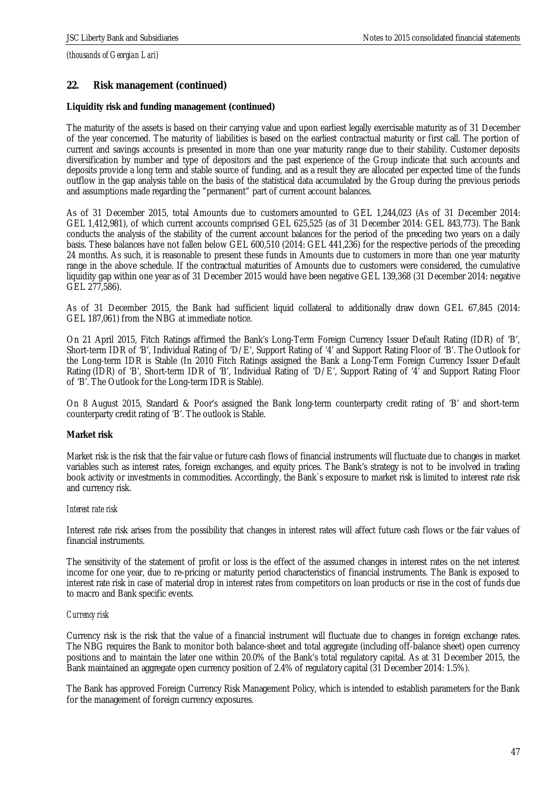## **22. Risk management (continued)**

### **Liquidity risk and funding management (continued)**

The maturity of the assets is based on their carrying value and upon earliest legally exercisable maturity as of 31 December of the year concerned. The maturity of liabilities is based on the earliest contractual maturity or first call. The portion of current and savings accounts is presented in more than one year maturity range due to their stability. Customer deposits diversification by number and type of depositors and the past experience of the Group indicate that such accounts and deposits provide a long term and stable source of funding, and as a result they are allocated per expected time of the funds outflow in the gap analysis table on the basis of the statistical data accumulated by the Group during the previous periods and assumptions made regarding the "permanent" part of current account balances.

As of 31 December 2015, total Amounts due to customers amounted to GEL 1,244,023 (As of 31 December 2014: GEL 1,412,981), of which current accounts comprised GEL 625,525 (as of 31 December 2014: GEL 843,773). The Bank conducts the analysis of the stability of the current account balances for the period of the preceding two years on a daily basis. These balances have not fallen below GEL 600,510 (2014: GEL 441,236) for the respective periods of the preceding 24 months. As such, it is reasonable to present these funds in Amounts due to customers in more than one year maturity range in the above schedule. If the contractual maturities of Amounts due to customers were considered, the cumulative liquidity gap within one year as of 31 December 2015 would have been negative GEL 139,368 (31 December 2014: negative GEL 277,586).

As of 31 December 2015, the Bank had sufficient liquid collateral to additionally draw down GEL 67,845 (2014: GEL 187,061) from the NBG at immediate notice.

On 21 April 2015, Fitch Ratings affirmed the Bank's Long-Term Foreign Currency Issuer Default Rating (IDR) of 'B', Short-term IDR of 'B', Individual Rating of 'D/E', Support Rating of '4' and Support Rating Floor of 'B'. The Outlook for the Long-term IDR is Stable (In 2010 Fitch Ratings assigned the Bank a Long-Term Foreign Currency Issuer Default Rating (IDR) of 'B', Short-term IDR of 'B', Individual Rating of 'D/E', Support Rating of '4' and Support Rating Floor of 'B'. The Outlook for the Long-term IDR is Stable).

On 8 August 2015, Standard & Poor's assigned the Bank long-term counterparty credit rating of 'B' and short-term counterparty credit rating of 'B'. The outlook is Stable.

#### **Market risk**

Market risk is the risk that the fair value or future cash flows of financial instruments will fluctuate due to changes in market variables such as interest rates, foreign exchanges, and equity prices. The Bank's strategy is not to be involved in trading book activity or investments in commodities. Accordingly, the Bank`s exposure to market risk is limited to interest rate risk and currency risk.

#### *Interest rate risk*

Interest rate risk arises from the possibility that changes in interest rates will affect future cash flows or the fair values of financial instruments.

The sensitivity of the statement of profit or loss is the effect of the assumed changes in interest rates on the net interest income for one year, due to re-pricing or maturity period characteristics of financial instruments. The Bank is exposed to interest rate risk in case of material drop in interest rates from competitors on loan products or rise in the cost of funds due to macro and Bank specific events.

#### *Currency risk*

Currency risk is the risk that the value of a financial instrument will fluctuate due to changes in foreign exchange rates. The NBG requires the Bank to monitor both balance-sheet and total aggregate (including off-balance sheet) open currency positions and to maintain the later one within 20.0% of the Bank's total regulatory capital. As at 31 December 2015, the Bank maintained an aggregate open currency position of 2.4% of regulatory capital (31 December 2014: 1.5%).

The Bank has approved Foreign Currency Risk Management Policy, which is intended to establish parameters for the Bank for the management of foreign currency exposures.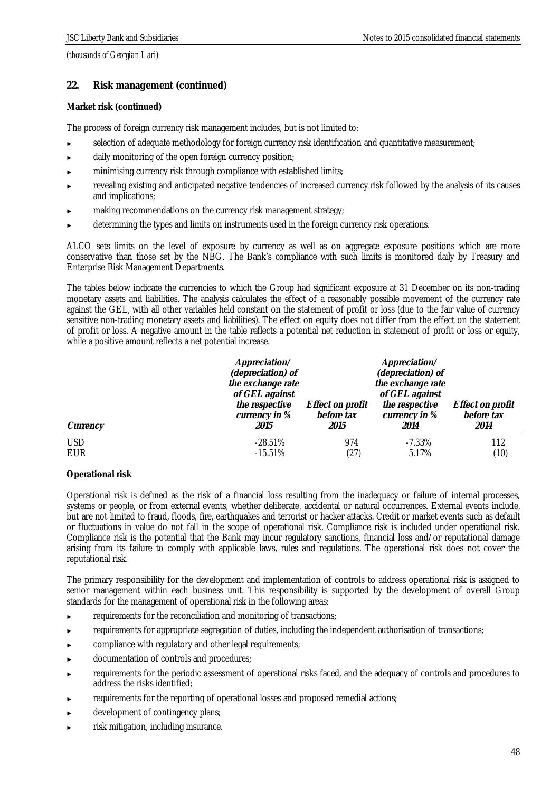## **22. Risk management (continued)**

## **Market risk (continued)**

The process of foreign currency risk management includes, but is not limited to:

- ► selection of adequate methodology for foreign currency risk identification and quantitative measurement;
- ► daily monitoring of the open foreign currency position;
- minimising currency risk through compliance with established limits;
- ► revealing existing and anticipated negative tendencies of increased currency risk followed by the analysis of its causes and implications;
- making recommendations on the currency risk management strategy;
- determining the types and limits on instruments used in the foreign currency risk operations.

ALCO sets limits on the level of exposure by currency as well as on aggregate exposure positions which are more conservative than those set by the NBG. The Bank's compliance with such limits is monitored daily by Treasury and Enterprise Risk Management Departments.

The tables below indicate the currencies to which the Group had significant exposure at 31 December on its non-trading monetary assets and liabilities. The analysis calculates the effect of a reasonably possible movement of the currency rate against the GEL, with all other variables held constant on the statement of profit or loss (due to the fair value of currency sensitive non-trading monetary assets and liabilities). The effect on equity does not differ from the effect on the statement of profit or loss. A negative amount in the table reflects a potential net reduction in statement of profit or loss or equity, while a positive amount reflects a net potential increase.

| Appreciation/<br>(depreciation) of<br>the exchange rate |                                 | Appreciation/<br>(depreciation) of<br>the exchange rate |                                 |                                |
|---------------------------------------------------------|---------------------------------|---------------------------------------------------------|---------------------------------|--------------------------------|
|                                                         | of GEL against                  |                                                         | of GEL against                  |                                |
|                                                         | the respective<br>currency in % | Effect on profit<br>before tax                          | the respective<br>currency in % | Effect on profit<br>before tax |
| Currency                                                | 2015                            | 2015                                                    | 2014                            | 2014                           |
| <b>USD</b><br>EUR                                       | $-28.51%$<br>$-15.51%$          | 974<br>(27)                                             | $-7.33%$<br>5.17%               | 112<br>(10)                    |

## **Operational risk**

Operational risk is defined as the risk of a financial loss resulting from the inadequacy or failure of internal processes, systems or people, or from external events, whether deliberate, accidental or natural occurrences. External events include, but are not limited to fraud, floods, fire, earthquakes and terrorist or hacker attacks. Credit or market events such as default or fluctuations in value do not fall in the scope of operational risk. Compliance risk is included under operational risk. Compliance risk is the potential that the Bank may incur regulatory sanctions, financial loss and/or reputational damage arising from its failure to comply with applicable laws, rules and regulations. The operational risk does not cover the reputational risk.

The primary responsibility for the development and implementation of controls to address operational risk is assigned to senior management within each business unit. This responsibility is supported by the development of overall Group standards for the management of operational risk in the following areas:

- ► requirements for the reconciliation and monitoring of transactions;
- requirements for appropriate segregation of duties, including the independent authorisation of transactions;
- compliance with regulatory and other legal requirements;
- documentation of controls and procedures;
- requirements for the periodic assessment of operational risks faced, and the adequacy of controls and procedures to address the risks identified;
- requirements for the reporting of operational losses and proposed remedial actions;
- ► development of contingency plans;
- ► risk mitigation, including insurance.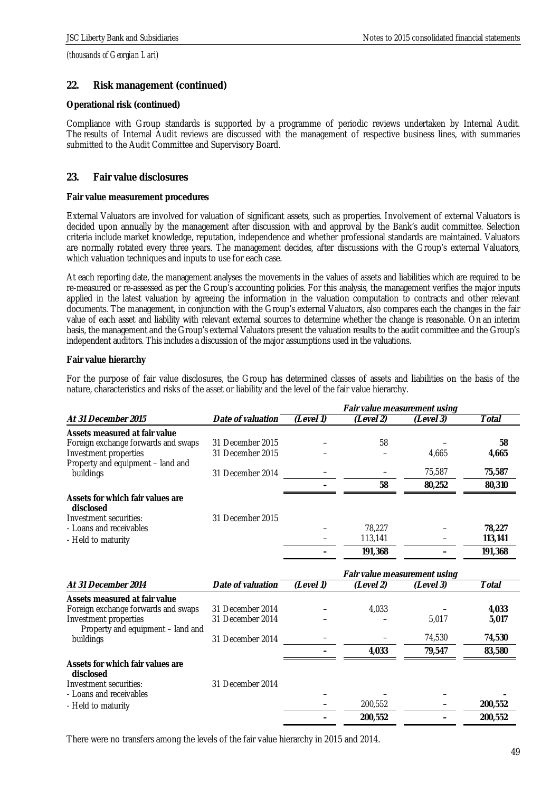## **22. Risk management (continued)**

### **Operational risk (continued)**

Compliance with Group standards is supported by a programme of periodic reviews undertaken by Internal Audit. The results of Internal Audit reviews are discussed with the management of respective business lines, with summaries submitted to the Audit Committee and Supervisory Board.

## <span id="page-51-0"></span>**23. Fair value disclosures**

#### **Fair value measurement procedures**

External Valuators are involved for valuation of significant assets, such as properties. Involvement of external Valuators is decided upon annually by the management after discussion with and approval by the Bank's audit committee. Selection criteria include market knowledge, reputation, independence and whether professional standards are maintained. Valuators are normally rotated every three years. The management decides, after discussions with the Group's external Valuators, which valuation techniques and inputs to use for each case.

At each reporting date, the management analyses the movements in the values of assets and liabilities which are required to be re-measured or re-assessed as per the Group's accounting policies. For this analysis, the management verifies the major inputs applied in the latest valuation by agreeing the information in the valuation computation to contracts and other relevant documents. The management, in conjunction with the Group's external Valuators, also compares each the changes in the fair value of each asset and liability with relevant external sources to determine whether the change is reasonable. On an interim basis, the management and the Group's external Valuators present the valuation results to the audit committee and the Group's independent auditors. This includes a discussion of the major assumptions used in the valuations.

#### **Fair value hierarchy**

For the purpose of fair value disclosures, the Group has determined classes of assets and liabilities on the basis of the nature, characteristics and risks of the asset or liability and the level of the fair value hierarchy.

|                                                                                               |                                      |           | Fair value measurement using |                  |                   |
|-----------------------------------------------------------------------------------------------|--------------------------------------|-----------|------------------------------|------------------|-------------------|
| At 31 December 2015                                                                           | Date of valuation                    | (Level 1) | (Level 2)                    | (Level 3)        | Total             |
| Assets measured at fair value<br>Foreign exchange forwards and swaps<br>Investment properties | 31 December 2015<br>31 December 2015 |           | 58                           | 4.665            | 58<br>4,665       |
| Property and equipment - land and<br>buildings                                                | 31 December 2014                     |           |                              | 75,587           | 75,587            |
| Assets for which fair values are<br>disclosed                                                 |                                      |           | 58                           | 80,252           | 80,310            |
| Investment securities:<br>- Loans and receivables<br>- Held to maturity                       | 31 December 2015                     |           | 78,227<br>113,141            |                  | 78,227<br>113,141 |
|                                                                                               |                                      |           | 191,368                      |                  | 191,368           |
|                                                                                               |                                      |           | Fair value measurement using |                  |                   |
| At 31 December 2014                                                                           | Date of valuation                    | (Level 1) | (Level 2)                    | <i>(Level 3)</i> | Total             |
| Assets measured at fair value<br>Foreign exchange forwards and swaps<br>Investment properties | 31 December 2014<br>31 December 2014 |           | 4,033                        |                  | 4.033             |
| Property and equipment - land and                                                             |                                      |           |                              | 5,017            | 5,017             |
| buildings                                                                                     | 31 December 2014                     |           |                              | 74,530           | 74,530            |
|                                                                                               |                                      |           | 4,033                        | 79,547           | 83,580            |
| Assets for which fair values are<br>disclosed<br>Investment securities:                       | 31 December 2014                     |           |                              |                  |                   |
| - Loans and receivables                                                                       |                                      |           | 200,552                      |                  | 200,552           |
| - Held to maturity                                                                            |                                      |           | 200,552                      |                  | 200,552           |

There were no transfers among the levels of the fair value hierarchy in 2015 and 2014.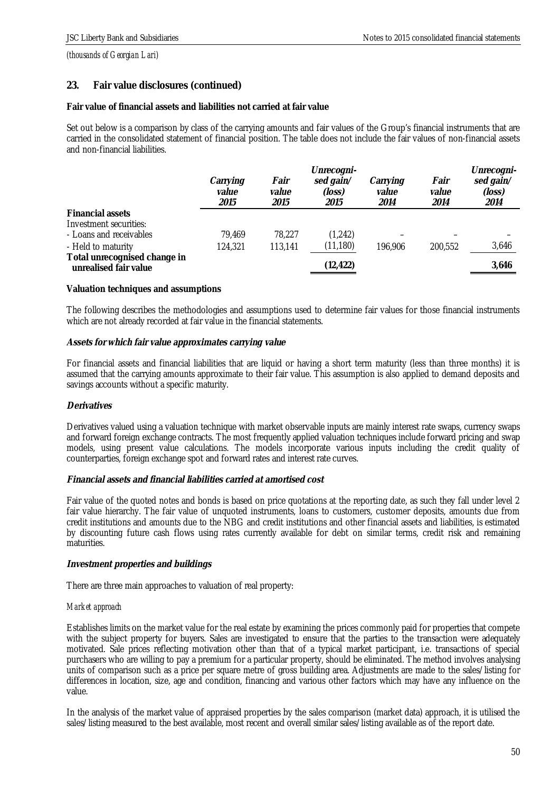### **23. Fair value disclosures (continued)**

#### **Fair value of financial assets and liabilities not carried at fair value**

Set out below is a comparison by class of the carrying amounts and fair values of the Group's financial instruments that are carried in the consolidated statement of financial position. The table does not include the fair values of non-financial assets and non-financial liabilities.

|                                                       | Carrying<br>value<br>2015 | Fair<br>value<br>2015 | Unrecogni-<br>sed gain/<br>(loss)<br>2015 | Carrying<br>value<br>2014 | Fair<br><i>value</i><br>2014 | Unrecogni-<br>sed gain/<br>(loss)<br>2014 |
|-------------------------------------------------------|---------------------------|-----------------------|-------------------------------------------|---------------------------|------------------------------|-------------------------------------------|
| <b>Financial assets</b>                               |                           |                       |                                           |                           |                              |                                           |
| Investment securities:                                |                           |                       |                                           |                           |                              |                                           |
| - Loans and receivables                               | 79.469                    | 78.227                | (1,242)                                   |                           |                              |                                           |
| - Held to maturity                                    | 124,321                   | 113,141               | (11, 180)                                 | 196,906                   | 200,552                      | 3,646                                     |
| Total unrecognised change in<br>unrealised fair value |                           |                       | (12, 422)                                 |                           |                              | 3,646                                     |

#### **Valuation techniques and assumptions**

The following describes the methodologies and assumptions used to determine fair values for those financial instruments which are not already recorded at fair value in the financial statements.

#### **Assets for which fair value approximates carrying value**

For financial assets and financial liabilities that are liquid or having a short term maturity (less than three months) it is assumed that the carrying amounts approximate to their fair value. This assumption is also applied to demand deposits and savings accounts without a specific maturity.

#### **Derivatives**

Derivatives valued using a valuation technique with market observable inputs are mainly interest rate swaps, currency swaps and forward foreign exchange contracts. The most frequently applied valuation techniques include forward pricing and swap models, using present value calculations. The models incorporate various inputs including the credit quality of counterparties, foreign exchange spot and forward rates and interest rate curves.

#### **Financial assets and financial liabilities carried at amortised cost**

Fair value of the quoted notes and bonds is based on price quotations at the reporting date, as such they fall under level 2 fair value hierarchy. The fair value of unquoted instruments, loans to customers, customer deposits, amounts due from credit institutions and amounts due to the NBG and credit institutions and other financial assets and liabilities, is estimated by discounting future cash flows using rates currently available for debt on similar terms, credit risk and remaining maturities.

#### **Investment properties and buildings**

There are three main approaches to valuation of real property:

#### *Market approach*

Establishes limits on the market value for the real estate by examining the prices commonly paid for properties that compete with the subject property for buyers. Sales are investigated to ensure that the parties to the transaction were adequately motivated. Sale prices reflecting motivation other than that of a typical market participant, i.e. transactions of special purchasers who are willing to pay a premium for a particular property, should be eliminated. The method involves analysing units of comparison such as a price per square metre of gross building area. Adjustments are made to the sales/listing for differences in location, size, age and condition, financing and various other factors which may have any influence on the value.

In the analysis of the market value of appraised properties by the sales comparison (market data) approach, it is utilised the sales/listing measured to the best available, most recent and overall similar sales/listing available as of the report date.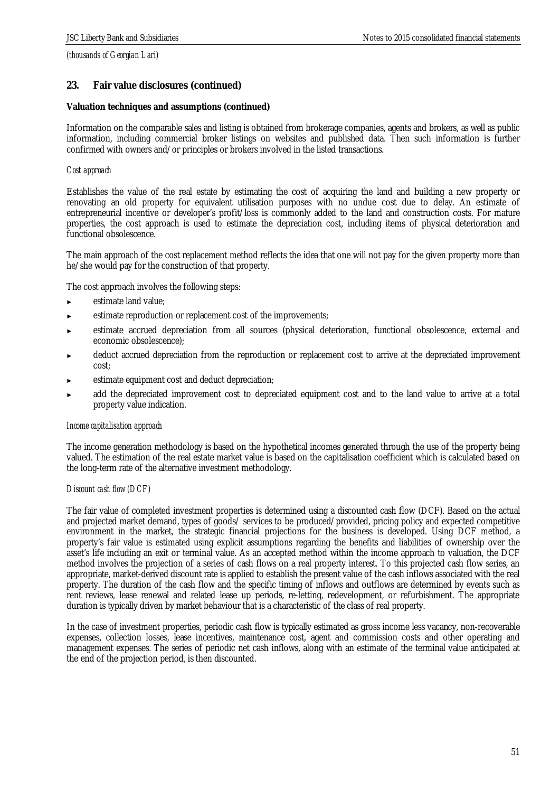## **23. Fair value disclosures (continued)**

#### **Valuation techniques and assumptions (continued)**

Information on the comparable sales and listing is obtained from brokerage companies, agents and brokers, as well as public information, including commercial broker listings on websites and published data. Then such information is further confirmed with owners and/or principles or brokers involved in the listed transactions.

#### *Cost approach*

Establishes the value of the real estate by estimating the cost of acquiring the land and building a new property or renovating an old property for equivalent utilisation purposes with no undue cost due to delay. An estimate of entrepreneurial incentive or developer's profit/loss is commonly added to the land and construction costs. For mature properties, the cost approach is used to estimate the depreciation cost, including items of physical deterioration and functional obsolescence.

The main approach of the cost replacement method reflects the idea that one will not pay for the given property more than he/she would pay for the construction of that property.

The cost approach involves the following steps:

- ► estimate land value;
- ► estimate reproduction or replacement cost of the improvements;
- estimate accrued depreciation from all sources (physical deterioration, functional obsolescence, external and economic obsolescence);
- deduct accrued depreciation from the reproduction or replacement cost to arrive at the depreciated improvement cost;
- estimate equipment cost and deduct depreciation;
- add the depreciated improvement cost to depreciated equipment cost and to the land value to arrive at a total property value indication.

#### *Income capitalisation approach*

The income generation methodology is based on the hypothetical incomes generated through the use of the property being valued. The estimation of the real estate market value is based on the capitalisation coefficient which is calculated based on the long-term rate of the alternative investment methodology.

## *Discount cash flow (DCF)*

The fair value of completed investment properties is determined using a discounted cash flow (DCF). Based on the actual and projected market demand, types of goods/ services to be produced/provided, pricing policy and expected competitive environment in the market, the strategic financial projections for the business is developed. Using DCF method, a property's fair value is estimated using explicit assumptions regarding the benefits and liabilities of ownership over the asset's life including an exit or terminal value. As an accepted method within the income approach to valuation, the DCF method involves the projection of a series of cash flows on a real property interest. To this projected cash flow series, an appropriate, market-derived discount rate is applied to establish the present value of the cash inflows associated with the real property. The duration of the cash flow and the specific timing of inflows and outflows are determined by events such as rent reviews, lease renewal and related lease up periods, re-letting, redevelopment, or refurbishment. The appropriate duration is typically driven by market behaviour that is a characteristic of the class of real property.

In the case of investment properties, periodic cash flow is typically estimated as gross income less vacancy, non-recoverable expenses, collection losses, lease incentives, maintenance cost, agent and commission costs and other operating and management expenses. The series of periodic net cash inflows, along with an estimate of the terminal value anticipated at the end of the projection period, is then discounted.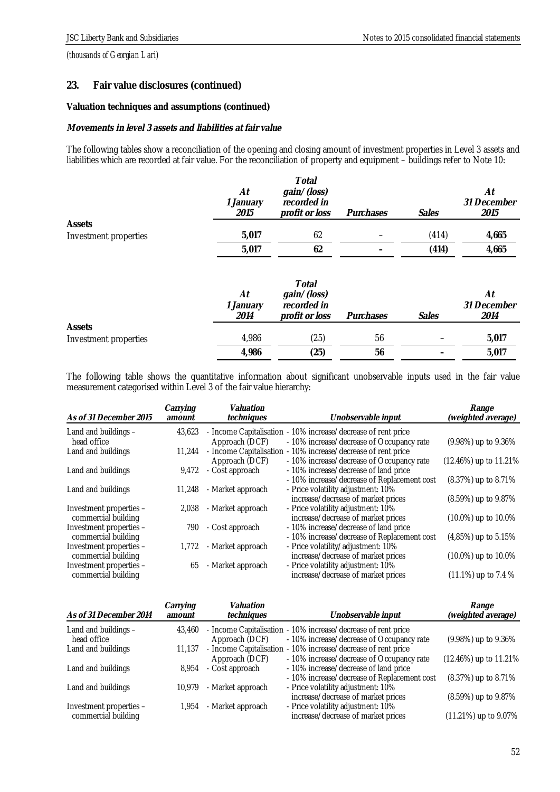### **23. Fair value disclosures (continued)**

#### **Valuation techniques and assumptions (continued)**

#### **Movements in level 3 assets and liabilities at fair value**

The following tables show a reconciliation of the opening and closing amount of investment properties in Level 3 assets and liabilities which are recorded at fair value. For the reconciliation of property and equipment – buildings refer to Note 10:

|                       | Аt<br>1 January<br>2015 | Total<br>gain/(loss)<br>recorded in<br>profit or loss | Purchases | Sales | At<br>31 December<br>2015 |
|-----------------------|-------------------------|-------------------------------------------------------|-----------|-------|---------------------------|
|                       |                         |                                                       |           |       |                           |
| Assets                |                         |                                                       |           |       |                           |
| Investment properties | 5.017                   | 62                                                    |           | (414) | 4,665                     |
|                       | 5,017                   | 62                                                    |           | (414) | 4,665                     |
|                       |                         |                                                       |           |       |                           |

|                       | At<br>1 January<br>2014 | Total<br>gain/(loss)<br>recorded in<br>profit or loss | Purchases | Sales | Аt<br>31 December<br>2014 |
|-----------------------|-------------------------|-------------------------------------------------------|-----------|-------|---------------------------|
| Assets                | 4,986                   | $^{'}25)$                                             | 56        |       | 5,017                     |
| Investment properties | 4,986                   | $^{\prime}25)$                                        | 56        |       | 5,017                     |

The following table shows the quantitative information about significant unobservable inputs used in the fair value measurement categorised within Level 3 of the fair value hierarchy:

|                         | Carrying | Valuation         |                                                               | Range                 |
|-------------------------|----------|-------------------|---------------------------------------------------------------|-----------------------|
| As of 31 December 2015  | amount   | techniques        | Unobservable input                                            | (weighted average)    |
| Land and buildings $-$  | 43,623   |                   | - Income Capitalisation - 10% increase/decrease of rent price |                       |
| head office             |          | Approach (DCF)    | - 10% increase/decrease of Occupancy rate                     | (9.98%) up to 9.36%   |
| Land and buildings      | 11,244   |                   | - Income Capitalisation - 10% increase/decrease of rent price |                       |
|                         |          | Approach (DCF)    | - 10% increase/decrease of Occupancy rate                     | (12.46%) up to 11.21% |
| Land and buildings      | 9,472    | - Cost approach   | - 10% increase/decrease of land price                         |                       |
|                         |          |                   | - 10% increase/decrease of Replacement cost                   | (8.37%) up to 8.71%   |
| Land and buildings      | 11,248   | - Market approach | - Price volatility adjustment: 10%                            |                       |
|                         |          |                   | increase/decrease of market prices                            | (8.59%) up to 9.87%   |
| Investment properties - | 2.038    | - Market approach | - Price volatility adjustment: 10%                            |                       |
| commercial building     |          |                   | increase/decrease of market prices                            | (10.0%) up to 10.0%   |
| Investment properties - | 790      | - Cost approach   | - 10% increase/decrease of land price                         |                       |
| commercial building     |          |                   | - 10% increase/decrease of Replacement cost                   | (4,85%) up to 5.15%   |
| Investment properties - | 1.772    | - Market approach | - Price volatility/adjustment: 10%                            |                       |
| commercial building     |          |                   | increase/decrease of market prices                            | (10.0%) up to 10.0%   |
| Investment properties - | 65       | - Market approach | - Price volatility adjustment: 10%                            |                       |
| commercial building     |          |                   | increase/decrease of market prices                            | (11.1%) up to 7.4 %   |

| As of 31 December 2014  | Carrying<br>amount | Valuation<br>techniques | Unobservable input                                            | Range<br>(weighted average) |
|-------------------------|--------------------|-------------------------|---------------------------------------------------------------|-----------------------------|
| Land and buildings -    | 43.460             |                         | - Income Capitalisation - 10% increase/decrease of rent price |                             |
| head office             |                    | Approach (DCF)          | - 10% increase/decrease of Occupancy rate                     | (9.98%) up to 9.36%         |
| Land and buildings      | 11.137             |                         | - Income Capitalisation - 10% increase/decrease of rent price |                             |
|                         |                    | Approach (DCF)          | - 10% increase/decrease of Occupancy rate                     | (12.46%) up to 11.21%       |
| Land and buildings      | 8.954              | - Cost approach         | - 10% increase/decrease of land price                         |                             |
|                         |                    |                         | - 10% increase/decrease of Replacement cost                   | (8.37%) up to 8.71%         |
| Land and buildings      | 10.979             | - Market approach       | - Price volatility adjustment: 10%                            |                             |
|                         |                    |                         | increase/decrease of market prices                            | (8.59%) up to 9.87%         |
| Investment properties - | 1.954              | - Market approach       | - Price volatility adjustment: 10%                            |                             |
| commercial building     |                    |                         | increase/decrease of market prices                            | (11.21%) up to 9.07%        |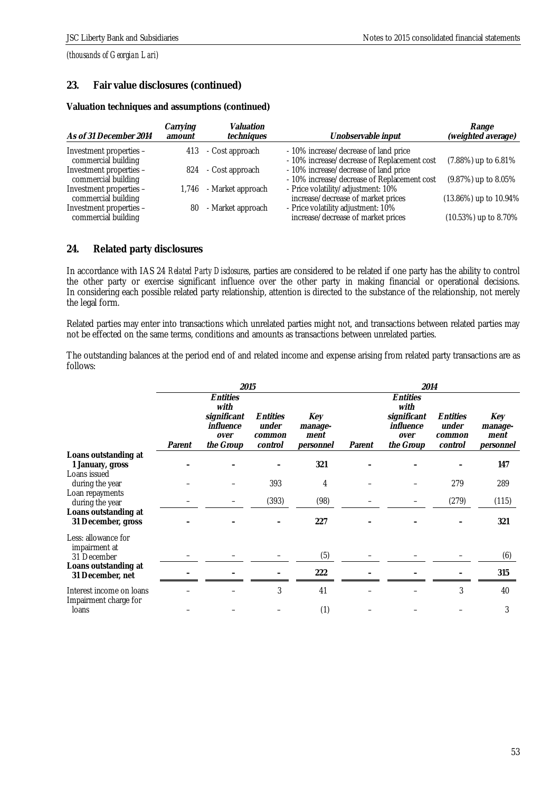## **23. Fair value disclosures (continued)**

**Valuation techniques and assumptions (continued)**

| As of 31 December 2014  | Carrying<br>amount | Valuation<br>techniques | Unobservable input                          | Range<br>(weighted average) |
|-------------------------|--------------------|-------------------------|---------------------------------------------|-----------------------------|
| Investment properties - | 413                | - Cost approach         | - 10% increase/decrease of land price       |                             |
| commercial building     |                    |                         | - 10% increase/decrease of Replacement cost | (7.88%) up to 6.81%         |
| Investment properties - | 824                | - Cost approach         | - 10% increase/decrease of land price       |                             |
| commercial building     |                    |                         | - 10% increase/decrease of Replacement cost | (9.87%) up to 8.05%         |
| Investment properties - | 1.746              | - Market approach       | - Price volatility/adjustment: 10%          |                             |
| commercial building     |                    |                         | increase/decrease of market prices          | (13.86%) up to 10.94%       |
| Investment properties - | 80                 | - Market approach       | - Price volatility adjustment: 10%          |                             |
| commercial building     |                    |                         | increase/decrease of market prices          | (10.53%) up to 8.70%        |

## <span id="page-55-0"></span>**24. Related party disclosures**

In accordance with IAS 24 *Related Party Disclosures*, parties are considered to be related if one party has the ability to control the other party or exercise significant influence over the other party in making financial or operational decisions. In considering each possible related party relationship, attention is directed to the substance of the relationship, not merely the legal form.

Related parties may enter into transactions which unrelated parties might not, and transactions between related parties may not be effected on the same terms, conditions and amounts as transactions between unrelated parties.

The outstanding balances at the period end of and related income and expense arising from related party transactions are as follows:

|                                                          |        | 2015                     |                   |                   | 2014   |                          |                   |                   |
|----------------------------------------------------------|--------|--------------------------|-------------------|-------------------|--------|--------------------------|-------------------|-------------------|
|                                                          |        | <b>Entities</b><br>with  |                   |                   |        | Entities<br>with         |                   |                   |
|                                                          |        | significant<br>influence | Entities<br>under | Key<br>manage-    |        | significant<br>influence | Entities<br>under | Key<br>manage-    |
|                                                          | Parent | over<br>the Group        | common<br>control | ment<br>personnel | Parent | over<br>the Group        | common<br>control | ment<br>personnel |
| Loans outstanding at<br>1 January, gross<br>Loans issued |        |                          |                   | 321               |        |                          |                   | 147               |
| during the year                                          |        |                          | 393               | 4                 |        |                          | 279               | 289               |
| Loan repayments<br>during the year                       |        |                          | (393)             | (98)              |        |                          | (279)             | (115)             |
| Loans outstanding at<br>31 December, gross               |        |                          |                   | 227               |        |                          |                   | 321               |
| Less: allowance for<br>impairment at                     |        |                          |                   |                   |        |                          |                   |                   |
| 31 December                                              |        |                          |                   | (5)               |        |                          |                   | (6)               |
| Loans outstanding at<br>31 December, net                 |        |                          |                   | 222               |        |                          |                   | 315               |
| Interest income on loans<br>Impairment charge for        |        |                          | 3                 | 41                |        |                          | 3                 | 40                |
| loans                                                    |        |                          |                   | (1)               |        |                          |                   | 3                 |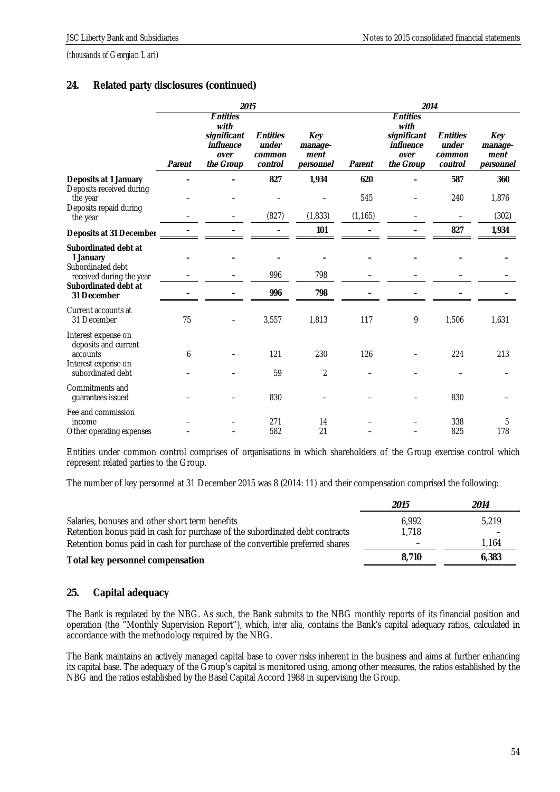## **24. Related party disclosures (continued)**

|                                                        | 2015   |                                               |                                        | 2014                                |          |                                               |                                        |                                     |
|--------------------------------------------------------|--------|-----------------------------------------------|----------------------------------------|-------------------------------------|----------|-----------------------------------------------|----------------------------------------|-------------------------------------|
|                                                        |        | Entities<br>with                              |                                        |                                     |          | Entities<br>with                              |                                        |                                     |
|                                                        | Parent | significant<br>influence<br>over<br>the Group | Entities<br>under<br>common<br>control | Key<br>manage-<br>ment<br>personnel | Parent   | significant<br>influence<br>over<br>the Group | Entities<br>under<br>common<br>control | Key<br>manage-<br>ment<br>personnel |
|                                                        |        |                                               |                                        |                                     |          |                                               |                                        |                                     |
| Deposits at 1 January<br>Deposits received during      |        |                                               | 827                                    | 1,934                               | 620      |                                               | 587                                    | 360                                 |
| the year                                               |        |                                               |                                        |                                     | 545      |                                               | 240                                    | 1,876                               |
| Deposits repaid during<br>the year                     |        |                                               | (827)                                  | (1, 833)                            | (1, 165) |                                               |                                        | (302)                               |
| Deposits at 31 December                                |        |                                               |                                        | 101                                 |          |                                               | 827                                    | 1,934                               |
| Subordinated debt at<br>1 January<br>Subordinated debt |        |                                               |                                        |                                     |          |                                               |                                        |                                     |
| received during the year                               |        |                                               | 996                                    | 798                                 |          |                                               |                                        |                                     |
| Subordinated debt at<br>31 December                    |        |                                               | 996                                    | 798                                 |          |                                               |                                        |                                     |
| Current accounts at<br>31 December                     | 75     |                                               | 3,557                                  | 1,813                               | 117      | 9                                             | 1,506                                  | 1,631                               |
| Interest expense on<br>deposits and current            |        |                                               |                                        |                                     |          |                                               |                                        |                                     |
| accounts<br>Interest expense on<br>subordinated debt   | 6      |                                               | 121<br>59                              | 230<br>$\overline{2}$               | 126      |                                               | 224                                    | 213                                 |
| Commitments and<br>guarantees issued                   |        |                                               | 830                                    |                                     |          |                                               | 830                                    |                                     |
| Fee and commission<br>income                           |        |                                               | 271                                    | 14                                  |          |                                               | 338                                    | 5                                   |
| Other operating expenses                               |        |                                               | 582                                    | 21                                  |          |                                               | 825                                    | 178                                 |

Entities under common control comprises of organisations in which shareholders of the Group exercise control which represent related parties to the Group.

The number of key personnel at 31 December 2015 was 8 (2014: 11) and their compensation comprised the following:

|                                                                               | 2015  | 2014  |
|-------------------------------------------------------------------------------|-------|-------|
| Salaries, bonuses and other short term benefits                               | 6.992 | 5.219 |
| Retention bonus paid in cash for purchase of the subordinated debt contracts  | 1.718 |       |
| Retention bonus paid in cash for purchase of the convertible preferred shares |       | 1.164 |
| Total key personnel compensation                                              | 8.710 | 6.383 |

## <span id="page-56-0"></span>**25. Capital adequacy**

The Bank is regulated by the NBG. As such, the Bank submits to the NBG monthly reports of its financial position and operation (the "Monthly Supervision Report"), which, *inter alia*, contains the Bank's capital adequacy ratios, calculated in accordance with the methodology required by the NBG.

The Bank maintains an actively managed capital base to cover risks inherent in the business and aims at further enhancing its capital base. The adequacy of the Group's capital is monitored using, among other measures, the ratios established by the NBG and the ratios established by the Basel Capital Accord 1988 in supervising the Group.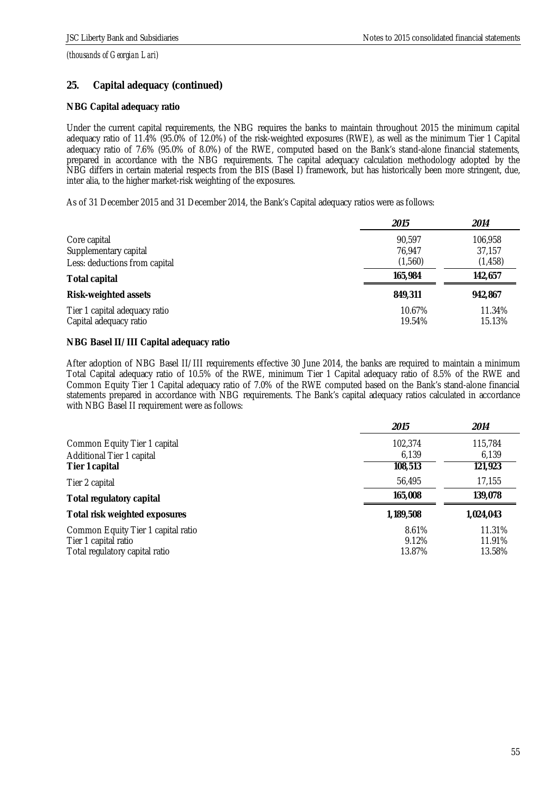## **25. Capital adequacy (continued)**

### **NBG Capital adequacy ratio**

Under the current capital requirements, the NBG requires the banks to maintain throughout 2015 the minimum capital adequacy ratio of 11.4% (95.0% of 12.0%) of the risk-weighted exposures (RWE), as well as the minimum Tier 1 Capital adequacy ratio of 7.6% (95.0% of 8.0%) of the RWE, computed based on the Bank's stand-alone financial statements, prepared in accordance with the NBG requirements. The capital adequacy calculation methodology adopted by the NBG differs in certain material respects from the BIS (Basel I) framework, but has historically been more stringent, due, inter alia, to the higher market-risk weighting of the exposures.

As of 31 December 2015 and 31 December 2014, the Bank's Capital adequacy ratios were as follows:

|                                                                        | 2015                        | 2014                          |
|------------------------------------------------------------------------|-----------------------------|-------------------------------|
| Core capital<br>Supplementary capital<br>Less: deductions from capital | 90,597<br>76,947<br>(1,560) | 106,958<br>37.157<br>(1, 458) |
| Total capital                                                          | 165,984                     | 142.657                       |
| Risk-weighted assets                                                   | 849,311                     | 942,867                       |
| Tier 1 capital adequacy ratio<br>Capital adequacy ratio                | 10.67%<br>19.54%            | 11.34%<br>15.13%              |

#### **NBG Basel II/III Capital adequacy ratio**

After adoption of NBG Basel II/III requirements effective 30 June 2014, the banks are required to maintain a minimum Total Capital adequacy ratio of 10.5% of the RWE, minimum Tier 1 Capital adequacy ratio of 8.5% of the RWE and Common Equity Tier 1 Capital adequacy ratio of 7.0% of the RWE computed based on the Bank's stand-alone financial statements prepared in accordance with NBG requirements. The Bank's capital adequacy ratios calculated in accordance with NBG Basel II requirement were as follows:

|                                                                                              | 2015                        | 2014                        |
|----------------------------------------------------------------------------------------------|-----------------------------|-----------------------------|
| Common Equity Tier 1 capital<br>Additional Tier 1 capital<br>Tier 1 capital                  | 102,374<br>6,139<br>108,513 | 115,784<br>6,139<br>121,923 |
| Tier 2 capital                                                                               | 56,495                      | 17,155                      |
| Total regulatory capital                                                                     | 165,008                     | 139,078                     |
| Total risk weighted exposures                                                                | 1,189,508                   | 1,024,043                   |
| Common Equity Tier 1 capital ratio<br>Tier 1 capital ratio<br>Total regulatory capital ratio | 8.61%<br>9.12%<br>13.87%    | 11.31%<br>11.91%<br>13.58%  |